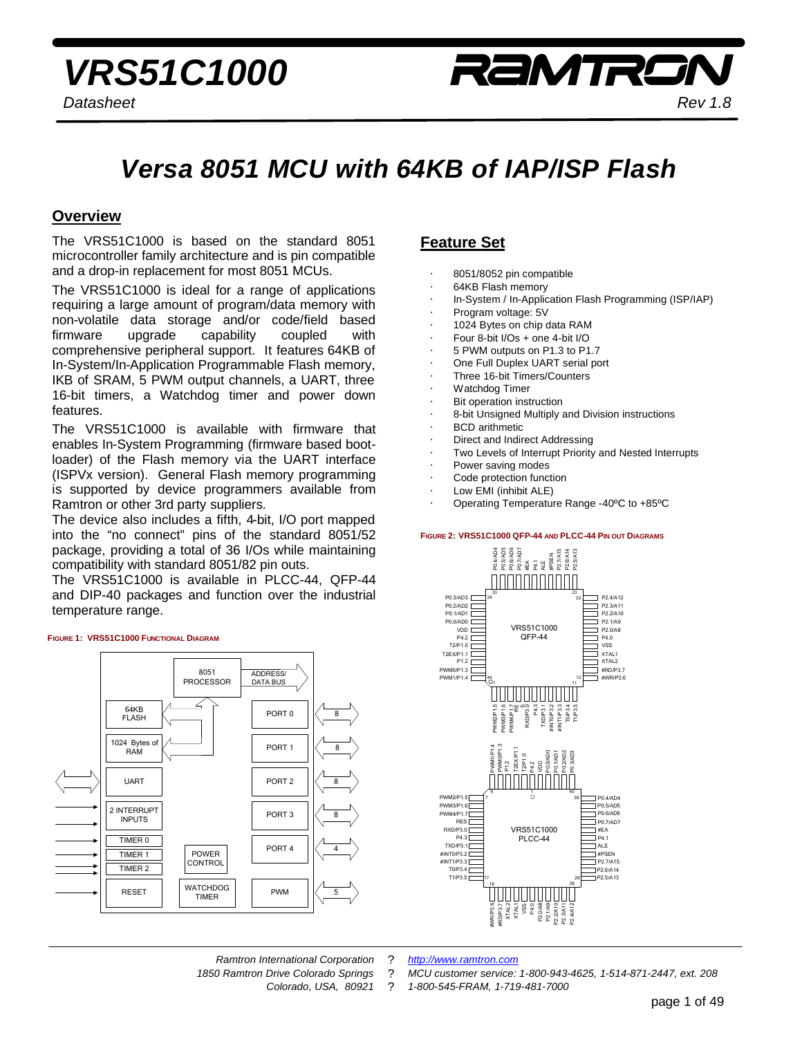# *Versa 8051 MCU with 64KB of IAP/ISP Flash*

**Overview**<br>The VRS51C1000 is based on the standard 8051 microcontroller family architecture and is pin compatible and a drop-in replacement for most 8051 MCUs.

The VRS51C1000 is ideal for a range of applications requiring a large amount of program/data memory with non-volatile data storage and/or code/field based firmware upgrade capability coupled with comprehensive peripheral support. It features 64KB of In-System/In-Application Programmable Flash memory, IKB of SRAM, 5 PWM output channels, a UART, three 16-bit timers a Watchdog timer and nower down 16-bit timers, a Watchdog timer and power down features.<br>The VRS51C1000 is available with firmware that

enables In-System Programming (firmware based bootloader) of the Flash memory via the UART interface (ISPVx version). General Flash memory programming is supported by device programmers available from Ramtron or other 3rd party suppliers.

The device also includes a fifth, 4-bit, I/O port mapped into the "no connect" pins of the standard 8051/52 package, providing a total of 36 I/Os while maintaining compatibility with standard 8051/82 pin outs.

The VRS51C1000 is available in PLCC-44, QFP-44 and DIP-40 packages and function over the industrial and DIP-40 packages and industrial control over the industrial over the industrial control over the industrial over the industrial control over the industrial control over the industrial control over the industrial control temperature range.

#### FIGURE 1: VRS51C1000 FUNCTIONAL DIAGRAM



# **Feature Set**

- 8051/8052 pin compatible
- 64KB Flash memory
- In-System / In-Application Flash Programming (ISP/IAP)
- Program voltage: 5V
- 1024 Bytes on chip data RAM
- Four 8-bit I/Os + one 4-bit I/O
- 5 PWM outputs on P1.3 to P1.7
- One Full Duplex UART serial port
- Three 16-bit Timers/Counters
- Watchdog Timer
- **Bit operation instruction**
- 8-bit Unsigned Multiply and Division instructions
- BCD arithmetic
- Direct and Indirect Addressing
- Two Levels of Interrupt Priority and Nested Interrupts
- Power saving modes
- Code protection function
- Low EMI (inhibit ALE)
- Operating Temperature Range -40ºC to +85ºC

#### **FIGURE 2: VRS51C1000 QFP-44 AND PLCC-44 PIN OUT DIAGRAMS**



*Ramtron International Corporation* ? *http://www.ramtron.com*

*1850 Ramtron Drive Colorado Springs* ? *MCU customer service: 1-800-943-4625, 1-514-871-2447, ext. 208 Colorado, USA, 80921* ? *1-800-545-FRAM, 1-719-481-7000*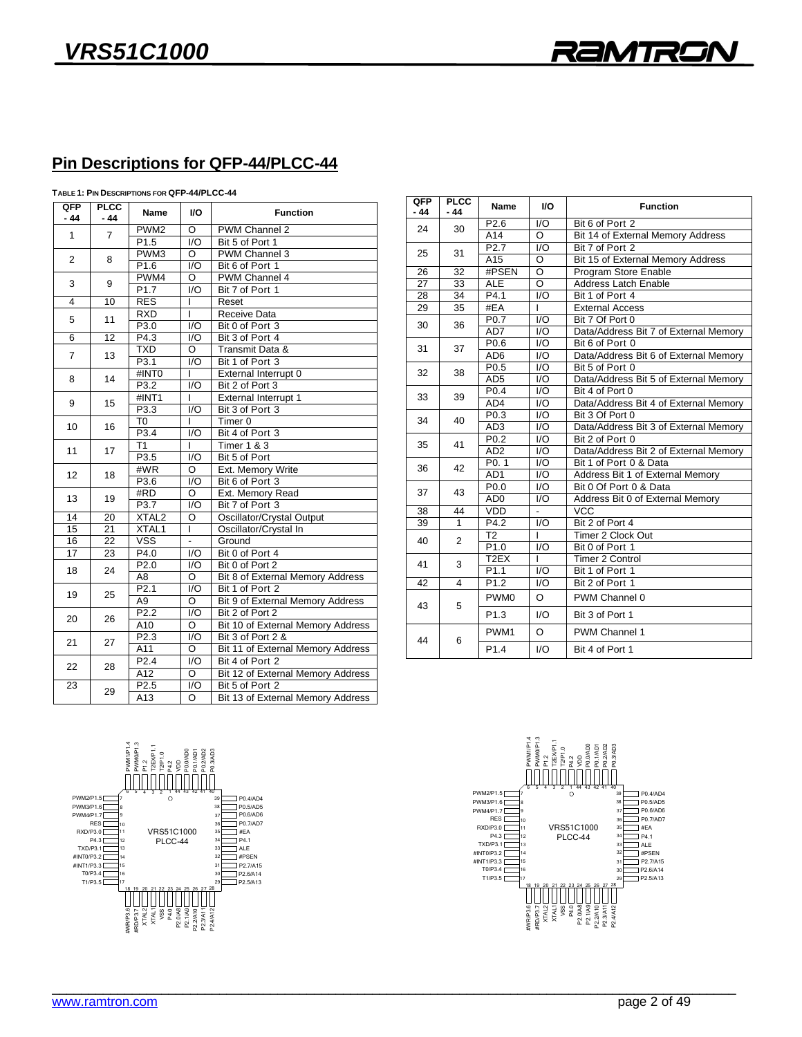## **Pin Descriptions for QFP-44/PLCC-44**

| TABLE 1: PIN DESCRIPTIONS FOR QFP-44/PLCC-44 |  |
|----------------------------------------------|--|
|                                              |  |

| QFP<br>$-44$   | <b>PLCC</b><br>- 44 | Name              | I/O                | <b>Function</b>                         |  |  |
|----------------|---------------------|-------------------|--------------------|-----------------------------------------|--|--|
| $\mathbf{1}$   | $\overline{7}$      | PWM <sub>2</sub>  | O                  | <b>PWM Channel 2</b>                    |  |  |
|                |                     | P1.5              | $\overline{1/O}$   | Bit 5 of Port 1                         |  |  |
| $\overline{2}$ | 8                   | PWM3              | O                  | PWM Channel 3                           |  |  |
|                |                     | P <sub>1.6</sub>  | $\overline{1/O}$   | Bit 6 of Port 1                         |  |  |
| 3              | 9                   | PWM4              | $\overline{O}$     | PWM Channel 4                           |  |  |
|                |                     | P <sub>1.7</sub>  | $\overline{1/O}$   | Bit 7 of Port 1                         |  |  |
| $\overline{4}$ | 10                  | <b>RES</b>        | L                  | Reset                                   |  |  |
| 5              | 11                  | <b>RXD</b>        | L                  | <b>Receive Data</b>                     |  |  |
|                |                     | P3.0              | $\overline{1/O}$   | Bit 0 of Port 3                         |  |  |
| 6              | 12                  | P4.3              | $\overline{1/O}$   | Bit 3 of Port 4                         |  |  |
| $\overline{7}$ | 13                  | <b>TXD</b>        | O                  | Transmit Data &                         |  |  |
|                |                     | P3.1              | $\overline{1/O}$   | Bit 1 of Port 3                         |  |  |
| 8              | 14                  | #INTO             | L                  | External Interrupt 0                    |  |  |
|                |                     | P <sub>3.2</sub>  | $\overline{1/O}$   | Bit 2 of Port 3                         |  |  |
| 9              | 15                  | #INT1             | L                  | External Interrupt 1                    |  |  |
|                |                     | P3.3              | I/O                | Bit 3 of Port 3                         |  |  |
| 10             | 16                  | $\overline{10}$   | L                  | Timer <sub>0</sub>                      |  |  |
|                |                     | P3.4              | $\overline{1/O}$   | Bit 4 of Port 3                         |  |  |
| 11             | 17                  | T1                | L                  | <b>Timer 1 &amp; 3</b>                  |  |  |
|                |                     | P <sub>3.5</sub>  | I/O                | Bit 5 of Port                           |  |  |
| 12             | 18                  | #WR               | $\overline{\circ}$ | Ext. Memory Write                       |  |  |
|                |                     | P <sub>3.6</sub>  | $\overline{1/O}$   | Bit 6 of Port 3                         |  |  |
| 13             | 19                  | #RD               | O                  | Ext. Memory Read                        |  |  |
|                |                     | P3.7              | $\overline{1/O}$   | Bit 7 of Port 3                         |  |  |
| 14             | 20                  | XTAL <sub>2</sub> | $\overline{\circ}$ | Oscillator/Crystal Output               |  |  |
| 15             | $\overline{21}$     | XTAL1             | ī                  | Oscillator/Crystal In                   |  |  |
| 16             | 22                  | <b>VSS</b>        | L.                 | Ground                                  |  |  |
| 17             | 23                  | P4.0              | $\overline{1/O}$   | Bit 0 of Port 4                         |  |  |
| 18             | 24                  | P2.0              | $\overline{1/O}$   | Bit 0 of Port 2                         |  |  |
|                |                     | A <sub>8</sub>    | Ō                  | Bit 8 of External Memory Address        |  |  |
| 19             | 25                  | P <sub>2.1</sub>  | $\overline{1/O}$   | Bit 1 of Port 2                         |  |  |
|                |                     | A <sub>9</sub>    | ō                  | <b>Bit 9 of External Memory Address</b> |  |  |
| 20             | 26                  | P <sub>2.2</sub>  | $\overline{1/O}$   | Bit 2 of Port 2                         |  |  |
|                |                     | A10               | O                  | Bit 10 of External Memory Address       |  |  |
| 21             | 27                  | P2.3              | $\overline{1/O}$   | Bit 3 of Port 2 &                       |  |  |
|                |                     | A11               | O                  | Bit 11 of External Memory Address       |  |  |
| 22             | 28                  | P <sub>2.4</sub>  | I/O                | Bit 4 of Port 2                         |  |  |
|                |                     | A12               | $\overline{\circ}$ | Bit 12 of External Memory Address       |  |  |
| 23             | 29                  | P2.5              | I/O                | Bit 5 of Port 2                         |  |  |
|                |                     | A13               | O                  | Bit 13 of External Memory Address       |  |  |

| QFP   | <b>PLCC</b>    | <b>Name</b>       | V <sub>O</sub>     | <b>Function</b>                       |  |  |
|-------|----------------|-------------------|--------------------|---------------------------------------|--|--|
| $-44$ | - 44           |                   |                    |                                       |  |  |
| 24    | 30             | P <sub>2.6</sub>  | I/O                | Bit 6 of Port 2                       |  |  |
|       |                | A14               | O                  | Bit 14 of External Memory Address     |  |  |
| 25    | 31             | P2.7              | I/O                | Bit 7 of Port 2                       |  |  |
|       |                | A15               | $\overline{\circ}$ | Bit 15 of External Memory Address     |  |  |
| 26    | 32             | #PSEN             | O                  | Program Store Enable                  |  |  |
| 27    | 33             | <b>ALE</b>        | $\overline{O}$     | <b>Address Latch Enable</b>           |  |  |
| 28    | 34             | P4.1              | $\overline{1/O}$   | Bit 1 of Port 4                       |  |  |
| 29    | 35             | #EA               | L                  | <b>External Access</b>                |  |  |
| 30    | 36             | P <sub>0.7</sub>  | I/O                | Bit 7 Of Port 0                       |  |  |
|       |                | AD7               | $\overline{1/O}$   | Data/Address Bit 7 of External Memory |  |  |
| 31    | 37             | P0.6              | I/O                | Bit 6 of Port 0                       |  |  |
|       |                | AD <sub>6</sub>   | I/O                | Data/Address Bit 6 of External Memory |  |  |
| 32    | 38             | P <sub>0.5</sub>  | $\overline{1/O}$   | Bit 5 of Port 0                       |  |  |
|       |                | AD <sub>5</sub>   | 1/O                | Data/Address Bit 5 of External Memory |  |  |
| 33    | 39             | P0.4              | I/O                | Bit 4 of Port 0                       |  |  |
|       |                | AD4               | $\overline{1/O}$   | Data/Address Bit 4 of External Memory |  |  |
| 34    | 40             | P <sub>0.3</sub>  | $\overline{1/O}$   | Bit 3 Of Port 0                       |  |  |
|       |                | AD <sub>3</sub>   | I/O                | Data/Address Bit 3 of External Memory |  |  |
| 35    | 41             | P <sub>0.2</sub>  | I/O                | Bit 2 of Port 0                       |  |  |
|       |                | AD2               | $\overline{1/O}$   | Data/Address Bit 2 of External Memory |  |  |
| 36    | 42             | P0.1              | I/O                | Bit 1 of Port 0 & Data                |  |  |
|       |                | AD <sub>1</sub>   | $\overline{1/O}$   | Address Bit 1 of External Memory      |  |  |
| 37    | 43             | P <sub>0.0</sub>  | $\overline{1/O}$   | Bit 0 Of Port 0 & Data                |  |  |
|       |                | AD <sub>0</sub>   | I/O                | Address Bit 0 of External Memory      |  |  |
| 38    | 44             | VDD               | $\overline{a}$     | <b>VCC</b>                            |  |  |
| 39    | $\mathbf{1}$   | P4.2              | I/O                | Bit 2 of Port 4                       |  |  |
| 40    | $\overline{2}$ | T <sub>2</sub>    | L                  | Timer 2 Clock Out                     |  |  |
|       |                | P1.0              | $\overline{1/O}$   | Bit 0 of Port 1                       |  |  |
| 41    | 3              | T <sub>2</sub> EX | ı                  | Timer 2 Control                       |  |  |
|       |                | P1.1              | 1/O                | Bit 1 of Port 1                       |  |  |
| 42    | $\overline{4}$ | P1.2              | $\overline{1/O}$   | Bit 2 of Port 1                       |  |  |
| 43    | 5              | PWM <sub>0</sub>  | O                  | PWM Channel 0                         |  |  |
|       |                | P <sub>1.3</sub>  | I/O                | Bit 3 of Port 1                       |  |  |
| 44    | 6              | PWM1              | $\Omega$           | PWM Channel 1                         |  |  |
|       |                | P <sub>1.4</sub>  | 1/O                | Bit 4 of Port 1                       |  |  |



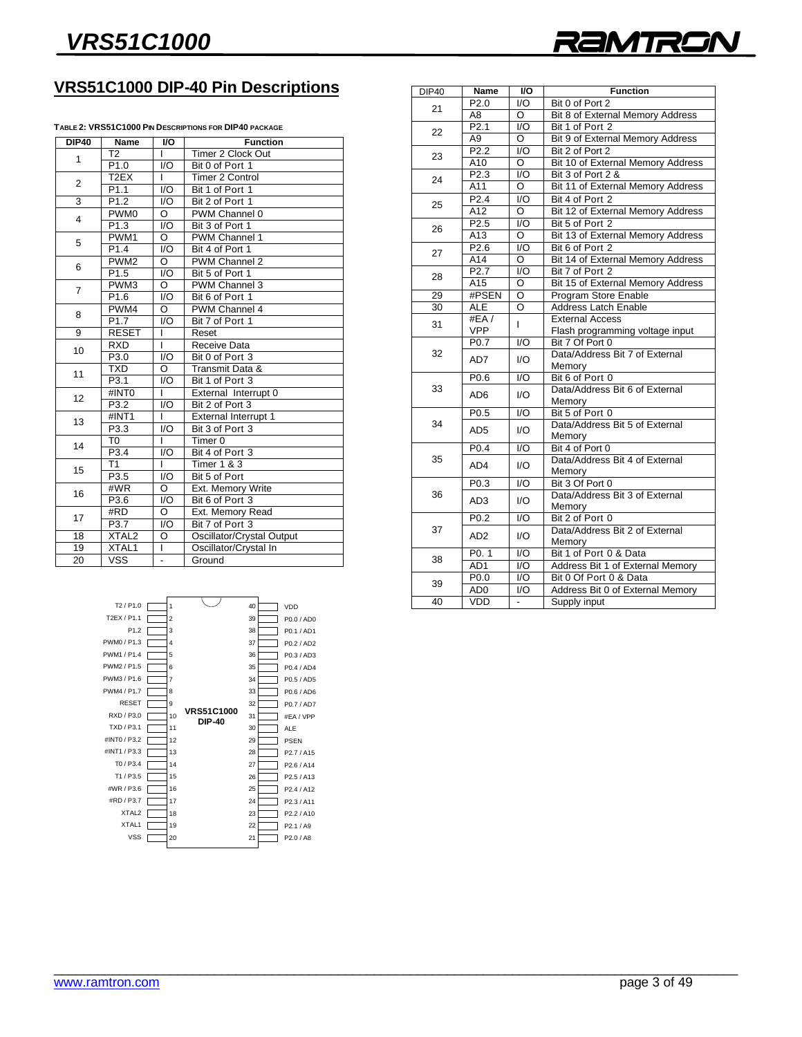

## **VRS51C1000 DIP-40 Pin Descriptions**

#### **TABLE 2: VRS51C1000 PIN DESCRIPTIONS FOR DIP40 PACKAGE**

| <b>DIP40</b>    | Name              | $\overline{10}$    | <b>Function</b>           |  |
|-----------------|-------------------|--------------------|---------------------------|--|
| 1               | T2                | L                  | Timer 2 Clock Out         |  |
|                 | P1.0              | $\overline{1/O}$   | Bit 0 of Port 1           |  |
| $\overline{2}$  | T <sub>2</sub> EX | L                  | <b>Timer 2 Control</b>    |  |
|                 | P <sub>1.1</sub>  | 1/O                | Bit 1 of Port 1           |  |
| $\overline{3}$  | P <sub>1.2</sub>  | $\overline{1/O}$   | Bit 2 of Port 1           |  |
| 4               | PWM <sub>0</sub>  | Ō                  | PWM Channel 0             |  |
|                 | P <sub>1.3</sub>  | $\overline{1/O}$   | Bit 3 of Port 1           |  |
| 5               | PWM <sub>1</sub>  | O                  | PWM Channel 1             |  |
|                 | P1.4              | $\overline{1/O}$   | Bit 4 of Port 1           |  |
| 6               | PWM <sub>2</sub>  | O                  | PWM Channel 2             |  |
|                 | P <sub>1.5</sub>  | I/O                | Bit 5 of Port 1           |  |
| $\overline{7}$  | PWM <sub>3</sub>  | $\overline{O}$     | PWM Channel 3             |  |
|                 | P1.6              | 1/O                | Bit 6 of Port 1           |  |
| 8               | PWM4              | Ō                  | PWM Channel 4             |  |
|                 | P <sub>1.7</sub>  | $\overline{1/O}$   | Bit 7 of Port 1           |  |
| $\overline{9}$  | <b>RESET</b>      | ī                  | Reset                     |  |
| 10              | <b>RXD</b>        | ī                  | Receive Data              |  |
|                 | P3.0              | $\overline{1/O}$   | Bit 0 of Port 3           |  |
| 11              | <b>TXD</b>        | $\overline{\circ}$ | Transmit Data &           |  |
|                 | P3.1              | $\overline{1/O}$   | Bit 1 of Port 3           |  |
| 12              | #INTO             | $\mathbf{I}$       | External Interrupt 0      |  |
|                 | P3.2              | $\overline{1/O}$   | Bit 2 of Port 3           |  |
| 13              | #INT1             | $\mathbf{I}$       | External Interrupt 1      |  |
|                 | P3.3              | $\overline{1/O}$   | Bit 3 of Port 3           |  |
| 14              | T0                | T                  | Timer <sub>0</sub>        |  |
|                 | P3.4              | 1/O                | Bit 4 of Port 3           |  |
| 15              | T1                | I                  | <b>Timer 1 &amp; 3</b>    |  |
|                 | P3.5              | $\overline{1/O}$   | Bit 5 of Port             |  |
| 16              | #WR               | O                  | Ext. Memory Write         |  |
|                 | P3.6              | 1/O                | Bit 6 of Port 3           |  |
| 17              | #RD               | $\overline{\circ}$ | Ext. Memory Read          |  |
|                 | P3.7              | 1/O                | Bit 7 of Port 3           |  |
| 18              | XTAL <sub>2</sub> | O                  | Oscillator/Crystal Output |  |
| $\overline{19}$ | XTAL1             | T                  | Oscillator/Crystal In     |  |
| 20              | <b>VSS</b>        | L,                 | Ground                    |  |

| <b>DIP40</b> | Name                    | I/O                      | <b>Function</b>                                            |
|--------------|-------------------------|--------------------------|------------------------------------------------------------|
| 21           | P <sub>2.0</sub>        | 1/O                      | Bit 0 of Port 2                                            |
|              | $\overline{AB}$         | Ō                        | Bit 8 of External Memory Address                           |
| 22           | P <sub>2.1</sub>        | $\overline{1/O}$         | Bit 1 of Port 2                                            |
|              | A <sub>9</sub>          | O                        | Bit 9 of External Memory Address                           |
| 23           | P <sub>2.2</sub>        | $\overline{1/O}$         | Bit 2 of Port 2                                            |
|              | A10                     | O                        | Bit 10 of External Memory Address                          |
| 24           | P2.3                    | $\overline{1/O}$         | Bit 3 of Port 2 &                                          |
|              | A11                     | Ō                        | Bit 11 of External Memory Address                          |
| 25           | P <sub>2.4</sub>        | 1/O                      | Bit 4 of Port 2                                            |
|              | A12                     | O                        | Bit 12 of External Memory Address                          |
| 26           | P2.5                    | I/O                      | Bit 5 of Port 2                                            |
|              | A <sub>13</sub>         | O                        | Bit 13 of External Memory Address                          |
| 27           | P <sub>2.6</sub>        | I/O                      | Bit 6 of Port 2                                            |
|              | A14                     | O                        | Bit 14 of External Memory Address                          |
| 28           | P2.7                    | I/O                      | Bit 7 of Port 2                                            |
|              | A15                     | O                        | Bit 15 of External Memory Address                          |
| 29           | #PSEN                   | $\overline{\circ}$       | Program Store Enable                                       |
| 30           | <b>ALE</b>              | O                        | <b>Address Latch Enable</b>                                |
| 31           | #EA/                    | L                        | <b>External Access</b>                                     |
|              | <b>VPP</b>              |                          | Flash programming voltage input                            |
|              | P0.7                    | $\overline{1/O}$         | Bit 7 Of Port 0                                            |
| 32           | AD7                     | 1/O                      | Data/Address Bit 7 of External                             |
|              |                         |                          | Memory                                                     |
|              | P0.6                    | $\overline{1/O}$         | Bit 6 of Port 0                                            |
| 33           | AD6                     | 1/O                      | Data/Address Bit 6 of External                             |
|              |                         |                          | Memory                                                     |
|              | P <sub>0.5</sub>        | I/O                      | Bit 5 of Port 0                                            |
| 34           | AD5                     | 1/O                      | Data/Address Bit 5 of External                             |
|              |                         |                          | Memory                                                     |
|              | P <sub>0.4</sub>        | I/O                      | Bit 4 of Port 0                                            |
| 35           | AD4                     | 1/O                      | Data/Address Bit 4 of External                             |
|              |                         |                          | Memory                                                     |
|              | P <sub>0.3</sub>        | $\overline{1/O}$         | Bit 3 Of Port 0                                            |
| 36           | AD <sub>3</sub>         | 1/O                      | Data/Address Bit 3 of External                             |
|              |                         |                          | Memory                                                     |
| 37           | P <sub>0.2</sub>        | $\overline{1/O}$         | Bit 2 of Port 0<br>Data/Address Bit 2 of External          |
|              | AD <sub>2</sub>         | I/O                      |                                                            |
|              |                         | $\overline{1/O}$         | Memory                                                     |
| 38           | P0.1<br>AD <sub>1</sub> | $\overline{1/O}$         | Bit 1 of Port 0 & Data<br>Address Bit 1 of External Memory |
|              | P <sub>0.0</sub>        | $\overline{1/O}$         | Bit 0 Of Port 0 & Data                                     |
| 39           |                         | I/O                      |                                                            |
|              | AD <sub>0</sub>         |                          | Address Bit 0 of External Memory                           |
| 40           | VDD                     | $\overline{\phantom{a}}$ | Supply input                                               |

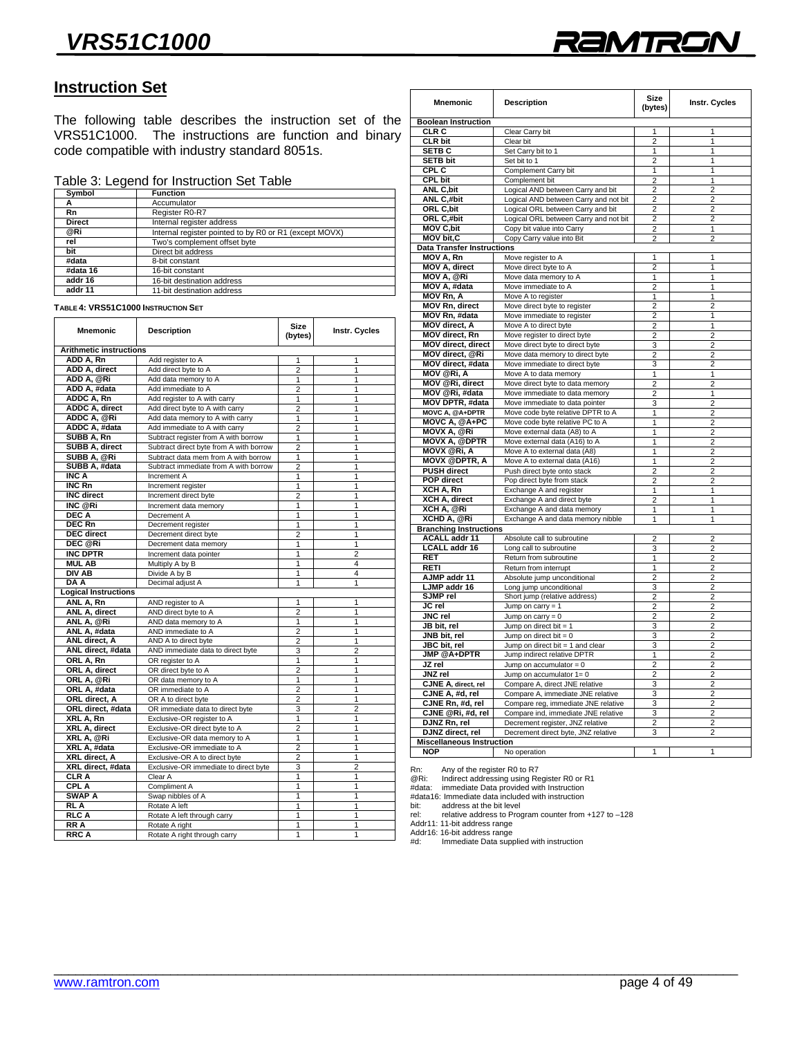

## **Instruction Set**

The following table describes the instruction set of the VRS51C1000. The instructions are function and binary  $\frac{1}{2}$  code compatible with industry standard 8051s code compatible with industry standard 8051s.

### Table 3: Legend for Instruction Set Table

| <b>Function</b>                                        |
|--------------------------------------------------------|
| Accumulator                                            |
| Register R0-R7                                         |
| Internal register address                              |
| Internal register pointed to by R0 or R1 (except MOVX) |
| Two's complement offset byte                           |
| Direct bit address                                     |
| 8-bit constant                                         |
| 16-bit constant                                        |
| 16-bit destination address                             |
| 11-bit destination address                             |
|                                                        |

**TABLE 4: VRS51C1000 INSTRUCTION SET**

| <b>Mnemonic</b>                | <b>Description</b>                      | <b>Size</b><br>(bytes)  | Instr. Cycles  |
|--------------------------------|-----------------------------------------|-------------------------|----------------|
| <b>Arithmetic instructions</b> |                                         |                         |                |
| ADD A, Rn                      | Add register to A                       | 1                       | 1              |
| ADD A, direct                  | Add direct byte to A                    | $\overline{2}$          | 1              |
| ADD A, @Ri                     | Add data memory to A                    | 1                       | 1              |
| ADD A, #data                   | Add immediate to A                      | $\overline{2}$          | 1              |
| ADDC A, Rn                     | Add register to A with carry            | 1                       | 1              |
| ADDC A, direct                 | Add direct byte to A with carry         | $\overline{2}$          | 1              |
| ADDC A, @Ri                    | Add data memory to A with carry         | 1                       | 1              |
| ADDC A, #data                  | Add immediate to A with carry           | $\overline{2}$          | 1              |
| SUBB A, Rn                     | Subtract register from A with borrow    | 1                       | 1              |
| <b>SUBB A, direct</b>          | Subtract direct byte from A with borrow | $\overline{2}$          | $\overline{1}$ |
| SUBB A, @Ri                    | Subtract data mem from A with borrow    | 1                       | 1              |
| SUBB A, #data                  | Subtract immediate from A with borrow   | $\overline{2}$          | 1              |
| <b>INC A</b>                   | Increment A                             | $\overline{1}$          | 1              |
| INC Rn                         | Increment register                      | 1                       | 1              |
| <b>INC</b> direct              | Increment direct byte                   | $\overline{\mathbf{c}}$ | 1              |
| INC @Ri                        | Increment data memory                   | 1                       | 1              |
| <b>DEC A</b>                   | Decrement A                             | $\overline{1}$          | $\overline{1}$ |
| <b>DEC Rn</b>                  | Decrement register                      | 1                       | 1              |
| <b>DEC</b> direct              | Decrement direct byte                   | 2                       | 1              |
| DEC @Ri                        | Decrement data memory                   | 1                       | $\overline{1}$ |
| <b>INC DPTR</b>                | Increment data pointer                  | $\overline{1}$          | $\overline{2}$ |
| <b>MUL AB</b>                  | Multiply A by B                         | 1                       | 4              |
| DIV AB                         | Divide A by B                           | 1                       | 4              |
| $\overline{DAA}$               | Decimal adjust A                        | 1                       | 1              |
| <b>Logical Instructions</b>    |                                         |                         |                |
| ANL A, Rn                      | AND register to A                       | 1                       | 1              |
| ANL A, direct                  | AND direct byte to A                    | $\overline{2}$          | 1              |
| ANL A, @Ri                     | AND data memory to A                    | $\overline{1}$          | 1              |
| ANL A, #data                   | AND immediate to A                      | $\overline{2}$          | 1              |
| ANL direct, A                  | AND A to direct byte                    | 2                       | 1              |
| ANL direct, #data              | AND immediate data to direct byte       | 3                       | $\overline{2}$ |
| ORL A, Rn                      | OR register to A                        | 1                       | 1              |
| ORL A, direct                  | OR direct byte to A                     | $\overline{2}$          | 1              |
| ORL A, @Ri                     | OR data memory to A                     | 1                       | 1              |
| ORL A, #data                   | OR immediate to A                       | $\overline{2}$          | 1              |
| ORL direct, A                  | OR A to direct byte                     | $\overline{2}$          | 1              |
| ORL direct, #data              | OR immediate data to direct byte        | 3                       | $\overline{2}$ |
| XRL A, Rn                      | Exclusive-OR register to A              | 1                       | 1              |
| XRL A, direct                  | Exclusive-OR direct byte to A           | $\overline{2}$          | 1              |
| XRL A, @Ri                     | Exclusive-OR data memory to A           | 1                       | 1              |
| XRL A, #data                   | Exclusive-OR immediate to A             | 2                       | 1              |
| XRL direct, A                  | Exclusive-OR A to direct byte           | $\overline{2}$          | 1              |
| XRL direct, #data              | Exclusive-OR immediate to direct byte   | 3                       | $\overline{2}$ |
| <b>CLRA</b>                    | Clear A                                 | 1                       | 1              |
| CPL A                          | Compliment A                            | 1                       | 1              |
| SWAP A                         | Swap nibbles of A                       | 1                       | 1              |
| RLA                            | Rotate A left                           | $\overline{1}$          | $\overline{1}$ |
| RLC A                          | Rotate A left through carry             | 1                       | 1              |
| <b>RRA</b>                     | Rotate A right                          | 1                       | 1              |
| RRC A                          | Rotate A right through carry            | 1                       | 1              |

**Reco**rd **Record A** recording the angle of  $\mathbf{R}$ 

| <b>Mnemonic</b>                   | <b>Description</b>                    | Size<br>(bytes) | Instr. Cycles  |
|-----------------------------------|---------------------------------------|-----------------|----------------|
| <b>Boolean Instruction</b>        |                                       |                 |                |
| CLR C                             | Clear Carry bit                       | 1               | 1              |
| <b>CLR bit</b>                    | Clear bit                             | $\overline{c}$  | 1              |
| <b>SETB C</b>                     | Set Carry bit to 1                    | 1               | 1              |
| <b>SETB bit</b>                   | Set bit to 1                          | $\overline{c}$  | 1              |
| CPL C                             | Complement Carry bit                  | 1               | 1              |
| <b>CPL bit</b>                    | Complement bit                        | $\overline{2}$  | 1              |
| <b>ANL C.bit</b>                  | Logical AND between Carry and bit     | $\overline{2}$  | $\overline{2}$ |
| ANL C,#bit                        | Logical AND between Carry and not bit | $\overline{2}$  | 2              |
| ORL C, bit                        | Logical ORL between Carry and bit     | $\overline{2}$  | $\overline{2}$ |
| ORL C,#bit                        | Logical ORL between Carry and not bit | 2               | 2              |
| <b>MOV C,bit</b>                  | Copy bit value into Carry             | 2               | 1              |
| <b>MOV bit,C</b>                  | Copy Carry value into Bit             | $\overline{2}$  | $\overline{2}$ |
| <b>Data Transfer Instructions</b> |                                       |                 |                |
| MOV A, Rn                         | Move register to A                    | 1               | 1              |
| MOV A, direct                     | Move direct byte to A                 | $\overline{2}$  | 1              |
| <b>MOV A, @Ri</b>                 | Move data memory to A                 | 1               | 1              |
| MOV A, #data                      | Move immediate to A                   | $\overline{2}$  | 1              |
| <b>MOV Rn, A</b>                  | Move A to register                    | 1               | 1              |
| <b>MOV Rn, direct</b>             | Move direct byte to register          | $\overline{2}$  | $\overline{2}$ |
| MOV Rn, #data                     | Move immediate to register            | $\overline{2}$  | 1              |
| MOV direct, A                     | Move A to direct byte                 | $\overline{c}$  | 1              |
| MOV direct, Rn                    | Move register to direct byte          | 2               | 2              |
| MOV direct, direct                | Move direct byte to direct byte       | 3               | 2              |
| MOV direct, @Ri                   | Move data memory to direct byte       | $\overline{2}$  | $\overline{2}$ |
| MOV direct, #data                 | Move immediate to direct byte         | 3               | $\overline{2}$ |
| <b>MOV @Ri, A</b>                 | Move A to data memory                 | $\overline{1}$  | $\overline{1}$ |
| MOV @Ri, direct                   | Move direct byte to data memory       | $\overline{2}$  | $\overline{2}$ |
| MOV @Ri, #data                    | Move immediate to data memory         | $\overline{2}$  | 1              |
| <b>MOV DPTR, #data</b>            | Move immediate to data pointer        | 3               | $\overline{2}$ |
| <b>MOVC A, @A+DPTR</b>            | Move code byte relative DPTR to A     | 1               | 2              |
| MOVC A, @A+PC                     | Move code byte relative PC to A       | 1               | $\overline{2}$ |
| <b>MOVX A, @Ri</b>                | Move external data (A8) to A          | 1               | $\overline{2}$ |
| <b>MOVX A, @DPTR</b>              | Move external data (A16) to A         | 1               | $\overline{2}$ |
| <b>MOVX @Ri, A</b>                | Move A to external data (A8)          | 1               | $\overline{2}$ |
| <b>MOVX @DPTR, A</b>              | Move A to external data (A16)         | 1               | $\overline{2}$ |
| <b>PUSH direct</b>                | Push direct byte onto stack           | $\overline{2}$  | $\overline{2}$ |
| POP direct                        | Pop direct byte from stack            | $\overline{c}$  | 2              |
| XCH A, Rn                         | Exchange A and register               | 1               | 1              |
| <b>XCH A, direct</b>              | Exchange A and direct byte            | $\overline{2}$  | $\overline{1}$ |
| XCH A, @Ri                        | Exchange A and data memory            | 1               | 1              |
| XCHD A, @Ri                       | Exchange A and data memory nibble     | 1               | 1              |
| <b>Branching Instructions</b>     |                                       |                 |                |
| <b>ACALL</b> addr 11              | Absolute call to subroutine           | $\overline{c}$  | $\overline{2}$ |
| <b>LCALL addr 16</b>              | Long call to subroutine               | 3               | $\overline{2}$ |
| <b>RET</b>                        | Return from subroutine                | 1               | $\overline{2}$ |
| <b>RETI</b>                       | Return from interrupt                 | 1               | $\overline{2}$ |
| AJMP addr 11                      | Absolute jump unconditional           | $\overline{2}$  | $\overline{2}$ |
| LJMP addr 16                      | Long jump unconditional               | 3               | $\overline{2}$ |
| SJMP rel                          | Short jump (relative address)         | 2               | 2              |
| JC rel                            | Jump on carry $= 1$                   | $\overline{2}$  | $\overline{2}$ |
| JNC rel                           | Jump on carry $= 0$                   | $\overline{2}$  | $\overline{2}$ |
| JB bit, rel                       | Jump on direct bit $= 1$              | 3               | $\overline{2}$ |
| JNB bit, rel                      | Jump on direct bit $= 0$              | 3               | $\overline{2}$ |
| JBC bit, rel                      | Jump on direct bit = 1 and clear      | 3               | $\overline{2}$ |
| JMP @A+DPTR                       | Jump indirect relative DPTR           | 1               | 2              |
| JZ rel                            | Jump on $accumulator = 0$             | $\overline{2}$  | $\overline{2}$ |
| JNZ rel                           | Jump on accumulator 1= 0              | 2               | $\overline{2}$ |
| CJNE A, direct, rel               | Compare A, direct JNE relative        | 3               | $\overline{2}$ |
| CJNE A, #d, rel                   | Compare A, immediate JNE relative     | 3               | $\overline{2}$ |
| CJNE Rn, #d, rel                  | Compare reg, immediate JNE relative   | 3               | $\overline{2}$ |
| CJNE @Ri, #d, rel                 | Compare ind, immediate JNE relative   | 3               | $\overline{2}$ |
| DJNZ Rn, rel                      | Decrement register, JNZ relative      | 2               | $\overline{2}$ |
| DJNZ direct, rel                  | Decrement direct byte, JNZ relative   | 3               | 2              |
| <b>Miscellaneous Instruction</b>  |                                       |                 |                |
| <b>NOP</b>                        | No operation                          | 1               | $\mathbf{1}$   |
|                                   |                                       |                 |                |

@Ri: Indirect addressing using Register R0 or R1<br>
#data: immediate Data provided with Instruction

#data16: Immediate data included with instruction

mediate. Immediate data include

rel: relative address to Program counter from  $+127$  to  $-128$ 

Addr11: 11-bit address range

Addr16: 16-bit address range Address research address range in the distribution and the Immediate Data supplied with instruction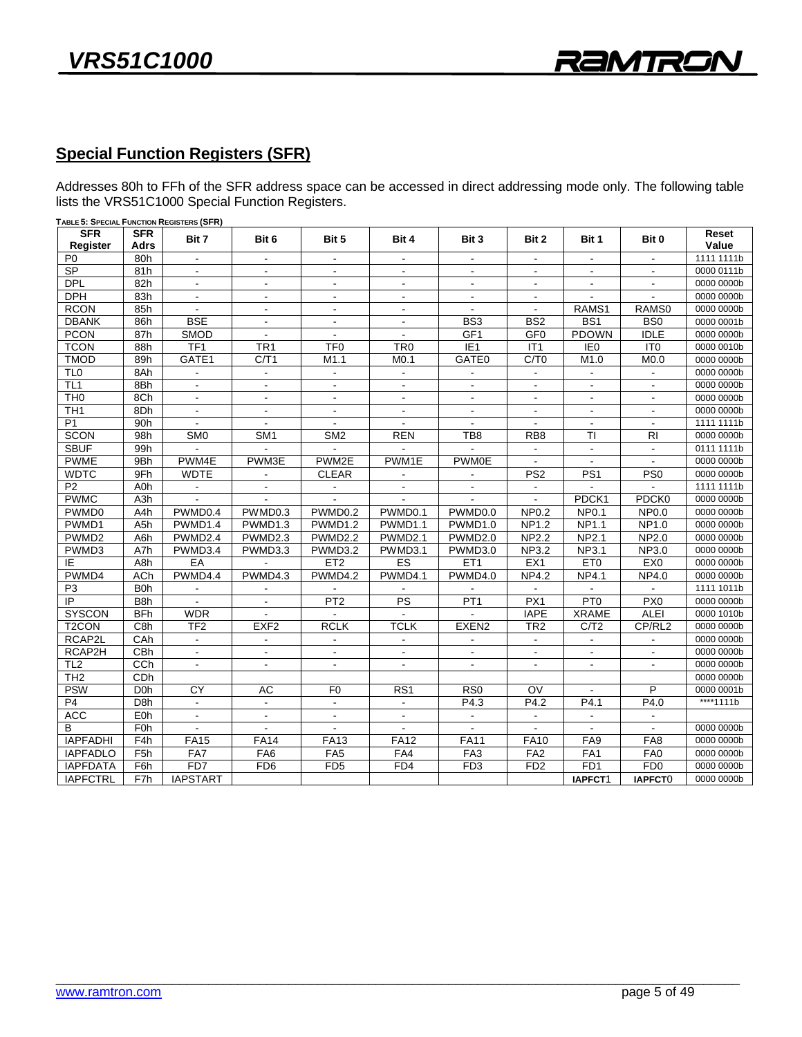## **Special Function Registers (SFR)**

 $\frac{1}{2}$  lists the VRS51C1000 Special Function Registers

| Register           | Adrs                    | Bit 7           | Bit 6                    | Bit 5                        | Bit 4                    | Bit 3                    | Bit 2                    | Bit 1                    | Bit 0            |            |
|--------------------|-------------------------|-----------------|--------------------------|------------------------------|--------------------------|--------------------------|--------------------------|--------------------------|------------------|------------|
|                    |                         |                 |                          |                              |                          |                          |                          |                          |                  | Value      |
| P <sub>0</sub>     | 80h                     | $\blacksquare$  | $\blacksquare$           | $\sim$                       | $\blacksquare$           | $\overline{\phantom{a}}$ |                          | $\blacksquare$           |                  | 1111 1111b |
| SP                 | 81h                     | $\blacksquare$  | $\blacksquare$           | $\blacksquare$               | $\blacksquare$           | $\blacksquare$           | $\blacksquare$           | $\blacksquare$           |                  | 0000 0111b |
| <b>DPL</b>         | 82h                     | $\blacksquare$  | $\overline{\phantom{a}}$ | $\blacksquare$               | $\overline{\phantom{a}}$ | $\blacksquare$           | $\overline{\phantom{a}}$ | $\blacksquare$           | $\blacksquare$   | 0000 0000b |
| DPH                | 83h                     | $\blacksquare$  | $\overline{\phantom{a}}$ | $\blacksquare$               | $\blacksquare$           | $\overline{\phantom{a}}$ | $\blacksquare$           | $\blacksquare$           | $\sim$           | 0000 0000b |
| <b>RCON</b>        | 85h                     |                 | $\blacksquare$           | $\overline{\phantom{a}}$     | $\blacksquare$           |                          |                          | RAMS1                    | RAMS0            | 0000 0000b |
| <b>DBANK</b>       | 86h                     | <b>BSE</b>      | $\blacksquare$           | $\blacksquare$               | $\blacksquare$           | BS <sub>3</sub>          | B <sub>S2</sub>          | BS <sub>1</sub>          | B <sub>S0</sub>  | 0000 0001b |
| <b>PCON</b>        | 87h                     | <b>SMOD</b>     | $\sim$                   | $\sim$                       | $\sim$                   | GF <sub>1</sub>          | GF <sub>0</sub>          | <b>PDOWN</b>             | <b>IDLE</b>      | 0000 0000b |
| <b>TCON</b>        | 88h                     | TF <sub>1</sub> | TR <sub>1</sub>          | TF <sub>0</sub>              | TR <sub>0</sub>          | E1                       | IT1                      | E <sub>0</sub>           | IT <sub>0</sub>  | 0000 0010b |
| <b>TMOD</b>        | 89h                     | GATE1           | C/T1                     | M1.1                         | M <sub>0.1</sub>         | GATE0                    | C/T0                     | M1.0                     | M <sub>0.0</sub> | 0000 0000b |
| TL <sub>0</sub>    | 8Ah                     | $\blacksquare$  | $\blacksquare$           | $\blacksquare$               | $\blacksquare$           |                          |                          |                          |                  | 0000 0000b |
| TL <sub>1</sub>    | 8Bh                     |                 |                          |                              |                          |                          |                          |                          |                  | 0000 0000b |
| TH <sub>0</sub>    | 8Ch                     | $\Delta$        | $\blacksquare$           | $\blacksquare$               | $\sim$                   | $\blacksquare$           | $\blacksquare$           | $\blacksquare$           | $\blacksquare$   | 0000 0000b |
| TH <sub>1</sub>    | 8Dh                     | $\blacksquare$  | $\blacksquare$           | $\blacksquare$               | $\sim$                   | $\blacksquare$           | $\blacksquare$           | $\overline{\phantom{a}}$ |                  | 0000 0000b |
| P <sub>1</sub>     | 90h                     |                 |                          |                              |                          |                          |                          |                          |                  | 1111 1111b |
| <b>SCON</b>        | 98h                     | SM <sub>0</sub> | SM <sub>1</sub>          | SM <sub>2</sub>              | <b>REN</b>               | TB <sub>8</sub>          | RB <sub>8</sub>          | TI                       | R <sub>l</sub>   | 0000 0000b |
| <b>SBUF</b>        | 99h                     |                 |                          |                              |                          |                          | $\overline{\phantom{a}}$ | $\blacksquare$           | $\blacksquare$   | 0111 1111b |
| <b>PWME</b>        | 9Bh                     | PWM4E           | PWM3E                    | PWM2E                        | PWM1E                    | <b>PWM0E</b>             |                          |                          |                  | 0000 0000b |
| <b>WDTC</b>        | 9Fh                     | <b>WDTE</b>     | $\blacksquare$           | <b>CLEAR</b>                 | $\blacksquare$           | $\blacksquare$           | PS <sub>2</sub>          | PS <sub>1</sub>          | PS0              | 0000 0000b |
| P <sub>2</sub>     | A0h                     | $\blacksquare$  | $\overline{\phantom{a}}$ | $\qquad \qquad \blacksquare$ | $\overline{\phantom{a}}$ | $\blacksquare$           | $\blacksquare$           | $\blacksquare$           |                  | 1111 1111b |
| <b>PWMC</b>        | A3h                     |                 |                          |                              |                          | $\blacksquare$           |                          | PDCK1                    | PDCK0            | 0000 0000b |
| PWMD0              | A <sub>4</sub> h        | PWMD0.4         | PWMD0.3                  | PWMD0.2                      | PWMD0.1                  | PWMD0.0                  | <b>NP0.2</b>             | <b>NP0.1</b>             | <b>NP0.0</b>     | 0000 0000b |
| PWMD1              | A <sub>5</sub> h        | PWMD1.4         | PWMD1.3                  | PWMD1.2                      | PWMD1.1                  | PWMD1.0                  | <b>NP1.2</b>             | <b>NP1.1</b>             | NP1.0            | 0000 0000b |
| PWMD <sub>2</sub>  | A6h                     | PWMD2.4         | PWMD2.3                  | PWMD2.2                      | PWMD2.1                  | PWMD2.0                  | <b>NP2.2</b>             | <b>NP2.1</b>             | NP2.0            | 0000 0000b |
| PWMD3              | A7h                     | PWMD3.4         | PWMD3.3                  | PWMD3.2                      | PWMD3.1                  | PWMD3.0                  | NP3.2                    | NP3.1                    | NP3.0            | 0000 0000b |
| IE                 | A8h                     | EA              |                          | ET <sub>2</sub>              | <b>ES</b>                | ET <sub>1</sub>          | EX1                      | ET <sub>0</sub>          | EX0              | 0000 0000b |
| PWMD4              | <b>ACh</b>              | PWMD4.4         | PWMD4.3                  | PWMD4.2                      | PWMD4.1                  | PWMD4.0                  | <b>NP4.2</b>             | <b>NP4.1</b>             | <b>NP4.0</b>     | 0000 0000b |
| P <sub>3</sub>     | B <sub>0</sub> h        |                 |                          |                              |                          |                          |                          |                          |                  | 1111 1011b |
| $\overline{P}$     | B <sub>8</sub> h        | $\blacksquare$  | $\blacksquare$           | PT2                          | $\overline{\mathsf{PS}}$ | PT1                      | PX1                      | PT <sub>0</sub>          | PX0              | 0000 0000b |
| <b>SYSCON</b>      | <b>BFh</b>              | <b>WDR</b>      | $\blacksquare$           |                              | $\sim$                   | $\blacksquare$           | <b>IAPE</b>              | <b>XRAME</b>             | <b>ALEI</b>      | 0000 1010b |
| T <sub>2</sub> CON | C8h                     | TF <sub>2</sub> | EXF <sub>2</sub>         | <b>RCLK</b>                  | <b>TCLK</b>              | EXEN <sub>2</sub>        | TR <sub>2</sub>          | C/T2                     | CP/RL2           | 0000 0000b |
| RCAP2L             | CAh                     | $\blacksquare$  | $\blacksquare$           | $\blacksquare$               | $\blacksquare$           | $\blacksquare$           | $\sim$                   | $\blacksquare$           | $\blacksquare$   | 0000 0000b |
| RCAP2H             | CBh                     | $\blacksquare$  | $\overline{\phantom{a}}$ |                              | $\blacksquare$           | $\blacksquare$           | $\overline{\phantom{a}}$ | $\overline{\phantom{a}}$ |                  | 0000 0000b |
| TL <sub>2</sub>    | CCh                     |                 | $\blacksquare$           | $\overline{a}$               |                          | $\blacksquare$           |                          |                          |                  | 0000 0000b |
| TH <sub>2</sub>    | CDh                     |                 |                          |                              |                          |                          |                          |                          |                  | 0000 0000b |
| <b>PSW</b>         | <b>D</b> <sub>O</sub> h | CY              | AC                       | F <sub>0</sub>               | RS <sub>1</sub>          | RS <sub>0</sub>          | OV                       |                          | P                | 0000 0001b |
| P <sub>4</sub>     | D <sub>8</sub> h        | $\mathbf{r}$    | $\Delta$                 | $\blacksquare$               | $\blacksquare$           | P4.3                     | P4.2                     | P4.1                     | P4.0             | ****1111b  |
| <b>ACC</b>         | EOh                     | $\mathbb{Z}^2$  | $\mathbf{r}$             | $\blacksquare$               | $\mathbb{Z}^2$           | $\omega$                 | $\omega$                 | $\omega$                 | $\mathbf{r}$     |            |
| B                  | F <sub>0</sub> h        | $\blacksquare$  | $\blacksquare$           |                              | $\blacksquare$           |                          |                          |                          |                  | 0000 0000b |
| <b>IAPFADHI</b>    | F <sub>4</sub> h        | <b>FA15</b>     | <b>FA14</b>              | <b>FA13</b>                  | <b>FA12</b>              | <b>FA11</b>              | <b>FA10</b>              | FA9                      | FA8              | 0000 0000b |
| <b>IAPFADLO</b>    | F <sub>5</sub> h        | FA7             | FA <sub>6</sub>          | FA5                          | FA4                      | FA <sub>3</sub>          | FA2                      | FA1                      | FA0              | 0000 0000b |
| <b>IAPFDATA</b>    | F6h                     | FD7             | FD <sub>6</sub>          | FD <sub>5</sub>              | FD4                      | FD <sub>3</sub>          | FD <sub>2</sub>          | FD1                      | FD0              | 0000 0000b |
| <b>IAPFCTRL</b>    | F7h                     | <b>IAPSTART</b> |                          |                              |                          |                          |                          | IAPFCT1                  | IAPFCT0          | 0000 0000b |

lists the VRS51C1000 Special Function Registers. **TABLE 5: SPECIAL FUNCTION REGISTERS (SFR)**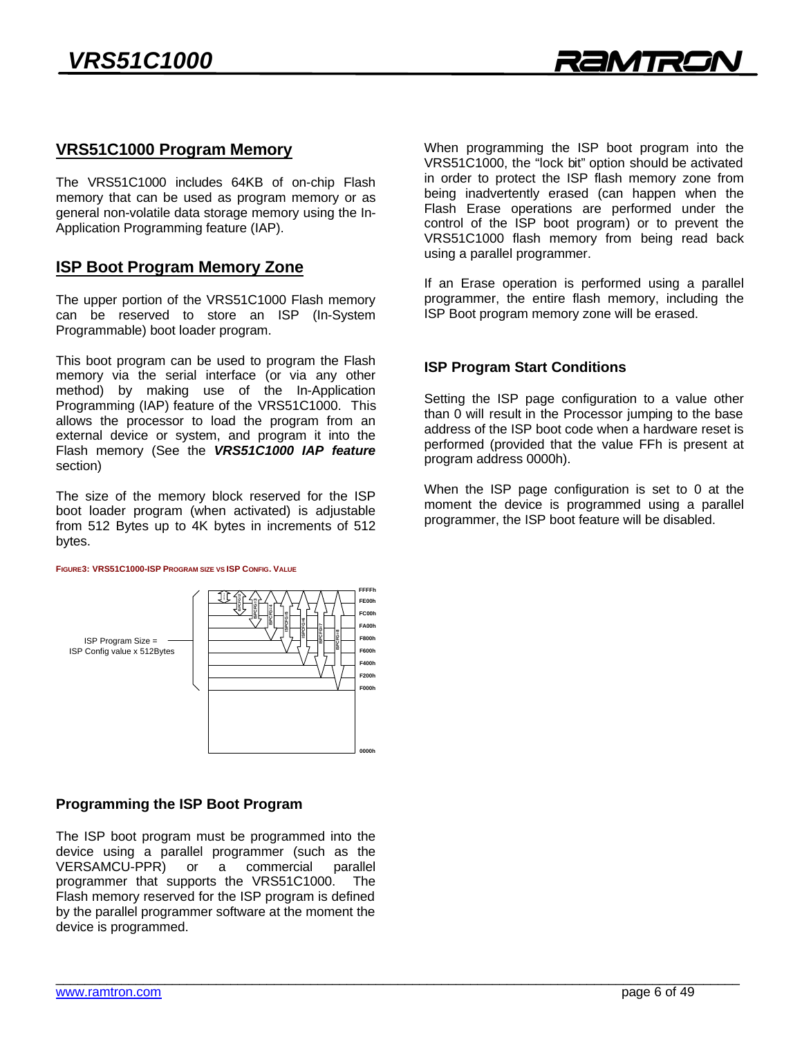# **VRS51C1000 Program Memory**

The VRS51C1000 includes 64KB of on-chip Flash<br>memory that can be used as program memory or as general non-volatile data storage memory using the In-Application Programming feature (IAP). Application Programming feature (IAP).

# **ISP Booth Program Memory 200**

The upper portion of the VRS51C1000 Flash memory<br>can be reserved to store an ISP (In-System ear be reserved to store an ISP (in-system Programmable) boot loader program.

This boot program can be used to program the Flash<br>memory via the serial interface (or via any other method) by making use of the In-Application Programming (IAP) feature of the VRS51C1000. This allows the processor to load the program from an external device or system, and program it into the Flash memory (See the VRS51C1000 IAP feature Flash memory (See the *VRS51C1000 IAP feature* section)

The size of the memory block reserved for the ISP<br>boot loader program (when activated) is adjustable from 512 Bytes up to  $4K$  bytes in increments of 512 from 512 Bytes up to 4K bytes in increments of 512 bytes.

**FIGURE3: VRS51C1000-ISP PROGRAM SIZE VS ISP CONFIG. VALUE**

:FFFh **ISPCFG=2**<br>
ISPCFG=3<br>
ISPCFG=3<br>
ISPCFG=3<br>
ISPCFG=3<br>
ISPCFG=3<br>
ISPCFG=3<br>
ISPCFG=3<br>
ISPCFG=3<br>
ISPCFG=3<br>
ISPCFG=5<br>
ISPCFG=5<br>
ISPCFG=5<br>
ISPCFG=5<br>
ISPCFG=5<br>
ISPCFG=5<br>
ISPCFG=5<br>
ISPCFG=5<br>
ISPCFG=5<br>
ISPCFG=5<br>
ISPCFG=5<br>
ISPCFG=5<br> FF00b **ECOOH ISPCFG=6 FA00h ISPCFG=7 ISPCFG=8** ISP Program Size = -<br>ISP Config value x 512Bytes **F800h**  $\mathbf{S}$  and  $\mathbf{S}$ **F400h**

# **Programming the ISP Boot Program**

The ISP boot program must be programmed into the device using a parallel programmer (such as the VERSAMCU-PPR) or a commercial parallel programmer that supports the VRS51C1000. The Flash memory reserved for the ISP program is defined by the parallel programmer software at the moment the device is programmed. device is programmed.

When programming the ISP boot program into the VRS51C1000, the "lock bit" option should be activated in order to protect the ISP flash memory zone from being inadvertently erased (can happen when the Flash Erase operations are performed under the control of the ISP boot program) or to prevent the VRS51C1000 flash memory from being read back using a parallel programmer. using a parallel programmer.

If an Erase operation is performed using a parallel<br>programmer, the entire flash memory, including the programmer, the entire mass memory, including the ISP  $\mathcal{L}$  be example, with  $\mathcal{L}$ 

### **ISP Program Start Conditions**

Setting the ISP page configuration to a value other than 0 will result in the Processor jumping to the base address of the ISP boot code when a hardware reset is performed (provided that the value FFh is present at program address 0000h). program address 0000h).

When the ISP page configuration is set to 0 at the moment the device is programmed using a parallel programmer, the ISP boot feature will be disabled. programmer, the ISP boot feature will be disabled.

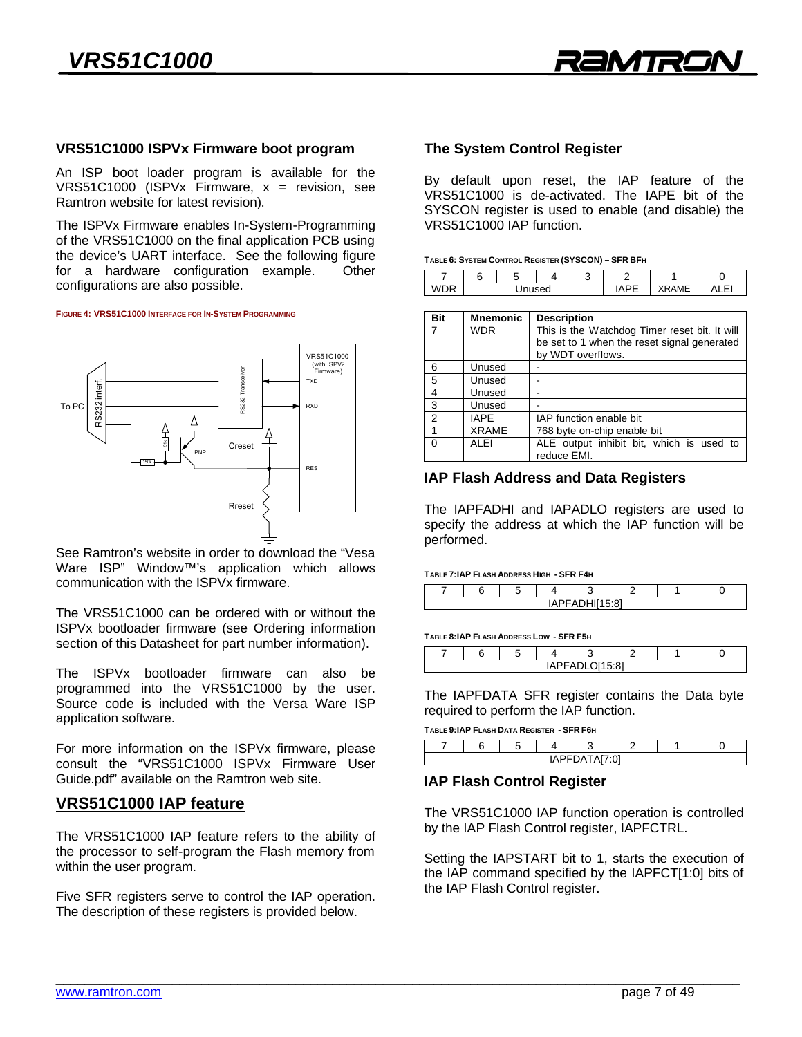

# **VRS51C1000 ISPVx Firmware boot program**

VRS51C1000 (ISPVx Firmware,  $x =$  revision, see Ramtron website for latest revision).

The ISPVx Firmware enables In-System-Programming of the VRS51C1000 on the final application PCB using the device's UART interface. See the following figure for a hardware configuration example. Other configurations are also possible. configurations are also possible.

**FIGURE 4: VRS51C1000 INTERFACE FOR IN-SYSTEM PROGRAMMING**



See Ramtron's website in order to download the "Vesa<br>Ware ISP" Window<sup>TM</sup>'s application which allows communication with the ISPVx firmware. communication with the ISPV firmware.

The VRS51C1000 can be ordered with or without the ISPVx bootloader firmware (see Ordering information section of this Datasheet for part number information). section of this Datasheet for part number information).

The ISPVx bootloader firmware can also be programmed into the VRS51C1000 by the user. Source code is included with the Versa Ware ISP application software. application software.

For more information on the ISPVx firmware, please consult the "VRS51C1000 ISPVx Firmware User Guide.pdf" available on the Ramtron web site. Guide.pdf" available on the Ramtron web site.

### **VRS51C1000 IAP feature**

The VRS51C1000 IAP feature refers to the ability of the processor to self-program the Flash memory from within the user program. with the user probability  $\mathcal{L}_{\mathcal{D}}$  and user probability  $\mathcal{L}_{\mathcal{D}}$ 

Five SFR registers serve to control the IAP operation.<br>The description of these registers is provided below. The description of these registers is provided below.

# **The System Control Register**

By default upon reset, the IAP feature of the<br>VRS51C1000 is de-activated. The IAPE bit of the SYSCON register is used to enable (and disable) the VRS51C1000 IAP function. VRS51C1000 IAP function.

| __ |        | . .<br>$\sim$ | . | ___ |             |    |
|----|--------|---------------|---|-----|-------------|----|
|    |        |               |   | ◠   |             |    |
|    | Unused |               |   |     | <b>RAME</b> | с١ |
|    |        |               |   |     |             |    |

| Bit      | <b>Mnemonic</b> | <b>Description</b>                                      |  |  |  |  |  |
|----------|-----------------|---------------------------------------------------------|--|--|--|--|--|
| 7        | <b>WDR</b>      | This is the Watchdog Timer reset bit. It will           |  |  |  |  |  |
|          |                 | be set to 1 when the reset signal generated             |  |  |  |  |  |
|          |                 | by WDT overflows.                                       |  |  |  |  |  |
| 6        | Unused          |                                                         |  |  |  |  |  |
| 5        | Unused          |                                                         |  |  |  |  |  |
| 4        | Unused          |                                                         |  |  |  |  |  |
| 3        | Unused          |                                                         |  |  |  |  |  |
| 2        | <b>IAPE</b>     | IAP function enable bit                                 |  |  |  |  |  |
| 1        | <b>XRAME</b>    | 768 byte on-chip enable bit                             |  |  |  |  |  |
| $\Omega$ | <b>ALEI</b>     | ALE output inhibit bit, which is used to<br>reduce EMI. |  |  |  |  |  |

### **IAP Flash Address and Data Registers**

The IAPFADHI and IAPADLO registers are used to specify the address at which the IAP function will be performed. performed.

#### TABLE 7: IAP FLASH ADDRESS HIGH - SFR F4H

| $\sqrt{2}$<br>∣∆∟<br>-<br><i>"</i><br>$-1$ |  |  |  |  |  |  |  |  |
|--------------------------------------------|--|--|--|--|--|--|--|--|
|                                            |  |  |  |  |  |  |  |  |

|                                  |  | . |  |  |  |  |  |
|----------------------------------|--|---|--|--|--|--|--|
|                                  |  |   |  |  |  |  |  |
| $T^*$ DI OLLE-01<br>$\cdots$<br> |  |   |  |  |  |  |  |
|                                  |  |   |  |  |  |  |  |

The IAPFDATA SFR register contains the Data byte required to perform the IAP function. required to perform the IAP function.

| $2 - 2$ |  |  |  |  |  |  |  |
|---------|--|--|--|--|--|--|--|
|         |  |  |  |  |  |  |  |

### **IAP Flash Control Register**

by the IAP Flash Control register IAPFCTRI  $\mathbf{b}$ 

Setting the IAPSTART bit to 1, starts the execution of the IAP command specified by the IAPFCT[1:0] bits of the IAP Flash Control register. the IAP Flash Control register.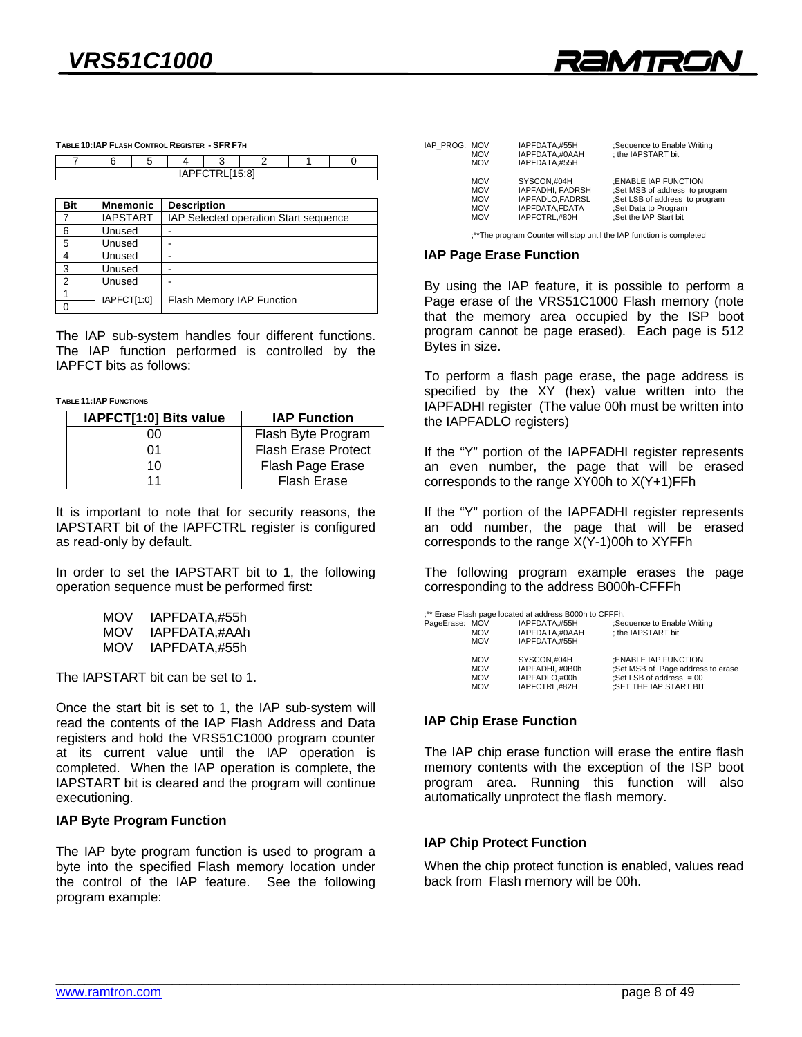

**TABLE 10:IAP FLASH CONTROL REGISTER - SFR F7H**

| IAPFCTRL[15:8] |                 |  |                                       |  |  |  |  |
|----------------|-----------------|--|---------------------------------------|--|--|--|--|
|                |                 |  |                                       |  |  |  |  |
| Bit            | <b>Mnemonic</b> |  | <b>Description</b>                    |  |  |  |  |
|                | <b>IAPSTART</b> |  | IAP Selected operation Start sequence |  |  |  |  |
|                |                 |  |                                       |  |  |  |  |

| 6  | Unused      | -                         |
|----|-------------|---------------------------|
| 5  | Unused      |                           |
|    | Unused      |                           |
| -3 | Unused      |                           |
| ົ  | Unused      |                           |
|    | IAPFCT[1:0] |                           |
|    |             | Flash Memory IAP Function |
|    |             |                           |

The IAP sub-system handles four different functions.<br>The IAP function performed is controlled by the IAPFCT bits as follows: IAPFCT bits as follows:

TABLE 11:IAP FUNCTIONS

| IAPFCT[1:0] Bits value | <b>IAP Function</b>        |
|------------------------|----------------------------|
| Ю                      | Flash Byte Program         |
| ი1                     | <b>Flash Erase Protect</b> |
| 10                     | Flash Page Erase           |
| 11                     | <b>Flash Erase</b>         |

It is important to note that for security reasons, the IAPSTART bit of the IAPFCTRL register is configured as read-only by default. as read-only by default.

operation sequence must be performed first operation sequence must be performed first:

| MOV | IAPFDATA.#55h |
|-----|---------------|
| MOV | IAPFDATA,#AAh |
| MOV | IAPFDATA,#55h |
|     |               |

The IAPSTART bit can be set to 1.

Once the start bit is set to 1, the IAP sub-system will read the contents of the IAP Flash Address and Data registers and hold the VRS51C1000 program counter at its current value until the IAP operation is completed. When the IAP operation is complete, the IAPSTART bit is cleared and the program will continue executioning.

### executioning. **IAP Byte Program Function**

The IAP byte program function is used to program a byte into the specified Flash memory location under the control of the IAP feature. See the following program example: program example:

| IAP PROG: MOV | <b>MOV</b><br><b>MOV</b> | IAPFDATA.#55H<br>IAPFDATA.#0AAH<br>IAPFDATA.#55H | ;Sequence to Enable Writing<br>: the IAPSTART bit                     |
|---------------|--------------------------|--------------------------------------------------|-----------------------------------------------------------------------|
|               | <b>MOV</b><br><b>MOV</b> | SYSCON.#04H<br>IAPFADHI, FADRSH                  | :ENABLE IAP FUNCTION                                                  |
|               | <b>MOV</b>               |                                                  | :Set MSB of address to program                                        |
|               |                          | IAPFADLO.FADRSL                                  | :Set LSB of address to program                                        |
|               | <b>MOV</b>               | IAPFDATA.FDATA                                   | :Set Data to Program                                                  |
|               | <b>MOV</b>               | IAPFCTRL.#80H                                    | :Set the IAP Start bit                                                |
|               |                          |                                                  | ;** The program Counter will stop until the IAP function is completed |

**IAP Page Erase Function**

By using the IAP feature, it is possible to perform a Page erase of the VRS51C1000 Flash memory (note that the memory area occupied by the ISP boot program cannot be page erased). Each page is 512 Bytes in size. Bytes in size.

To perform a flash page erase, the page address is specified by the XY (hex) value written into the IAPFADHI register (The value 00h must be written into the IAPFADLO registers)  $\cdots$   $\cdots$   $\cdots$   $\cdots$   $\cdots$   $\cdots$   $\cdots$   $\cdots$   $\cdots$   $\cdots$   $\cdots$   $\cdots$   $\cdots$   $\cdots$   $\cdots$   $\cdots$   $\cdots$   $\cdots$   $\cdots$   $\cdots$   $\cdots$   $\cdots$   $\cdots$   $\cdots$   $\cdots$   $\cdots$   $\cdots$   $\cdots$   $\cdots$   $\cdots$   $\cdots$   $\cdots$   $\cdots$   $\cdots$   $\cdots$   $\cdots$   $\cdots$ 

If the "Y" portion of the IAPFADHI register represents<br>an even number, the page that will be erased corresponds to the range  $XY(0)$ h to  $X(Y+1)$  FFh  $\ldots$  corresponds to the range  $\ldots$  corresponds to  $\ldots$ 

If the "Y" portion of the IAPFADHI register represents<br>an odd number, the page that will be erased corresponds to the range  $X(Y-1)$ 00h to  $XYFFh$  $\ldots$  the range  $\ldots$   $\ldots$  the  $\ldots$ 

 $\frac{1}{2}$  corresponding to the address  $\frac{1}{2}$  POODb-CFFFh  $\epsilon$  corresponding to the address B000  $\epsilon$ 

|                                            |                                                      | :** Erase Flash page located at address B000h to CFFFh.          |                                                                                                                   |  |  |
|--------------------------------------------|------------------------------------------------------|------------------------------------------------------------------|-------------------------------------------------------------------------------------------------------------------|--|--|
| PageErase: MOV<br><b>MOV</b><br><b>MOV</b> |                                                      | IAPFDATA.#55H<br>IAPFDATA.#0AAH<br>IAPFDATA.#55H                 | ;Sequence to Enable Writing<br>: the IAPSTART bit                                                                 |  |  |
|                                            | <b>MOV</b><br><b>MOV</b><br><b>MOV</b><br><b>MOV</b> | SYSCON.#04H<br>IAPFADHI, #0B0h<br>IAPFADLO.#00h<br>IAPFCTRL.#82H | :ENABLE IAP FUNCTION<br>:Set MSB of Page address to erase<br>:Set LSB of address $= 00$<br>:SET THE IAP START BIT |  |  |

# **IAP Chip Erase Function**

The IAP chip erase function will erase the entire flash<br>memory contents with the exception of the ISP boot program area. Running this function will also program area. Thanning this function will also<br>automatically unprotect the flash memory automatically unprotect the flash memory.

**IAP Chip Protect Function**<br>When the chip protect function is enabled, values read back from Flash memory will be 00h. back from Flash memory will be 00h.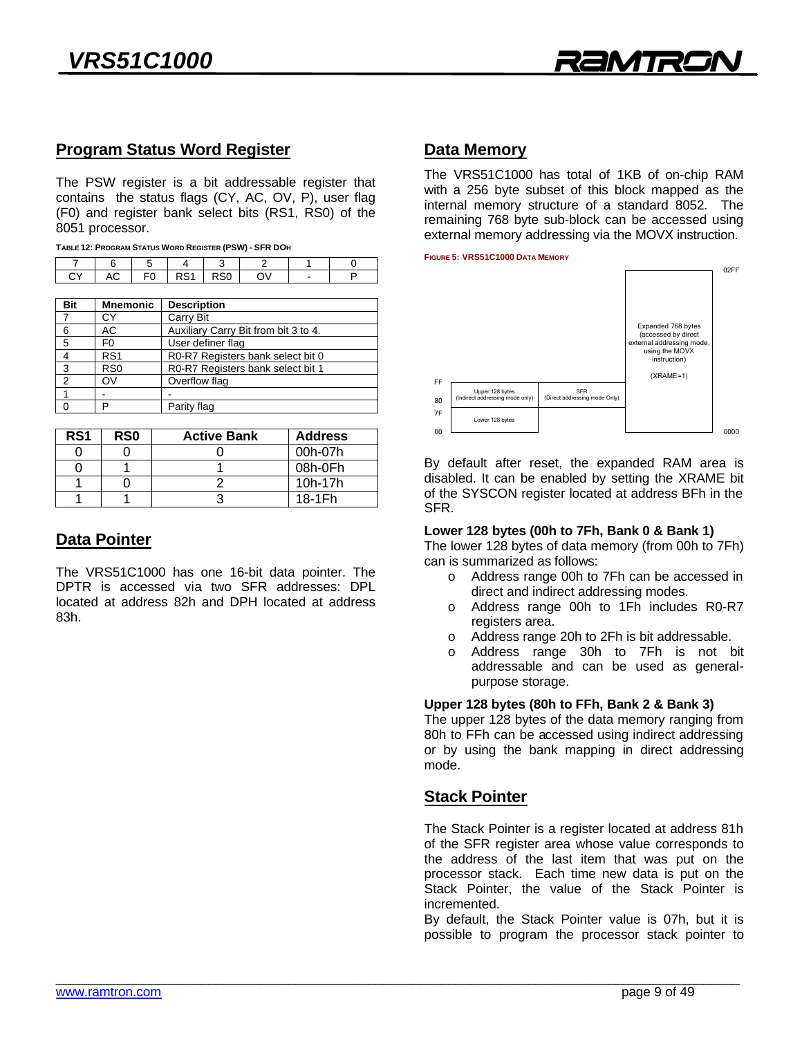

# **Program Status Word Register**

The PSW register is a bit addressable register that contains the status flags (CY, AC, OV, P), user flag (F0) and register bank select bits (RS1, RS0) of the 8051 processor.

|  | . |  |  |  |                                                        |
|--|---|--|--|--|--------------------------------------------------------|
|  |   |  |  |  | TABLE 12: PROGRAM STATUS WORD REGISTER (PSW) - SFR DOH |

|                 |  |  | .                     |  |
|-----------------|--|--|-----------------------|--|
|                 |  |  | 7   6   5   4   3   2 |  |
| ICY AC FOIRS1 I |  |  | ON                    |  |
|                 |  |  |                       |  |

| <b>Mnemonic</b> | <b>Description</b>                   |
|-----------------|--------------------------------------|
| СY              | Carry Bit                            |
| АC              | Auxiliary Carry Bit from bit 3 to 4. |
| F <sub>0</sub>  | User definer flag                    |
| RS <sub>1</sub> | R0-R7 Registers bank select bit 0    |
| R <sub>S0</sub> | R0-R7 Registers bank select bit 1    |
| OV              | Overflow flag                        |
|                 |                                      |
| רו              | Parity flag                          |
|                 |                                      |

| RS <sub>1</sub> | R <sub>S0</sub> | <b>Active Bank</b> | <b>Address</b> |
|-----------------|-----------------|--------------------|----------------|
|                 |                 |                    | 00h-07h        |
|                 |                 |                    | 08h-0Fh        |
|                 |                 |                    | 10h-17h        |
|                 |                 |                    | 18-1Fh         |
|                 |                 |                    |                |

# **Data Pointer**

The VRS51C1000 has one 16-bit data pointer. The DPTR is accessed via two SFR addresses: DPL located at address 82h and DPH located at address located at address 82h and DPH located at address 83h.

**Data Memory** with a 256 byte subset of this block mapped as the internal memory structure of a standard 8052. The remaining 768 byte sub-block can be accessed using external memory addressing via the MOVX instruction. external memory addressing via the MOVX instruction.



By default after reset, the expanded RAM area is disabled. It can be enabled by setting the XRAME bit of the SYSCON register located at address BFh in the of the SYSCON register located at address BFh in the

### Lower 128 bytes (00h to 7Fh, Bank 0 & Bank 1)

The lower 128 bytes of data memory (from 00h to 7Fh) can is summarized as follows:

- o Address range 00h to 7Fh can be accessed in direct and indirect addressing modes.
- Address range 00h to 1Fh includes R0-R7  $\Omega$ registers area.
- Address range 20h to 2Fh is bit addressable.  $\Omega$
- $\circ$  Address range 30h to 7Fh is not bit addressable and can be used as generalpurpose storage.

### Upper 128 bytes (80h to FFh, Bank 2 & Bank 3)

The upper 128 bytes of the data memory ranging from 80h to FFh can be accessed using indirect addressing ed to FFh can be accessed using indirect addressing or by using the bank mapping in direct addressing

### **Stack Pointer**

The Stack Pointer is a register located at address 81h the address of the last item that was put on the processor stack. Each time new data is put on the Stack Pointer, the value of the Stack Pointer is incremented.

By default, the Stack Pointer value is 07h, but it is  $\mathsf{B}$  default, the State Pointer value is 07h, but it is  $\mathsf{B}$ possible to program the processor stack pointer to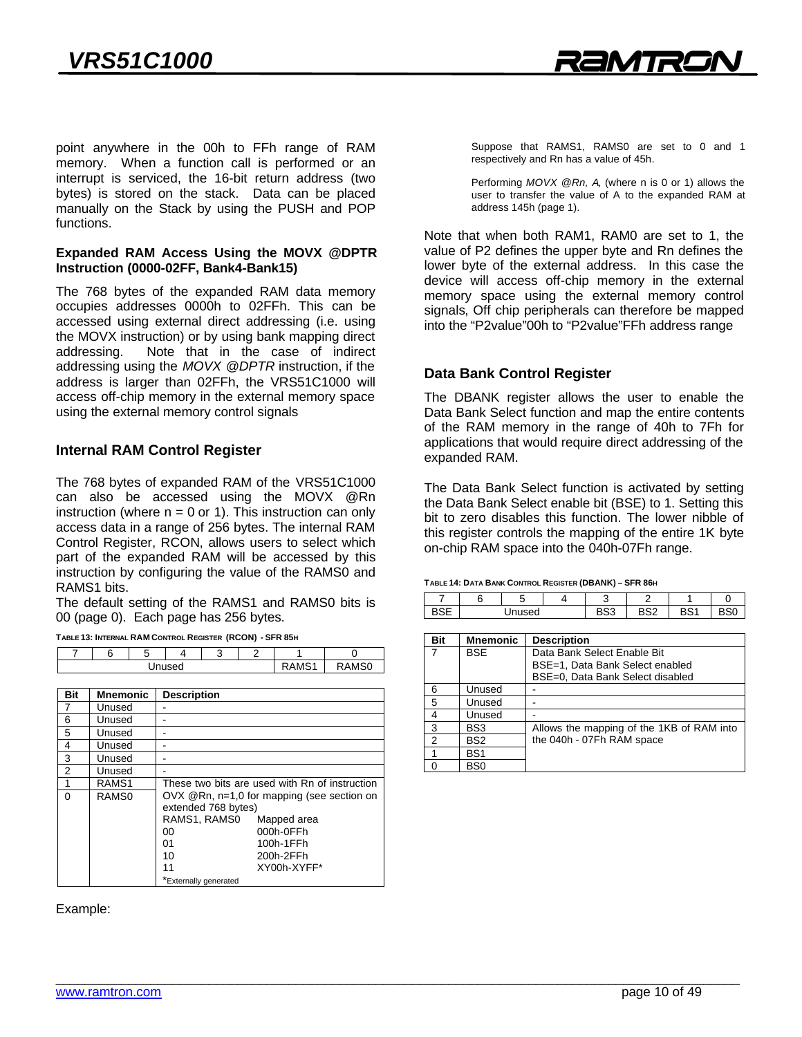point anywhere in the 00h to FFh range of RAM<br>memory. When a function call is performed or an interrupt is serviced, the 16-bit return address (two bytes) is stored on the stack. Data can be placed  $\frac{1}{2}$  manually on the Stack by using the PUSH and POP manually on the Statistics and Push and POP and POP functions.

## **Expanded RAM Access Using the MOVX @DPTR Instruction (0000-02FF, Bank4-Bank15)**

The 768 bytes of the expanded RAM data memory occupies addresses 0000h to 02FFh. This can be accessed using external direct addressing (i.e. using the MOVX instruction) or by using bank mapping direct addressing. Note that in the case of indirect addressing using the MOVX @DPTR instruction, if the address is larger than 02FFh, the VRS51C1000 will access off-chip memory in the external memory space using the external memory control signals using the external memory control signals

### **Internal RAM Control Register**

The 768 bytes of expanded RAM of the VRS51C1000 can also be accessed using the MOVX @Rn instruction (where  $n = 0$  or 1). This instruction can only access data in a range of 256 bytes. The internal RAM Control Register, RCON, allows users to select which part of the expanded RAM will be accessed by this instruction by configuring the value of the RAMS0 and RAMS1 bits.

The default setting of the RAMS1 and RAMS0 bits is 00 (page 0). Each page has 256 bytes.

TABLE 13: INTERNAL RAM CONTROL REGISTER (RCON) - SFR 85H

| . .<br>.<br>.<br>.<br>$\sim$<br>___ |  |               |  |  |  |       |             |  |
|-------------------------------------|--|---------------|--|--|--|-------|-------------|--|
|                                     |  | $\equiv$<br>ັ |  |  |  |       |             |  |
| Unused                              |  |               |  |  |  | 0.004 | <b>AMSC</b> |  |
|                                     |  |               |  |  |  |       |             |  |

| <b>Bit</b>     | Mnemonic          | <b>Description</b>                  |                                                |
|----------------|-------------------|-------------------------------------|------------------------------------------------|
| $\overline{7}$ | Unused            |                                     |                                                |
| 6              | Unused            |                                     |                                                |
| 5              | Unused            |                                     |                                                |
| 4              | Unused            |                                     |                                                |
| 3              | Unused            |                                     |                                                |
| $\overline{2}$ | Unused            |                                     |                                                |
| 1              | RAMS <sub>1</sub> |                                     | These two bits are used with Rn of instruction |
| $\Omega$       | RAMS <sub>0</sub> | extended 768 bytes)<br>RAMS1, RAMS0 | $OVK$ @Rn, n=1,0 for mapping (see section on   |
|                |                   | 00                                  | Mapped area<br>000h-0FFh                       |
|                |                   | 01                                  | 100h-1FFh                                      |
|                |                   | 10                                  | 200h-2FFh                                      |
|                |                   | 11                                  | XY00h-XYFF*                                    |
|                |                   | *Externally generated               |                                                |

Example:

suppose that Ramsen, Ramsen are set to blanched.<br>respectively and Rn has a value of 45h respectively and Rn has a value of 45h.

Performing *MOVX @Rn, A*, (where n is 0 or 1) allows the user to the value of  $\frac{1}{4}$  to the expanding  $\frac{1}{4}$  to the expanding  $\frac{1}{4}$ address 145h (page 1).

Note that when both RAM1, RAM0 are set to 1, the value of P2 defines the upper byte and Rn defines the lower byte of the external address. In this case the device will access off-chip memory in the external memory space using the external memory control signals, Off chip peripherals can therefore be mapped into the "P2value"00h to "P2value"FFh address range into the "P2value"00h to "P2value"FFh address range

**Data Bank Control Register**<br>The DBANK register allows the user to enable the Data Bank Select function and map the entire contents of the RAM memory in the range of 40h to 7Fh for applications that would require direct addressing of the expanded RAM. expanded RAM.

The Data Bank Select function is activated by setting the Data Bank Select enable bit (BSE) to 1. Setting this bit to zero disables this function. The lower nibble of this register controls the mapping of the entire 1K byte on-chip RAM space into the 040h-07Fh range. on-chip RAM space into the 040h-07Fh range.

#### **TABLE 14: DATA BANK CONTROL REGISTER (DBANK) – SFR 86H**

|      |        | . . |                     |      |     |  |
|------|--------|-----|---------------------|------|-----|--|
|      | -<br>w |     |                     |      |     |  |
| usea |        |     | D <sub>n</sub><br>ᄮ | noc. | no. |  |
|      |        |     |                     |      |     |  |

| Bit            | <b>Mnemonic</b> | <b>Description</b>                        |
|----------------|-----------------|-------------------------------------------|
|                | <b>BSE</b>      | Data Bank Select Enable Bit               |
|                |                 | BSE=1, Data Bank Select enabled           |
|                |                 | BSE=0, Data Bank Select disabled          |
| 6              | Unused          |                                           |
| 5              | Unused          |                                           |
| 4              | Unused          |                                           |
| 3              | BS3             | Allows the mapping of the 1KB of RAM into |
| $\mathfrak{p}$ | BS <sub>2</sub> | the 040h - 07Fh RAM space                 |
|                | BS <sub>1</sub> |                                           |
|                | BS <sub>0</sub> |                                           |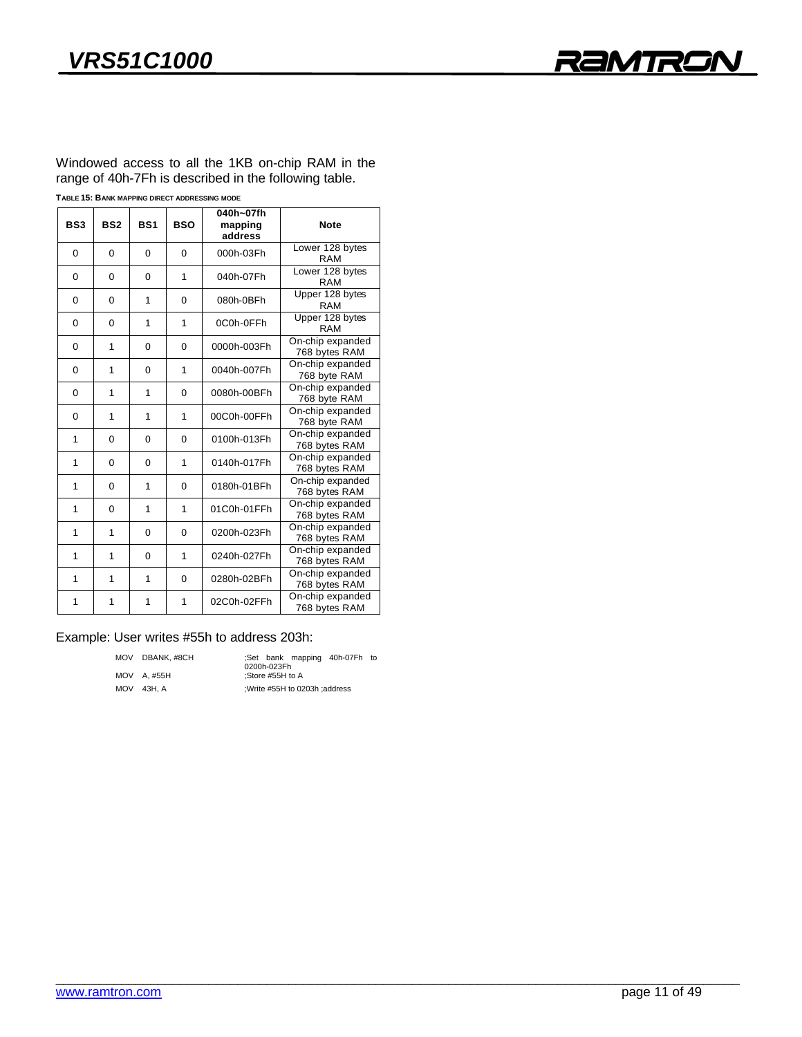

 $M$  moderness to all the  $M$  in the  $M$  on-chip  $M$  in the  $n$ range of 40h-7Fh is described in the following table.

| TABLE 15: BANK MAPPING DIRECT ADDRESSING MODE |  |
|-----------------------------------------------|--|
|-----------------------------------------------|--|

| BS <sub>3</sub> | BS <sub>2</sub> | <b>BS1</b> | <b>BSO</b> | 040h~07fh<br>mapping<br>address | <b>Note</b>                       |
|-----------------|-----------------|------------|------------|---------------------------------|-----------------------------------|
| $\Omega$        | 0               | $\Omega$   | $\Omega$   | 000h-03Fh                       | Lower 128 bytes<br>RAM            |
| $\Omega$        | 0               | $\Omega$   | 1          | 040h-07Fh                       | Lower 128 bytes<br>RAM            |
| $\Omega$        | 0               | 1          | 0          | 080h-0BFh                       | Upper 128 bytes<br><b>RAM</b>     |
| $\Omega$        | $\Omega$        | 1          | 1          | 0C0h-0FFh                       | Upper 128 bytes<br><b>RAM</b>     |
| $\Omega$        | 1               | $\Omega$   | $\Omega$   | 0000h-003Fh                     | On-chip expanded<br>768 bytes RAM |
| $\Omega$        | 1               | $\Omega$   | 1          | 0040h-007Fh                     | On-chip expanded<br>768 byte RAM  |
| $\Omega$        | 1               | 1          | 0          | 0080h-00BFh                     | On-chip expanded<br>768 byte RAM  |
| $\Omega$        | 1               | 1          | 1          | 00C0h-00FFh                     | On-chip expanded<br>768 byte RAM  |
| 1               | 0               | $\Omega$   | 0          | 0100h-013Fh                     | On-chip expanded<br>768 bytes RAM |
| 1               | 0               | $\Omega$   | 1          | 0140h-017Fh                     | On-chip expanded<br>768 bytes RAM |
| 1               | 0               | 1          | 0          | 0180h-01BFh                     | On-chip expanded<br>768 bytes RAM |
| 1               | 0               | 1          | 1          | 01C0h-01FFh                     | On-chip expanded<br>768 bytes RAM |
| 1               | 1               | $\Omega$   | $\Omega$   | 0200h-023Fh                     | On-chip expanded<br>768 bytes RAM |
| 1               | 1               | $\Omega$   | 1          | 0240h-027Fh                     | On-chip expanded<br>768 bytes RAM |
| 1               | 1               | 1          | $\Omega$   | 0280h-02BFh                     | On-chip expanded<br>768 bytes RAM |
| 1               | 1               | 1          | 1          | 02C0h-02FFh                     | On-chip expanded<br>768 bytes RAM |

# Example: User writes #55h to address 203h:<br>MOV DBANK, #8CH Set bank mappin

move 43H, A ;Write #55H to 0203h in 198H to 0203h ;

MOV BERNAM MODEL 1999 (COON-023Fh to AM-07FH to AM-07FH to AM-07FH to AM-07FH to AM-07FH to AM-07FH to AM-07FH to AM-07FH to AM-07FH to AM-07FH to AM-07FH to AM-07FH to AM-07FH to AM-07FH to AM-07FH to AM-07FH to AM-07FH t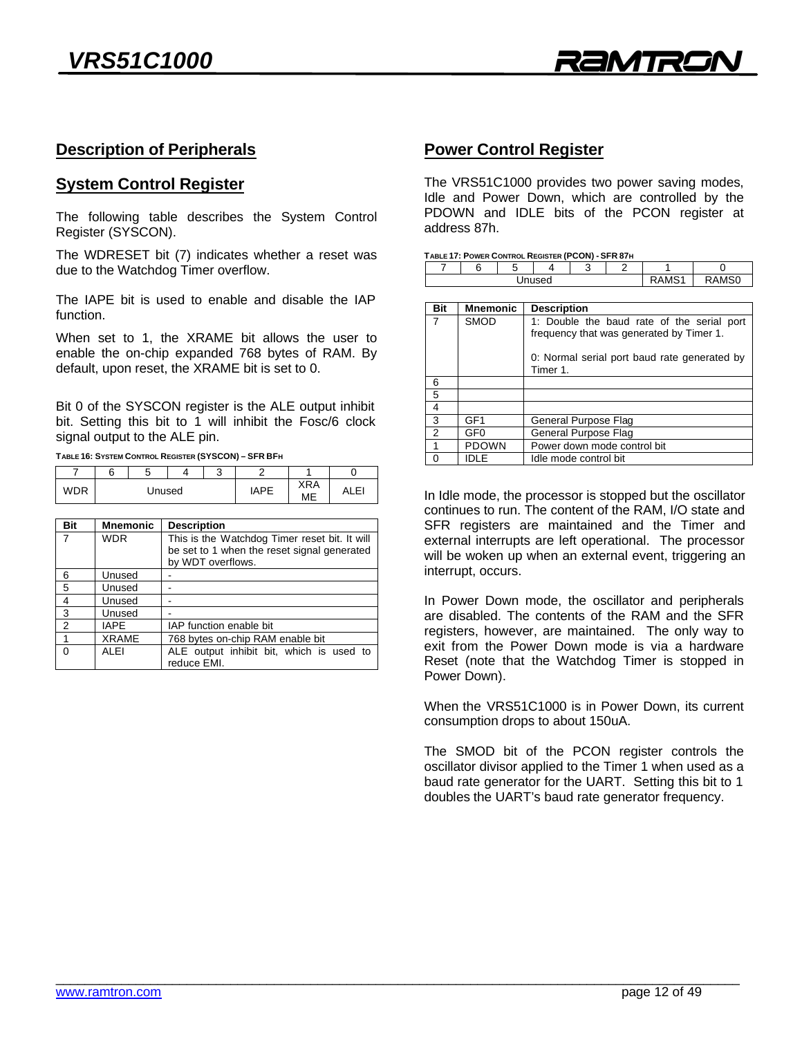

# **Description of Peripherals**

# **System Control Register**

The following table describes the System Control Register (SYSCON).

The WDRESET bit (7) indicates whether a reset was due to the Watchdog Timer overflow. due to the Watchdog Timer overflow.

The IAPE bit is used to enable and disable the IAP function.

When set to 1, the XRAME bit allows the user to enable the on-chip expanded 768 bytes of RAM. By default, upon reset, the XRAME bit is set to 0. definity upon recent, the XRAME bit is set to 0.0

Bit 0 of the SYSCON register is the ALE output inhibit bit. Setting this bit to 1 will inhibit the Fosc/6 clock signal output to the ALE pin.

signal output to the ALE pin. **TABLE 16: SYSTEM CONTROL REGISTER (SYSCON) – SFR BFH**

|        |  |  | $\sim$<br>хJ. |             |                  |               |
|--------|--|--|---------------|-------------|------------------|---------------|
| Unused |  |  |               | <b>IAPE</b> | <b>XRA</b><br>ME | c<br>د سا سرد |

| Bit            | <b>Mnemonic</b> | <b>Description</b>                            |  |  |  |  |  |
|----------------|-----------------|-----------------------------------------------|--|--|--|--|--|
| $\overline{7}$ | <b>WDR</b>      | This is the Watchdog Timer reset bit. It will |  |  |  |  |  |
|                |                 | be set to 1 when the reset signal generated   |  |  |  |  |  |
|                |                 | by WDT overflows.                             |  |  |  |  |  |
| 6              | Unused          |                                               |  |  |  |  |  |
| 5              | Unused          |                                               |  |  |  |  |  |
| $\overline{4}$ | Unused          |                                               |  |  |  |  |  |
| 3              | Unused          |                                               |  |  |  |  |  |
| 2              | <b>IAPE</b>     | IAP function enable bit                       |  |  |  |  |  |
|                | <b>XRAME</b>    | 768 bytes on-chip RAM enable bit              |  |  |  |  |  |
| $\Omega$       | <b>ALEI</b>     | ALE output inhibit bit, which is used to      |  |  |  |  |  |
|                |                 | reduce EMI.                                   |  |  |  |  |  |

# **Power Control Register**

The VRS51C1000 provides two power saving modes,<br>Idle and Power Down, which are controlled by the PDOWN and IDLE bits of the PCON register at address 87h. address 87h.

| ഘ<br>. |  |  |  |  |  |  |  |  |
|--------|--|--|--|--|--|--|--|--|
|        |  |  |  |  |  |  |  |  |

| Bit      | <b>Mnemonic</b> | <b>Description</b>                                                                     |
|----------|-----------------|----------------------------------------------------------------------------------------|
|          | <b>SMOD</b>     | 1: Double the baud rate of the serial port<br>frequency that was generated by Timer 1. |
|          |                 | 0: Normal serial port baud rate generated by<br>Timer 1.                               |
| 6        |                 |                                                                                        |
| 5        |                 |                                                                                        |
| 4        |                 |                                                                                        |
| 3        | GF <sub>1</sub> | General Purpose Flag                                                                   |
| 2        | GF0             | General Purpose Flag                                                                   |
| 1        | <b>PDOWN</b>    | Power down mode control bit                                                            |
| $\Omega$ | <b>IDLE</b>     | Idle mode control bit                                                                  |

In Idle mode, the processor is stopped but the oscillator continues to run. The content of the RAM, I/O state and SFR registers are maintained and the Timer and external interrupts are left operational. The processor will be woken up when an external event, triggering an interrupt, occurs. interrupt, occurs.

In Power Down mode, the oscillator and peripherals are disabled. The contents of the RAM and the SFR registers, however, are maintained. The only way to exit from the Power Down mode is via a hardware Reset (note that the Watchdog Timer is stopped in Power Down). Power Down).

When the VRS51C1000 is in Power Down, its current consumption drops to about 150uA. consumption drops to about 150uA.

The SMOD bit of the PCON register controls the oscillator divisor applied to the Timer 1 when used as a baud rate generator for the UART. Setting this bit to 1 baudies the UART's baud rate generator frequency doubles the UART's baud rate generator frequency.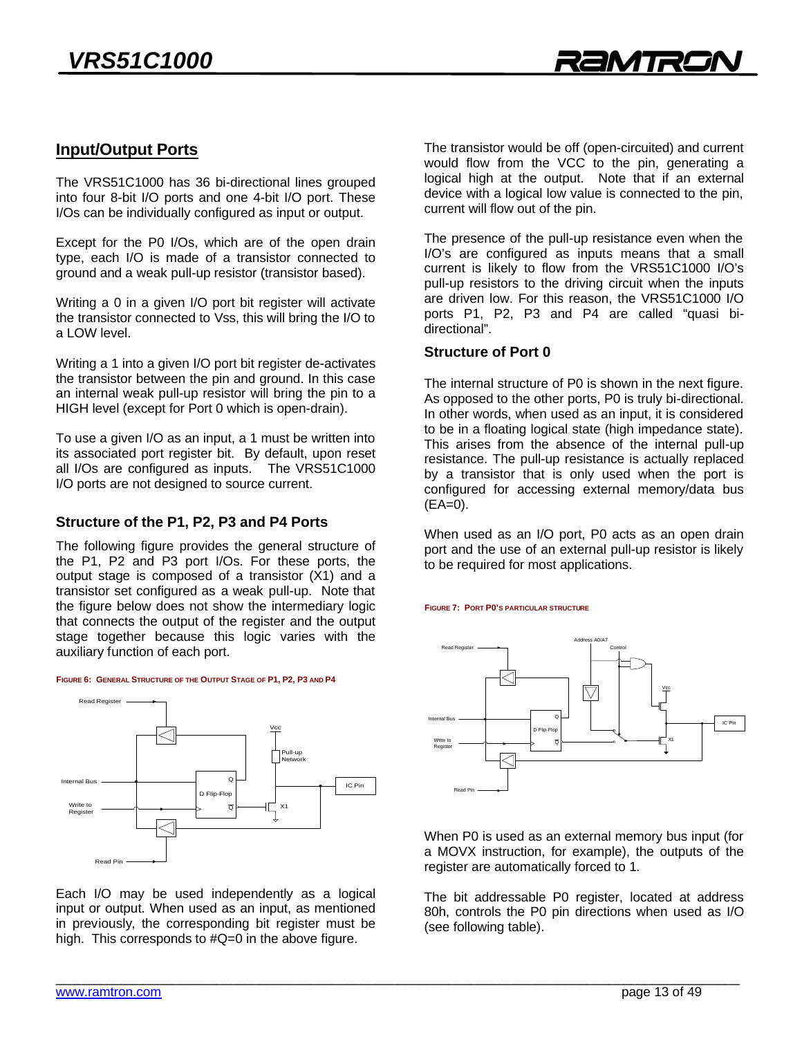# **Input/Output Ports**

The VRS51C1000 has 36 bi-directional lines grouped into four 8-bit I/O ports and one 4-bit I/O port. These  $I/Os$  can be individually configured as input or output I/Os can be individually configured as input or output.

Except for the P0 I/Os, which are of the open drain type, each I/O is made of a transistor connected to  $\frac{1}{2}$  or  $\frac{1}{2}$  and a weak pull-up resistor (transistor based)  $\mathcal{G}$  and a weak pulle-up resistor (transitor based).

Writing a 0 in a given I/O port bit register will activate the transistor connected to Vss, this will bring the I/O to a LOW level. a LOW level.

Writing a 1 into a given I/O port bit register de-activates the transistor between the pin and ground. In this case an internal weak pull-up resistor will bring the pin to a an internal mean pull-up resistor will bring the pin to a<br>HIGH level (except for Port 0 which is open-drain)  $H = H \cdot H \cdot P$  (except for Port 0 which is open-drain).

To use a given I/O as an input, a 1 must be written into all I/Os are configured as inputs. The VRS51C1000 I/O ports are not designed to source current. I/O ports are not designed to source current.

**Structure of the P1, P2, P3 and P4 Ports**<br>The following figure provides the general structure of the P1, P2 and P3 port I/Os. For these ports, the output stage is composed of a transistor  $(X1)$  and a transistor set configured as a weak pull-up. Note that the figure below does not show the intermediary logic that connects the output of the register and the output stage together because this logic varies with the auxiliary function of each port.  $\mathbf{a}$  and  $\mathbf{b}$  is each point.





Each I/O may be used independently as a logical input or output. When used as an input, as mentioned in previously, the corresponding bit register must be in previously, the corresponding an register must be<br>high This corresponds to  $\#O=0$  in the above figure  $\mathcal{L}_{\text{max}}$ 

The transistor would be off (open-circuited) and current would flow from the VCC to the pin, generating a logical high at the output. Note that if an external device with a logical low value is connected to the pin,  $\alpha$  current will flow out of the pin current will flow out of the pin.

The presence of the pull-up resistance even when the I/O's are configured as inputs means that a small current is likely to flow from the VRS51C1000 I/O's pull-up resistors to the driving circuit when the inputs are driven low. For this reason, the VRS51C1000 I/O ports P1, P2, P3 and P4 are called "quasi bidirectional".

#### **Structure of Port 0 Structure of Port 0**

The internal structure of P0 is shown in the next figure.<br>As opposed to the other ports, P0 is truly bi-directional. In other words, when used as an input, it is considered. to be in a floating logical state (high impedance state). This arises from the absence of the internal pull-up resistance. The pull-up resistance is actually replaced by a transistor that is only used when the port is configured for accessing external memory/data bused  $(FA=0)$  $($ =0 $)$ .

When used as an I/O port, P0 acts as an open drain<br>port and the use of an external pull-up resistor is likely  $\frac{1}{2}$  be required for most annications to be required for most applications.

**FIGURE 7: PORT P0'S PARTICULAR STRUCTURE**



When P0 is used as an external memory bus input (for<br>a MOVX instruction, for example), the outputs of the register are automatically forced to 1. register are automatically forced to 1.

The bit addressable P0 register, located at address<br>80h, controls the P0 pin directions when used as I/O (see following table).  $($ see following table).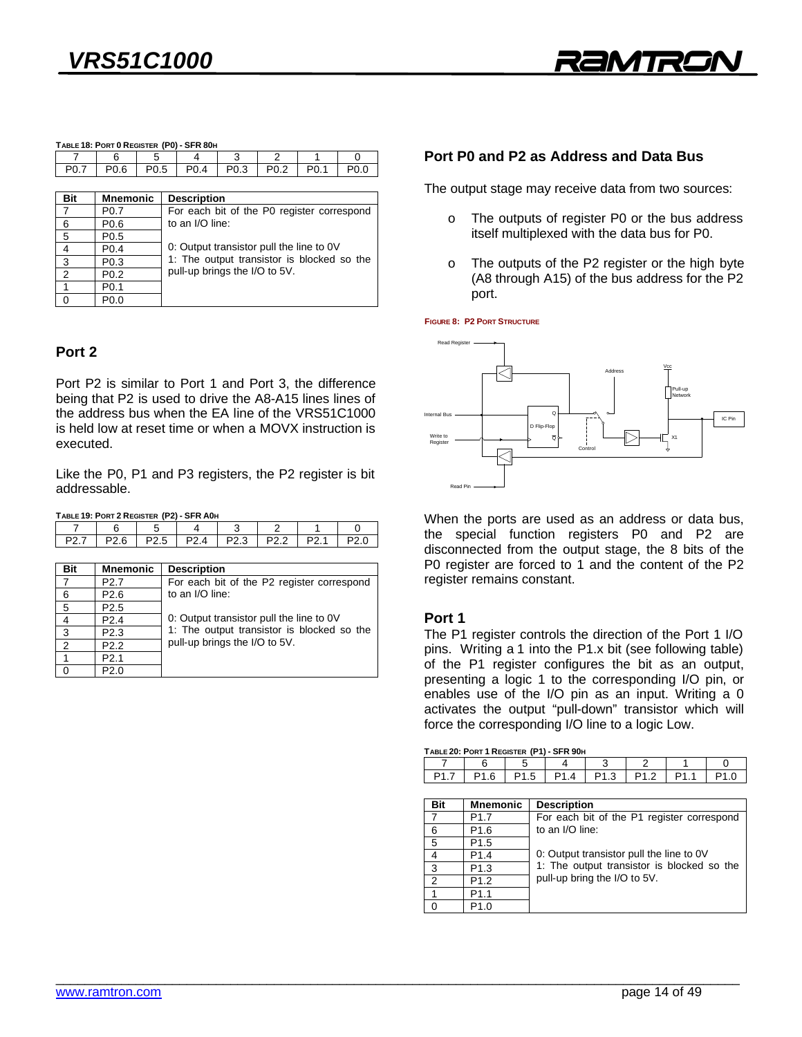| TABLE 18: PORT 0 REGISTER (P0) - SFR 80H |  |  |                  |  |                  |  |  |  |
|------------------------------------------|--|--|------------------|--|------------------|--|--|--|
|                                          |  |  |                  |  |                  |  |  |  |
|                                          |  |  | P <sub>0.4</sub> |  | P <sub>0.2</sub> |  |  |  |
|                                          |  |  |                  |  |                  |  |  |  |

| <b>Bit</b>     | <b>Mnemonic</b>  | <b>Description</b>                         |
|----------------|------------------|--------------------------------------------|
| $\overline{7}$ | P <sub>0.7</sub> | For each bit of the P0 register correspond |
| 6              | P <sub>0.6</sub> | to an I/O line:                            |
| 5              | P <sub>0.5</sub> |                                            |
|                | P <sub>0.4</sub> | 0: Output transistor pull the line to 0V   |
| 3              | P <sub>0.3</sub> | 1: The output transistor is blocked so the |
| $\mathcal{P}$  | P <sub>0.2</sub> | pull-up brings the I/O to 5V.              |
|                | P <sub>0.1</sub> |                                            |
|                | P0.0             |                                            |

#### Port<sub>2</sub> **Port 2**

0 Portugal (1992) (1992) (1992) (1992) (1992) (1992) (1992) (1992) (1992) (1992) (1992) (1992) (1992) (1992) (<br>2001) (1992) (1992) (1992) (1992) (1992) (1992) (1992) (1992) (1992) (1992) (1992) (1992) (1992) (1992) (1992)

Port P2 is similar to Port 1 and Port 3, the difference being that P2 is used to drive the A8-A15 lines lines of the address bus when the EA line of the VRS51C1000 is held low at reset time or when a MOVX instruction is executed. executed.

Like the P0, P1 and P3 registers, the P2 register is bit addressable.

**TABLE 19: PORT 2 REGISTER (P2) - SFR A0H**

0 P2.0

| P27   P26   P25   P24   P23   P22   P21   P20 |  |  |  |  |
|-----------------------------------------------|--|--|--|--|
|                                               |  |  |  |  |

| <b>Bit</b>     | <b>Mnemonic</b>  | <b>Description</b>                         |
|----------------|------------------|--------------------------------------------|
| $\overline{7}$ | P <sub>2.7</sub> | For each bit of the P2 register correspond |
| 6              | P <sub>2.6</sub> | to an I/O line:                            |
| 5              | P <sub>2.5</sub> |                                            |
|                | P <sub>2.4</sub> | 0: Output transistor pull the line to 0V   |
| 3              | P <sub>2.3</sub> | 1: The output transistor is blocked so the |
| $\mathcal{P}$  | P <sub>2.2</sub> | pull-up brings the I/O to 5V.              |
|                | P <sub>2.1</sub> |                                            |
|                | P <sub>2.0</sub> |                                            |

### Port P0 and P2 as Address and Data Bus **Port P0 and P2 as Address and Data Bus**

The output stage may receive data from two sources:

- $\circ$  The outputs of register P0 or the bus address itself multiplexed with the data bus for P0. itself multiplexed with the data bus for P0.
- of the outputs of the program of the might by the P2  $\sum_{n=1}^{\infty}$ port.

**FIGURE 8: P2 PORT STRUCTURE**



When the ports are used as an address or data bus,<br>the special function registers P0 and P2 are disconnected from the output stage, the 8 bits of the P0 register are forced to 1 and the content of the P2 register remains constant. register remains constant.

### Port 1

The P1 register controls the direction of the Port 1 I/O pins. Writing a 1 into the P1.x bit (see following table) of the P1 register configures the bit as an output, presenting a logic 1 to the corresponding I/O pin, or enables use of the I/O pin as an input. Writing a  $0$ activates the output "pull-down" transistor which will force the corresponding  $I/O$  line to a logic Low force the corresponding I/O line to a logic Low.

| TABLE 20: PORT 1 REGISTER (P1) - SFR 90H |  |  |
|------------------------------------------|--|--|
|------------------------------------------|--|--|

| P1.5   P1.4   P1.3   P1.2   P1.1   P1.0<br>IP1.7 IP1.6 |  |  |  |  |
|--------------------------------------------------------|--|--|--|--|
|                                                        |  |  |  |  |

| <b>Mnemonic</b>  | <b>Description</b>                         |
|------------------|--------------------------------------------|
| P <sub>1.7</sub> | For each bit of the P1 register correspond |
| P <sub>1.6</sub> | to an I/O line:                            |
| P <sub>1.5</sub> |                                            |
| P <sub>1.4</sub> | 0: Output transistor pull the line to 0V   |
| P <sub>1.3</sub> | 1: The output transistor is blocked so the |
| P <sub>1.2</sub> | pull-up bring the I/O to 5V.               |
| P <sub>1.1</sub> |                                            |
| P <sub>1.0</sub> |                                            |
|                  |                                            |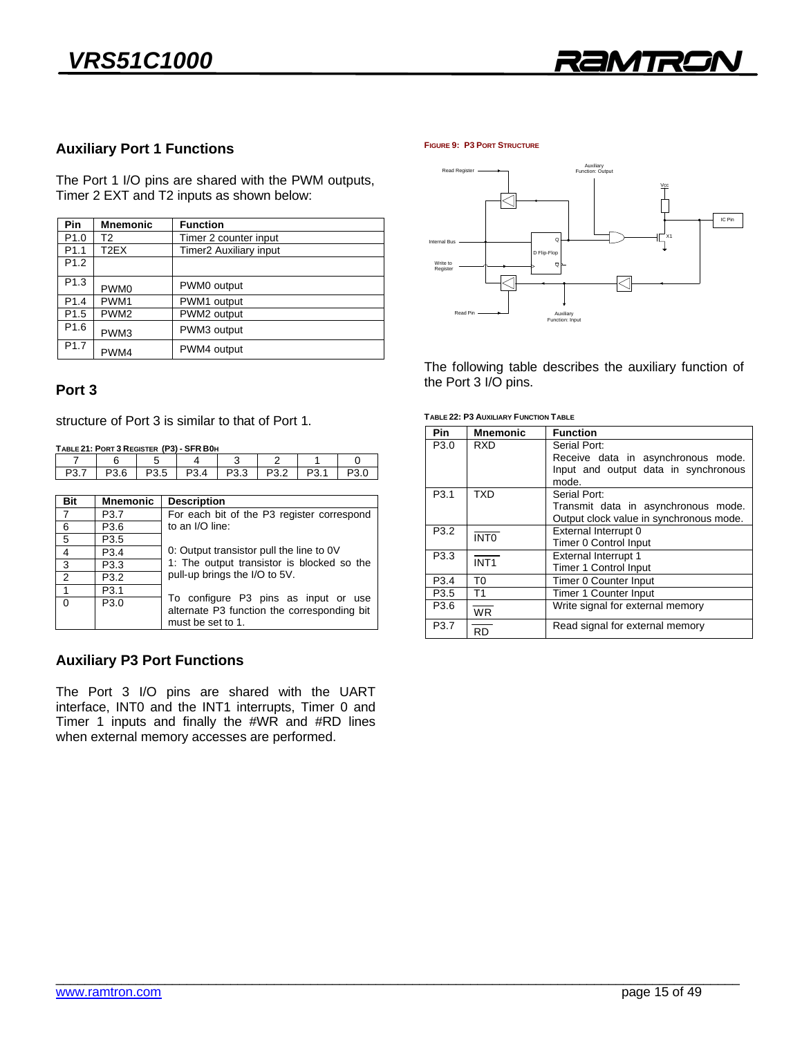

### **Auxiliary Port 1 Functions**

Time Port 2 I/O pins are shared with the PWM stapping, Time 2 Extending a Extending as shown below:

|                  |                  | <b>Function</b>               |
|------------------|------------------|-------------------------------|
| P <sub>1.0</sub> | T2               | Timer 2 counter input         |
| P <sub>1.1</sub> | T2EX             | <b>Timer2 Auxiliary input</b> |
| P <sub>1.2</sub> |                  |                               |
| P <sub>1.3</sub> | PWM <sub>0</sub> | PWM0 output                   |
| P <sub>1.4</sub> | PWM1             | PWM1 output                   |
| P <sub>1.5</sub> | PWM <sub>2</sub> | PWM2 output                   |
| P <sub>1.6</sub> | PWM3             | PWM3 output                   |
| P <sub>1.7</sub> | PWM4             | PWM4 output                   |

### Port<sub>3</sub> **Port 3**

structure of Port 3 is similar to that of Port 1.

**TABLE 21: PORT 3 REGISTER (P3) - SFR B0H**

|          | 6                | 5                |                                                                                                                         | 4                | 3                                           | 2                |                  |      |  |
|----------|------------------|------------------|-------------------------------------------------------------------------------------------------------------------------|------------------|---------------------------------------------|------------------|------------------|------|--|
| P3.7     | P3.6             | P <sub>3.5</sub> |                                                                                                                         | P <sub>3.4</sub> | P <sub>3.3</sub>                            | P <sub>3.2</sub> | P <sub>3.1</sub> | P3.0 |  |
|          |                  |                  |                                                                                                                         |                  |                                             |                  |                  |      |  |
| Bit      | <b>Mnemonic</b>  |                  | <b>Description</b>                                                                                                      |                  |                                             |                  |                  |      |  |
| 7        | P <sub>3.7</sub> |                  | For each bit of the P3 register correspond                                                                              |                  |                                             |                  |                  |      |  |
| 6        | P <sub>3.6</sub> |                  | to an I/O line:                                                                                                         |                  |                                             |                  |                  |      |  |
| 5        | P <sub>3.5</sub> |                  |                                                                                                                         |                  |                                             |                  |                  |      |  |
| 4        | P <sub>3.4</sub> |                  | 0: Output transistor pull the line to 0V<br>1: The output transistor is blocked so the<br>pull-up brings the I/O to 5V. |                  |                                             |                  |                  |      |  |
| 3        | P <sub>3.3</sub> |                  |                                                                                                                         |                  |                                             |                  |                  |      |  |
| 2        | P <sub>3.2</sub> |                  |                                                                                                                         |                  |                                             |                  |                  |      |  |
|          | P <sub>3.1</sub> |                  | To configure P3 pins as input or use                                                                                    |                  |                                             |                  |                  |      |  |
| $\Omega$ | P <sub>3.0</sub> |                  |                                                                                                                         |                  | alternate P3 function the corresponding bit |                  |                  |      |  |

### **Auxiliary P3 Port Functions**

The Port 3 I/O pins are shared with the UART interface, INT0 and the INT1 interrupts, Timer 0 and Timer 1 inputs and finally the  $\#WR$  and  $\#RD$  lines Timer 1 inputs and many are writtening and many the when external memory accesses are performed.

must be set to 1.

must be set to  $1$ 

**FIGURE 9: P3 PORT STRUCTURE**



the Port  $3 \sqrt{0}$  pins the Port 3 I/O pins.

**TABLE 22: P3 AUXILIARY FUNCTION TABLE**

| <b>Pin</b>       | <b>Mnemonic</b>  | <b>Function</b>                         |
|------------------|------------------|-----------------------------------------|
| P <sub>3.0</sub> | RXD              | Serial Port:                            |
|                  |                  | Receive data in asynchronous mode.      |
|                  |                  | Input and output data in synchronous    |
|                  |                  | mode.                                   |
| P <sub>3.1</sub> | TXD              | Serial Port:                            |
|                  |                  | Transmit data in asynchronous mode.     |
|                  |                  | Output clock value in synchronous mode. |
| P <sub>3.2</sub> | <b>INTO</b>      | External Interrupt 0                    |
|                  |                  | <b>Timer 0 Control Input</b>            |
| P3.3             | INT <sub>1</sub> | <b>External Interrupt 1</b>             |
|                  |                  | <b>Timer 1 Control Input</b>            |
| P <sub>3.4</sub> | T0               | Timer 0 Counter Input                   |
| P <sub>3.5</sub> | T1               | <b>Timer 1 Counter Input</b>            |
| P3.6             | <b>WR</b>        | Write signal for external memory        |
| P3.7             | RD               | Read signal for external memory         |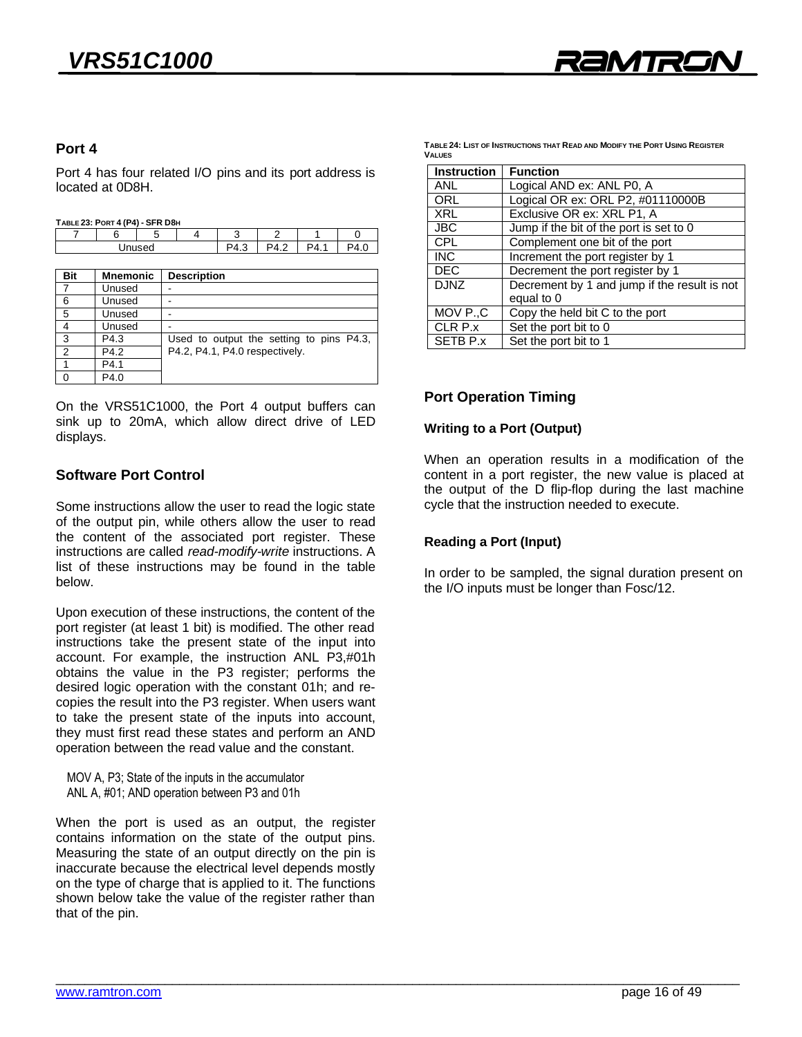

### Port 4

Port 4 has four related I/O pins and its port address is located at 0D8H. located at 0D8H.

| TABLE 23: PORT 4 (P4) - SFR D8H |
|---------------------------------|
|---------------------------------|

|  | <b>UIIV PUIL</b>    |     |      |                    |  |
|--|---------------------|-----|------|--------------------|--|
|  |                     |     |      |                    |  |
|  | hazır <sup>ni</sup> | ن.+ | т. д | $\mathbf{A}$<br>т. |  |
|  |                     |     |      |                    |  |

| <b>Bit</b>     | <b>Mnemonic</b> | <b>Description</b>                       |
|----------------|-----------------|------------------------------------------|
| $\overline{7}$ | Unused          |                                          |
| 6              | Unused          |                                          |
| 5              | Unused          |                                          |
|                | Unused          |                                          |
| 3              | P4.3            | Used to output the setting to pins P4.3, |
| 2              | P4.2            | P4.2, P4.1, P4.0 respectively.           |
|                | P4.1            |                                          |
| $\cap$         | P4.0            |                                          |
|                |                 |                                          |

On the VRS51C1000, the Port 4 output buffers can sink up to 20mA, which allow direct drive of LED displays. displays.

#### **Software Port Control Software Port Control**

Some instructions allow the user to read the logic state of the output pin, while others allow the user to read the content of the associated port register. These instructions are called read-modify-write instructions. A list of these instructions may be found in the table  $h$ e how

Upon execution of these instructions, the content of the port register (at least 1 bit) is modified. The other read instructions take the present state of the input into account. For example, the instruction ANL P3,#01h obtains the value in the P3 register; performs the desired logic operation with the constant 01h; and recopies the result into the P3 register. When users want to take the present state of the inputs into account, they must first read these states and perform an AND  $\frac{1}{\sqrt{1-\frac{1}{\sqrt{1-\frac{1}{\sqrt{1-\frac{1}{\sqrt{1-\frac{1}{\sqrt{1-\frac{1}{\sqrt{1-\frac{1}{\sqrt{1-\frac{1}{\sqrt{1-\frac{1}{\sqrt{1-\frac{1}{\sqrt{1-\frac{1}{\sqrt{1-\frac{1}{\sqrt{1-\frac{1}{\sqrt{1-\frac{1}{\sqrt{1-\frac{1}{\sqrt{1-\frac{1}{\sqrt{1-\frac{1}{\sqrt{1-\frac{1}{\sqrt{1-\frac{1}{\sqrt{1-\frac{1}{\sqrt{1-\frac{1}{\sqrt{1-\frac{1}{\sqrt{1-\frac{1}{\sqrt{1-\frac{1}{\sqrt{1-\frac{1$ operation between the read value and the constant.

MOV A, P3; State of the inputs in the accumulator ANL A, #01; AND operation between P3 and 01h

When the port is used as an output, the register contains information on the state of the output pins. Measuring the state of an output directly on the pin is. inaccurate because the electrical level depends mostly on the type of charge that is applied to it. The functions shown below take the value of the register rather than that of the pin. that of the pin.

TABLE 24: LIST OF INSTRUCTIONS THAT READ AND MODIFY THE PORT USING REGISTER **TABLE 24: LIST OF INSTRUCTIONS THAT READ AND MODIFY THE PORT USING REGISTER** 

| <b>Instruction</b> | <b>Function</b>                              |
|--------------------|----------------------------------------------|
| ANL                | Logical AND ex: ANL P0, A                    |
| ORL                | Logical OR ex: ORL P2, #01110000B            |
| <b>XRL</b>         | Exclusive OR ex: XRL P1, A                   |
| <b>JBC</b>         | Jump if the bit of the port is set to 0      |
| <b>CPL</b>         | Complement one bit of the port               |
| <b>INC</b>         | Increment the port register by 1             |
| <b>DEC</b>         | Decrement the port register by 1             |
| <b>DJNZ</b>        | Decrement by 1 and jump if the result is not |
|                    | equal to 0                                   |
| MOV P.,C           | Copy the held bit C to the port              |
| CLR P.x            | Set the port bit to 0                        |
| SETB P.x           | Set the port bit to 1                        |

# **Port Operation Timing**

# **Writing to a Port (Output)**

When an operation results in a modification of the content in a port register, the new value is placed at the output of the D flip-flop during the last machine cycle that the instruction needed to execute. cycle that the instruction needed to execute.

# **Reading a Port (Input)**

In order to be sampled, the signal duration present on the I/O inputs must be longer than Fosc/12. the I/O inputs must be longer than Fosc/12.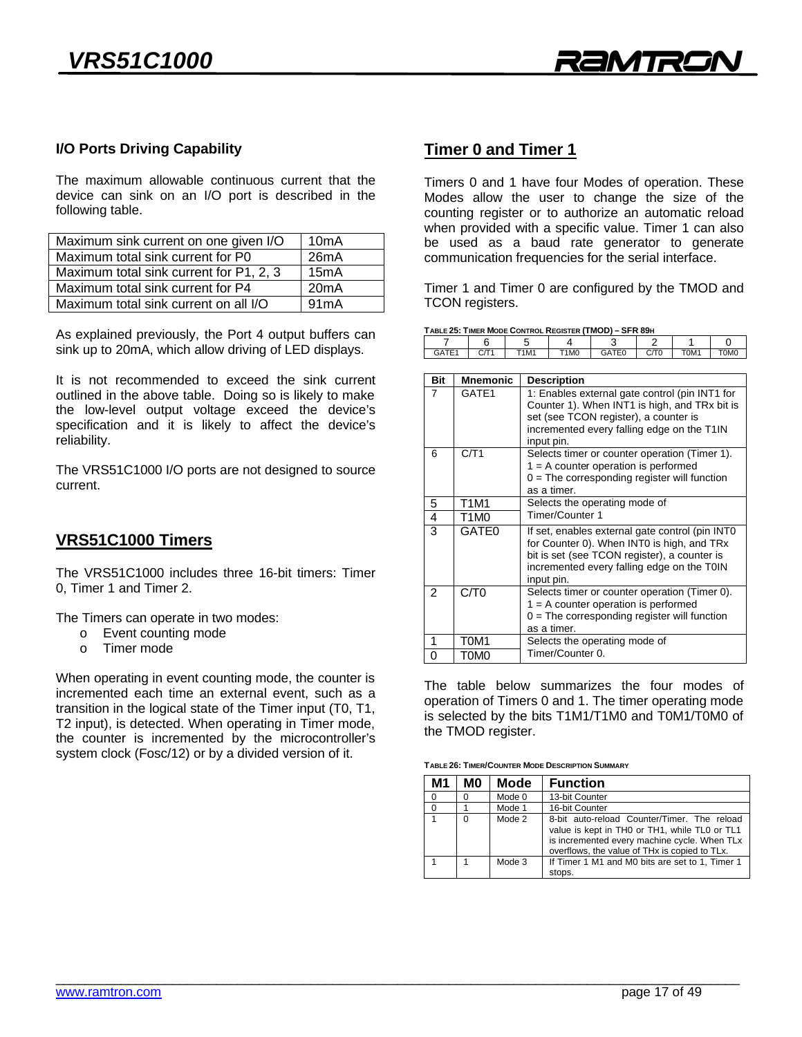

### **I/O Ports Driving Capability**

The maximum allowable continuous current that the device can sink on an I/O port is described in the following table. following table.

| Maximum sink current on one given I/O   | 10 <sub>m</sub> A |
|-----------------------------------------|-------------------|
| Maximum total sink current for P0       | 26mA              |
| Maximum total sink current for P1, 2, 3 | 15mA              |
| Maximum total sink current for P4       | 20mA              |
| Maximum total sink current on all I/O   | 91mA              |
|                                         |                   |

As explained previously, the Port 4 output buffers can sink up to 20mA, which allow driving of LED displays. sink up to 20mA, which allow driving of LED displays.

It is not recommended to exceed the sink current outlined in the above table. Doing so is likely to make the low-level output voltage exceed the device's specification and it is likely to affect the device's reliability. reliability.

The VRS51C1000 I/O ports are not designed to source current.

## **VRS51C1000 Timers**

The VRS51C1000 includes three 16-bit timers: Timer 1, Timer 1 and Timer 2.

The Timers can operate in two modes:<br>  $\circ$  Event counting mode

- 
- o Timer mode o Timer mode

When operating in event counting mode, the counter is incremented each time an external event, such as a transition in the logical state of the Timer input (T0, T1, T2 input), is detected. When operating in Timer mode, the counter is incremented by the microcontroller's system clock (Fosc/12) or by a divided version of it. system clock (Fosc/12) or by a divided version of  $\mathcal{L}$ 

# **Timer 0 and Timer 1**

Timers 0 and 1 have four Modes of operation. These counting register or to authorize an automatic reload when provided with a specific value. Timer 1 can also be used as a baud rate generator to generate communication frequencies for the serial interface. communication frequencies for the series for the series for the series of the series of the series of the series of the series of the series of the series of the series of the series of the series of the series of the seri

TIMER 1 and Timer 3 are comigared by the TMOD and<br>TCON registers To only agreement

|  |  | TABLE 25: TIMER MODE CONTROL REGISTER (TMOD) - SFR 89H |  |
|--|--|--------------------------------------------------------|--|
|  |  |                                                        |  |

| $- -$<br>- | T1M1 | T <sub>1</sub> M <sub>0</sub> | <b>GATEO</b><br>Lu<br>. . | ∽<br>$\mathbf{r}$<br>◡<br>1 U | T0M1 | <b>TOMO</b> |
|------------|------|-------------------------------|---------------------------|-------------------------------|------|-------------|
|            |      |                               |                           |                               |      |             |

| Bit            | <b>Mnemonic</b>   | <b>Description</b>                                                                                                                                                                                        |
|----------------|-------------------|-----------------------------------------------------------------------------------------------------------------------------------------------------------------------------------------------------------|
| $\overline{7}$ | GATE1             | 1: Enables external gate control (pin INT1 for<br>Counter 1). When INT1 is high, and TRx bit is<br>set (see TCON register), a counter is<br>incremented every falling edge on the T1IN<br>input pin.      |
| 6              | C/T1              | Selects timer or counter operation (Timer 1).<br>$1 = A$ counter operation is performed<br>$0 =$ The corresponding register will function<br>as a timer.                                                  |
| 5              | T1M1              | Selects the operating mode of                                                                                                                                                                             |
| 4              | T1M0              | Timer/Counter 1                                                                                                                                                                                           |
| 3              | GATE <sub>0</sub> | If set, enables external gate control (pin INTO<br>for Counter 0). When INT0 is high, and TRx<br>bit is set (see TCON register), a counter is<br>incremented every falling edge on the T0IN<br>input pin. |
| $\mathcal{P}$  | C/T0              | Selects timer or counter operation (Timer 0).<br>$1 = A$ counter operation is performed<br>$0 =$ The corresponding register will function<br>as a timer.                                                  |
| 1              | T0M1              | Selects the operating mode of                                                                                                                                                                             |
| ∩              | T0M0              | Timer/Counter 0.                                                                                                                                                                                          |

The table below summarizes the four modes of operation of Timers 0 and 1. The timer operating mode is selected by the bits T1M1/T1M0 and T0M1/T0M0 of the TMOD register. the TMOD register.

TABLE 26: TIMER/COUNTER MODE DESCRIPTION SUMMARY **TABLE 26: TIMER/COUNTER MODE DESCRIPTION SUMMARY** 

| М1       | M0       | Mode   | <b>Function</b>                                                                                                                                                                               |
|----------|----------|--------|-----------------------------------------------------------------------------------------------------------------------------------------------------------------------------------------------|
| $\Omega$ | O        | Mode 0 | 13-bit Counter                                                                                                                                                                                |
| $\Omega$ |          | Mode 1 | 16-bit Counter                                                                                                                                                                                |
|          | $\Omega$ | Mode 2 | 8-bit auto-reload Counter/Timer. The reload<br>value is kept in TH0 or TH1, while TL0 or TL1<br>is incremented every machine cycle. When TLx<br>overflows, the value of THx is copied to TLx. |
|          |          | Mode 3 | If Timer 1 M1 and M0 bits are set to 1, Timer 1<br>stops.                                                                                                                                     |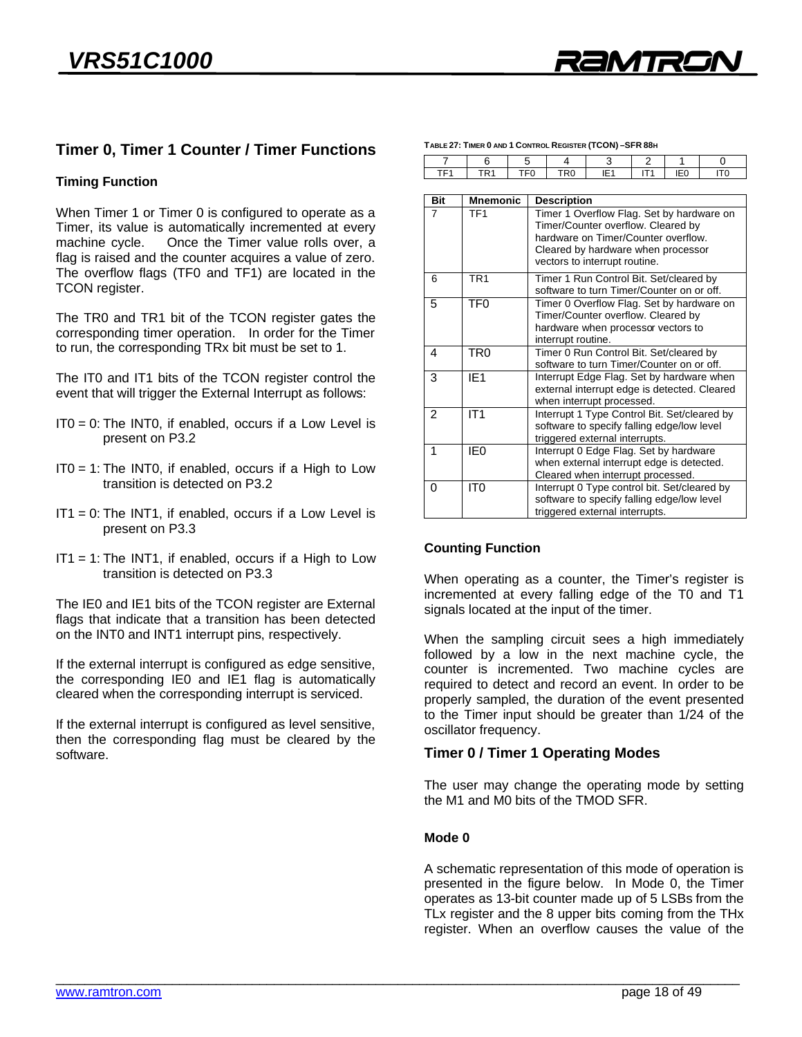## **Timer 0, Timer 1 Counter / Timer Functions**

# **Timing Function**

When Timer 1 or Timer 0 is configured to operate as a<br>Timer, its value is automatically incremented at every machine cycle. Once the Timer value rolls over, a flag is raised and the counter acquires a value of zero. The overflow flags (TF0 and TF1) are located in the TCON register. TCON register.

The TR0 and TR1 bit of the TCON register gates the corresponding timer operation. In order for the Timer to run, the corresponding TRx bit must be set to 1. to run, the corresponding TRx bit must be set to 1.

The IT0 and IT1 bits of the TCON register control the event that will trigger the External Interrupt as follows: event that will trigger the External Interrupt as follows:

- $ITO = 0$ : The INT0, if enabled, occurs if a Low Level is present on P3.2 present on P3.2
- $ITO = 1$ : The INTO, if enabled, occurs if a High to Low transition is detected on P3.2 transition is detected on P3.2
- $IT1 = 0$ : The INT1, if enabled, occurs if a Low Level is present on P3.3 present on P3.3
- $IT1 = 1$ : The INT1, if enabled, occurs if a High to Low transition is detected on P3.3 transition is detected on P3.3

The IE0 and IE1 bits of the TCON register are External flags that indicate that a transition has been detected  $\frac{1}{2}$  on the INT0 and INT1 interrupt pins respectively on the INT0 and INT1 interrupt pins, respectively.

If the external interrupt is configured as edge sensitive, the corresponding IEO and IE1 flag is automatically cleared when the corresponding interrupt is serviced. cleared when the corresponding interrupt is serviced.

If the external interrupt is configured as level sensitive, then the corresponding flag must be cleared by the software. software.

| $\overline{7}$  | 6               | 5   | 4                                                                                          | 3  | $\overline{2}$  | 1               | 0               |  |
|-----------------|-----------------|-----|--------------------------------------------------------------------------------------------|----|-----------------|-----------------|-----------------|--|
| TF <sub>1</sub> | TR <sub>1</sub> | TF0 | TR <sub>0</sub>                                                                            | E1 | IT <sub>1</sub> | IE <sub>0</sub> | IT <sub>0</sub> |  |
|                 |                 |     |                                                                                            |    |                 |                 |                 |  |
| <b>Bit</b>      | <b>Mnemonic</b> |     | <b>Description</b>                                                                         |    |                 |                 |                 |  |
| 7               | TF <sub>1</sub> |     | Timer 1 Overflow Flag. Set by hardware on                                                  |    |                 |                 |                 |  |
|                 |                 |     | Timer/Counter overflow. Cleared by                                                         |    |                 |                 |                 |  |
|                 |                 |     | hardware on Timer/Counter overflow.                                                        |    |                 |                 |                 |  |
|                 |                 |     | Cleared by hardware when processor                                                         |    |                 |                 |                 |  |
|                 |                 |     | vectors to interrupt routine.                                                              |    |                 |                 |                 |  |
| 6               | TR <sub>1</sub> |     | Timer 1 Run Control Bit. Set/cleared by                                                    |    |                 |                 |                 |  |
|                 |                 |     | software to turn Timer/Counter on or off.                                                  |    |                 |                 |                 |  |
| 5               | TF <sub>0</sub> |     | Timer 0 Overflow Flag. Set by hardware on                                                  |    |                 |                 |                 |  |
|                 |                 |     | Timer/Counter overflow. Cleared by                                                         |    |                 |                 |                 |  |
|                 |                 |     | hardware when processor vectors to                                                         |    |                 |                 |                 |  |
|                 |                 |     | interrupt routine.                                                                         |    |                 |                 |                 |  |
| 4               | TR <sub>0</sub> |     | Timer 0 Run Control Bit. Set/cleared by                                                    |    |                 |                 |                 |  |
|                 |                 |     | software to turn Timer/Counter on or off.                                                  |    |                 |                 |                 |  |
| 3               | IE <sub>1</sub> |     | Interrupt Edge Flag. Set by hardware when                                                  |    |                 |                 |                 |  |
|                 |                 |     | external interrupt edge is detected. Cleared<br>when interrupt processed.                  |    |                 |                 |                 |  |
| 2               | IT1             |     |                                                                                            |    |                 |                 |                 |  |
|                 |                 |     | Interrupt 1 Type Control Bit. Set/cleared by<br>software to specify falling edge/low level |    |                 |                 |                 |  |
|                 |                 |     | triggered external interrupts.                                                             |    |                 |                 |                 |  |
| 1               | IE <sub>0</sub> |     | Interrupt 0 Edge Flag. Set by hardware                                                     |    |                 |                 |                 |  |
|                 |                 |     | when external interrupt edge is detected.                                                  |    |                 |                 |                 |  |
|                 |                 |     | Cleared when interrupt processed.                                                          |    |                 |                 |                 |  |
| 0               | IT <sub>0</sub> |     | Interrupt 0 Type control bit. Set/cleared by                                               |    |                 |                 |                 |  |
|                 |                 |     | software to specify falling edge/low level                                                 |    |                 |                 |                 |  |
|                 |                 |     | triggered external interrupts.                                                             |    |                 |                 |                 |  |
|                 |                 |     |                                                                                            |    |                 |                 |                 |  |

**TABLE 27: TIMER 0 AND 1 CONTROL REGISTER (TCON) –SFR 88H** 

# **Counting Function**

When operating as a counter, the Timer's register is<br>incremented at every falling edge of the T0 and T1 signals located at the input of the timer. signals located at the input of the timer.

When the sampling circuit sees a high immediately followed by a low in the next machine cycle, the counter is incremented. Two machine cycles are required to detect and record an event. In order to be properly sampled, the duration of the event presented to the Timer input should be greater than 1/24 of the oscillator frequency. oscillator frequency.

# **Timer 0 / Timer 1 Operating Modes**

The user may change the operating mode by setting the M1 and M0 bits of the TMOD SFR. the M1 and M0 bits of the TMOD SFR.

#### Mode 0 **Mode 0**

A schematic representation of this mode of operation is presented in the figure below. In Mode 0, the Timer operates as 13-bit counter made up of 5 LSBs from the TLx register and the 8 upper bits coming from the THx register. When an overflow causes the value of the register. When an overflow causes the value of the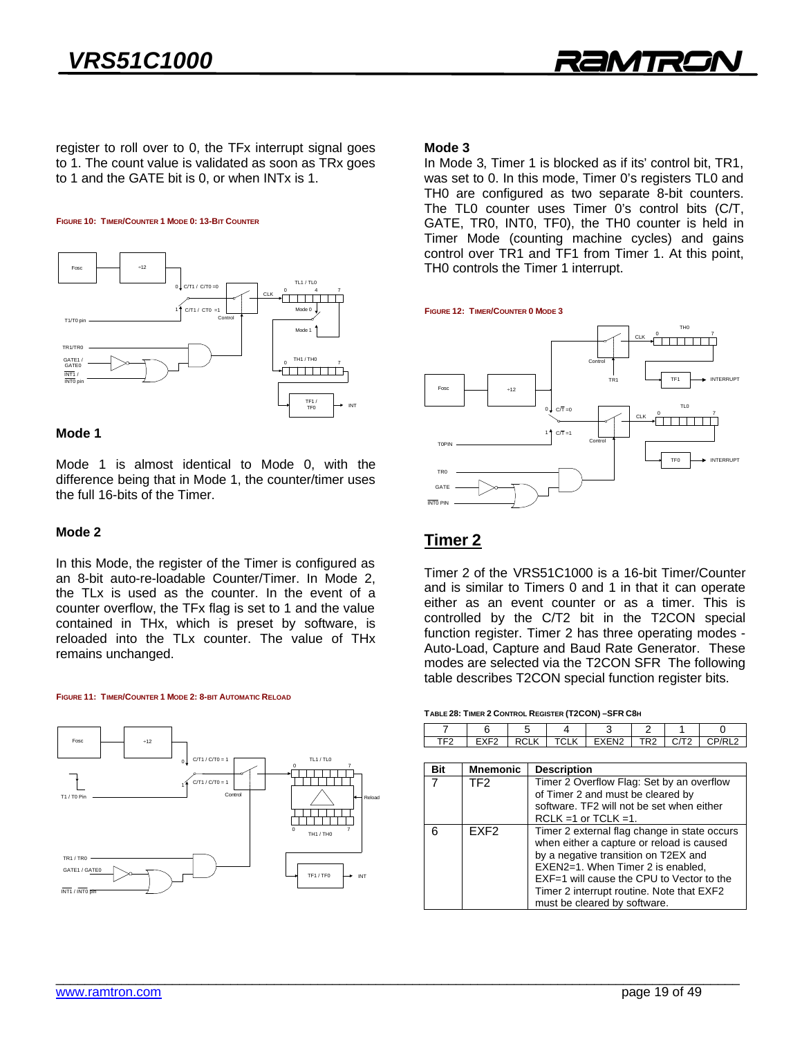

register to roll over to 0, the TFx interrupt signal goes to 1. The count value is validated as soon as TRx goes to 1 and the GATE bit is 0, or when  $INTx$  is 1.  $t_{\rm 1}$  and the GATE bit is  $1.5$  and  $1.5$  and  $1.5$  is 1.



### Mode 1

Mode 1 is almost identical to Mode 0, with the difference being that in Mode 1, the counter/timer uses the full 16-bits of the Timer. the full 16-bits of the Timer.

In this Mode, the register of the Timer is configured as an 8-bit auto-re-loadable Counter/Timer. In Mode 2, the TLx is used as the counter. In the event of a counter overflow, the TFx flag is set to 1 and the value contained in THx, which is preset by software, is reloaded into the TLx counter. The value of THx remains unchanged. remains unchanged.



### Mode 3

In Mode 3, Timer 1 is blocked as if its' control bit, TR1, was set to 0. In this mode, Timer 0's registers TL0 and THO are configured as two separate 8-bit counters. The TL0 counter uses Timer 0's control bits (C/T, GATE, TR0, INT0, TF0), the TH0 counter is held in Timer Mode (counting machine cycles) and gains control over TR1 and TF1 from Timer 1. At this point, TH0 controls the Timer 1 interrupt. The Timer 1 interrupt. The Timer 1 interrupt.



# **Timer 2**

Timer 2 of the VRS51C1000 is a 16-bit Timer/Counter and is similar to Timers 0 and 1 in that it can operate either as an event counter or as a timer. This is controlled by the C/T2 bit in the T2CON special function register. Timer 2 has three operating modes -Auto-Load, Capture and Baud Rate Generator. These modes are selected via the T2CON SFR The following table describes T2CON special function register bits. table describes T2CON special function register bits.

|     | 6                | 5           |                    | 3                                                                                                                                                                                                                                                                                                | 2               |      |        |
|-----|------------------|-------------|--------------------|--------------------------------------------------------------------------------------------------------------------------------------------------------------------------------------------------------------------------------------------------------------------------------------------------|-----------------|------|--------|
| TF2 | EXF <sub>2</sub> | <b>RCLK</b> | <b>TCLK</b>        | EXEN <sub>2</sub>                                                                                                                                                                                                                                                                                | TR <sub>2</sub> | C/T2 | CP/RL2 |
|     |                  |             |                    |                                                                                                                                                                                                                                                                                                  |                 |      |        |
| Bit | <b>Mnemonic</b>  |             | <b>Description</b> |                                                                                                                                                                                                                                                                                                  |                 |      |        |
|     | TF <sub>2</sub>  |             |                    | Timer 2 Overflow Flag: Set by an overflow<br>of Timer 2 and must be cleared by<br>software. TF2 will not be set when either<br>$RCLK = 1$ or TCLK = 1.                                                                                                                                           |                 |      |        |
| 6   | FXF <sub>2</sub> |             |                    | Timer 2 external flag change in state occurs<br>when either a capture or reload is caused<br>by a negative transition on T2EX and<br>EXEN2=1. When Timer 2 is enabled,<br>EXF=1 will cause the CPU to Vector to the<br>Timer 2 interrupt routine. Note that EXF2<br>must be cleared by software. |                 |      |        |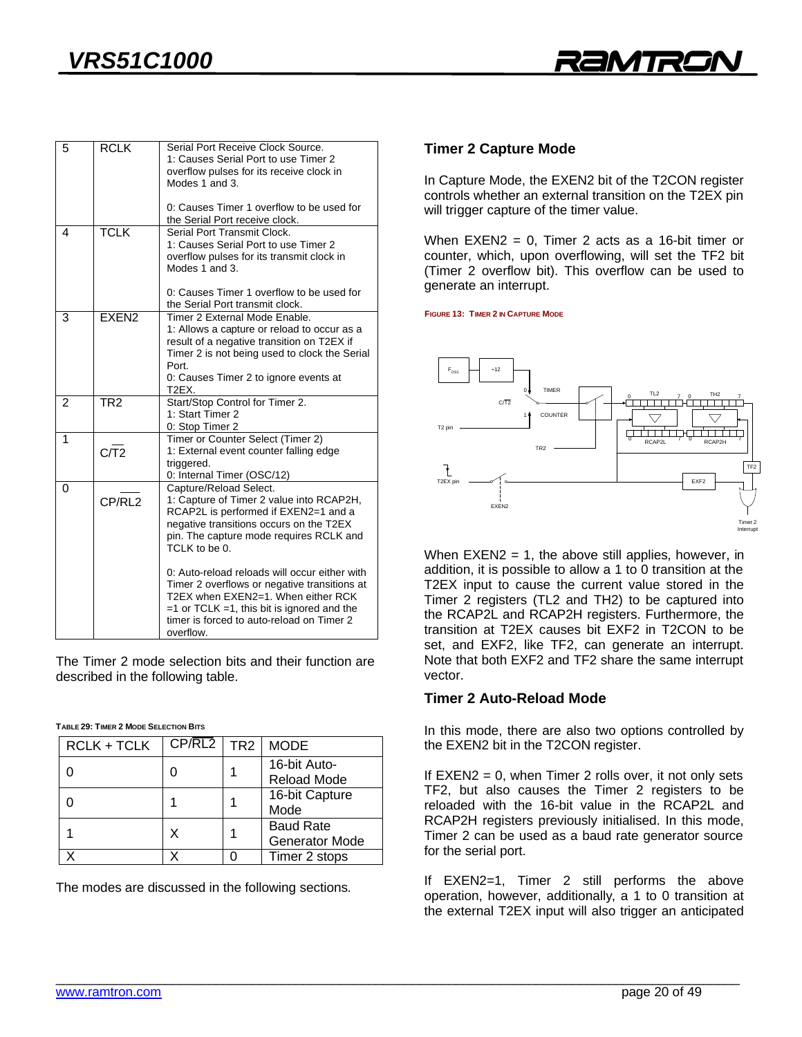

| 5 | <b>RCLK</b>     | Serial Port Receive Clock Source.<br>1: Causes Serial Port to use Timer 2<br>overflow pulses for its receive clock in<br>Modes 1 and 3.                                                                                                                                                                                                                                                                                                                               |
|---|-----------------|-----------------------------------------------------------------------------------------------------------------------------------------------------------------------------------------------------------------------------------------------------------------------------------------------------------------------------------------------------------------------------------------------------------------------------------------------------------------------|
|   |                 | 0: Causes Timer 1 overflow to be used for<br>the Serial Port receive clock.                                                                                                                                                                                                                                                                                                                                                                                           |
| 4 | <b>TCLK</b>     | Serial Port Transmit Clock.<br>1: Causes Serial Port to use Timer 2<br>overflow pulses for its transmit clock in<br>Modes 1 and 3.                                                                                                                                                                                                                                                                                                                                    |
|   |                 | 0: Causes Timer 1 overflow to be used for<br>the Serial Port transmit clock.                                                                                                                                                                                                                                                                                                                                                                                          |
| 3 | <b>FXFN2</b>    | Timer 2 External Mode Enable.<br>1: Allows a capture or reload to occur as a<br>result of a negative transition on T2EX if<br>Timer 2 is not being used to clock the Serial<br>Port.<br>0: Causes Timer 2 to ignore events at<br>T2EX.                                                                                                                                                                                                                                |
| 2 | TR <sub>2</sub> | Start/Stop Control for Timer 2.<br>1: Start Timer 2<br>0: Stop Timer 2                                                                                                                                                                                                                                                                                                                                                                                                |
| 1 | C <sub>1</sub>  | Timer or Counter Select (Timer 2)<br>1: External event counter falling edge<br>triggered.<br>0: Internal Timer (OSC/12)                                                                                                                                                                                                                                                                                                                                               |
| 0 | CP/RL2          | Capture/Reload Select.<br>1: Capture of Timer 2 value into RCAP2H,<br>RCAP2L is performed if EXEN2=1 and a<br>negative transitions occurs on the T2EX<br>pin. The capture mode requires RCLK and<br>TCLK to be 0.<br>0: Auto-reload reloads will occur either with<br>Timer 2 overflows or negative transitions at<br>T2EX when EXEN2=1. When either RCK<br>$=1$ or TCLK $=1$ , this bit is ignored and the<br>timer is forced to auto-reload on Timer 2<br>overflow. |

The Timer 2 mode selection bits and their function are described in the following table. described in the following table.

#### **TABLE 29: TIMER 2 MODE SELECTION BITS**

| RCLK + TCLK | CP/RL2 | TR <sub>2</sub> | <b>MODE</b>                               |
|-------------|--------|-----------------|-------------------------------------------|
|             |        |                 | 16-bit Auto-<br><b>Reload Mode</b>        |
|             |        |                 | 16-bit Capture<br>Mode                    |
|             | Χ      |                 | <b>Baud Rate</b><br><b>Generator Mode</b> |
|             |        |                 | Timer 2 stops                             |

The modes are discussed in the following sections.

# **Timer 2 Capture Mode**

In Capture Mode, the EXEN2 bit of the T2CON register controls whether an external transition on the T2EX pin will trigger capture of the timer value. will trigger capture of the timer value.

When EXEN2 = 0, Timer 2 acts as a 16-bit timer or<br>counter, which, upon overflowing, will set the TF2 bit (Timer 2 overflow bit). This overflow can be used to generate an interrupt. generate an interrupt.

**FIGURE 13: TIMER 2 IN CAPTURE MODE**



When  $EXEN2 = 1$ , the above still applies, however, in addition, it is possible to allow a 1 to 0 transition at the T2EX input to cause the current value stored in the Timer 2 registers (TL2 and TH2) to be captured into the RCAP2L and RCAP2H registers. Furthermore, the transition at T2EX causes bit EXF2 in T2CON to be set, and EXF2, like TF2, can generate an interrupt. Note that both EXF2 and TF2 share the same interrupt. Note that both EXT2 share the share the same interruptional that the same interruptional state in the same interruption of the same interruption of the same intervals of the same intervals of the same intervals of the same

#### **Timer 2 Auto-Reload Mode Timer 2 Auto-Reload Mode**

In this mode, there are also the epithe controlled by<br>the FXFN2 hit in the T2CON register the EXEN2 bit in the T2CON register.

If EXEN2 = 0, when Timer 2 rolls over, it not only sets<br>TF2, but also causes the Timer 2 registers to be reloaded with the 16-bit value in the RCAP2L and RCAP2H registers previously initialised. In this mode, Timer 2 can be used as a baud rate generator source for the serial port. for the serial port.

If  $EXEN2=1$ , Timer 2 still performs the above operation, however, additionally, a 1 to 0 transition at the external T2FX input will also trigger an anticipated the external T2EX input will also trigger an anticipated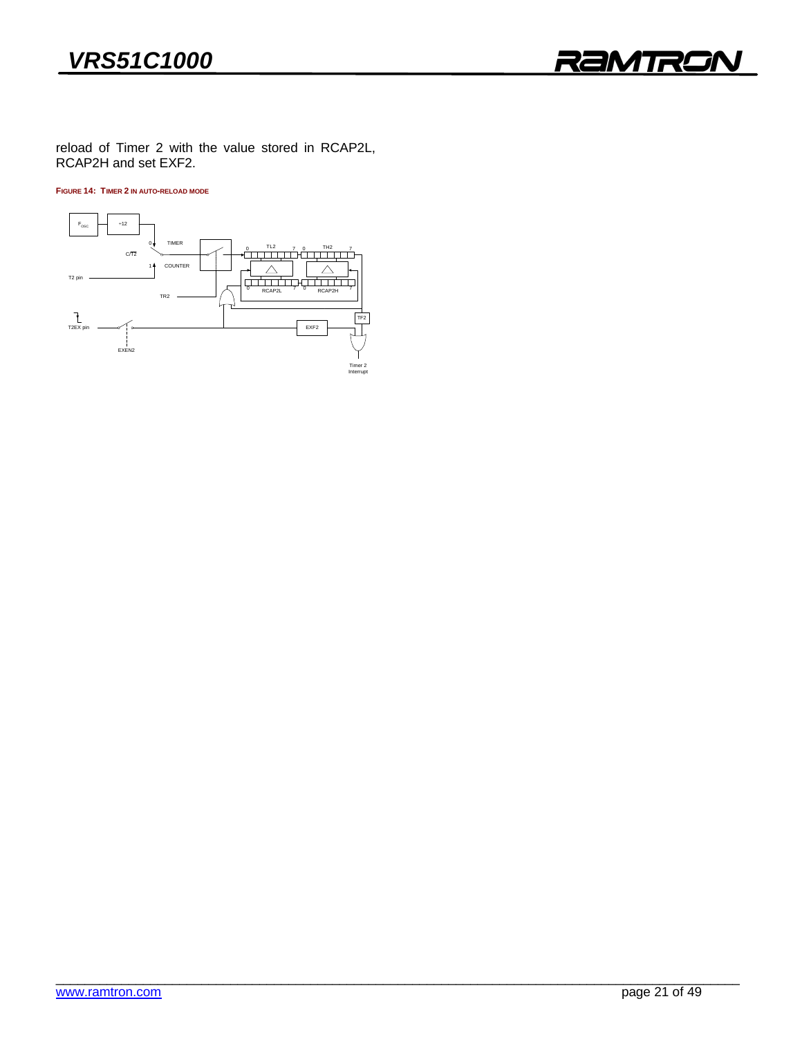

RCAP2H and set FXF2  $R$  and set  $R$  and set  $R$  and set  $R$ .

**FIGURE 14: TIMER 2 IN AUTO-RELOAD MODE**

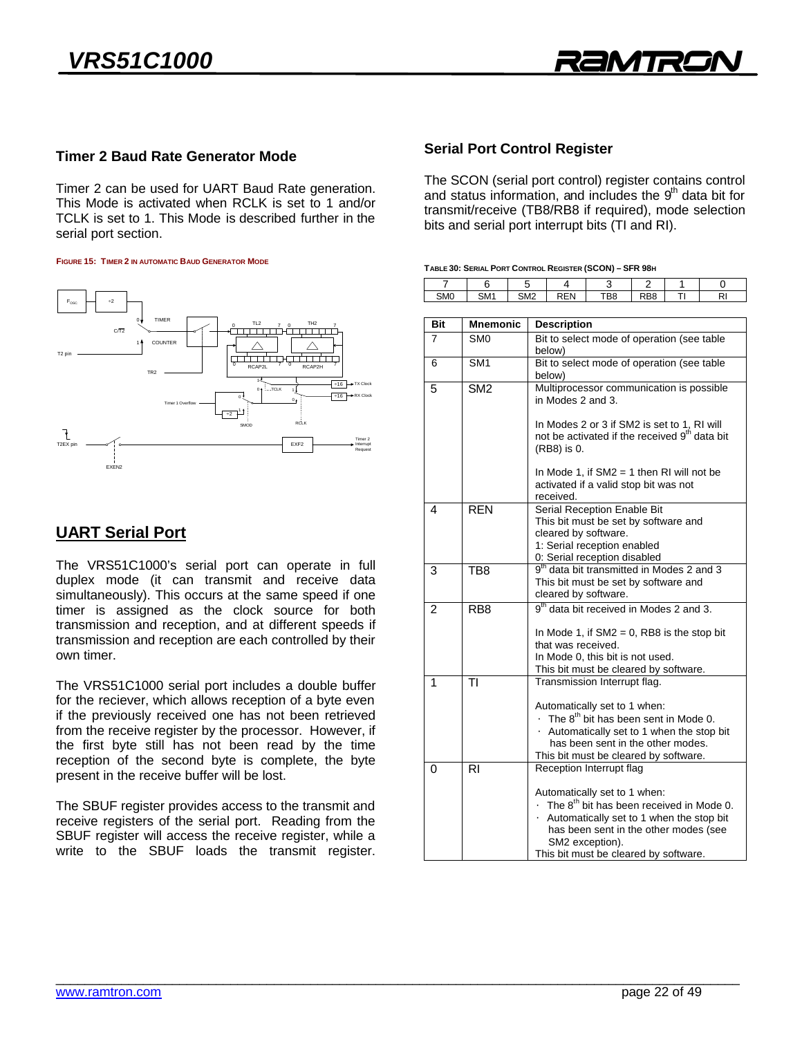

 $\mathbf{1}$ 

 $\Omega$ 

### **Timer 2 Baud Rate Generator Mode Timer 2 Baud Rate Generator Mode**

Timer 2 can be used for UART Baud Rate generation.<br>This Mode is activated when RCLK is set to 1 and/or TCLK is set to 1. This Mode is described further in the serial port section. serial port section.

#### **FIGURE 15: TIMER 2 IN AUTOMATIC BAUD GENERATOR MODE**



## **UART Serial Port**

The VRS51C1000's serial port can operate in full duplex mode (it can transmit and receive data simultaneously). This occurs at the same speed if one timer is assigned as the clock source for both transmission and reception, and at different speeds if transmission and reception are each controlled by their own timer. own timer.

The VRS51C1000 serial port includes a double buffer for the reciever, which allows reception of a byte even if the previously received one has not been retrieved from the receive register by the processor. However, if the first byte still has not been read by the time reception of the second byte is complete, the byte  $r_{\text{t}}$  or the second by the second by the basic present in the receive buffer will be lost present in the receive buffer will be lost.

The SBUF register provides access to the transmit and receive registers of the serial port. Reading from the SBUF register will access the receive register, while a seed register and access the receive register, make a<br>write to the SBUF loads the transmit register white to the SBUF leads the transmit register.

# **Serial Port Control Register**

The SCON (serial port control) register contains control and status information, and includes the 9<sup>th</sup> data bit for transmit/receive (TB8/RB8 if required), mode selection bits and serial port interrupt bits (TI and RI). bits and serial port interrupt bits (TI and RI).

 $\frac{1}{2}$   $\frac{1}{2}$   $\frac{1}{2}$   $\frac{1}{2}$   $\frac{1}{2}$   $\frac{1}{2}$   $\frac{1}{2}$   $\frac{1}{2}$   $\frac{1}{2}$   $\frac{1}{2}$   $\frac{1}{2}$   $\frac{1}{2}$   $\frac{1}{2}$   $\frac{1}{2}$   $\frac{1}{2}$   $\frac{1}{2}$   $\frac{1}{2}$   $\frac{1}{2}$   $\frac{1}{2}$   $\frac{1}{2}$   $\frac{1}{2}$   $\frac{1}{2}$ 

|  |  | TABLE 30: SERIAL PORT CONTROL REGISTER (SCON) - SFR 98H |  |
|--|--|---------------------------------------------------------|--|
|  |  |                                                         |  |

7

| Bit            | <b>Mnemonic</b>  | <b>Description</b>                                                                                                                                                                                                                         |
|----------------|------------------|--------------------------------------------------------------------------------------------------------------------------------------------------------------------------------------------------------------------------------------------|
| 7              | SM <sub>0</sub>  | Bit to select mode of operation (see table<br>below)                                                                                                                                                                                       |
| 6              | SM <sub>1</sub>  | Bit to select mode of operation (see table<br>below)                                                                                                                                                                                       |
| 5              | SM <sub>2</sub>  | Multiprocessor communication is possible<br>in Modes 2 and 3.                                                                                                                                                                              |
|                |                  | In Modes 2 or 3 if SM2 is set to 1, RI will<br>not be activated if the received 9 <sup>th</sup> data bit<br>(RB8) is 0.                                                                                                                    |
|                |                  | In Mode 1, if $SM2 = 1$ then RI will not be<br>activated if a valid stop bit was not<br>received.                                                                                                                                          |
| 4              | <b>REN</b>       | Serial Reception Enable Bit<br>This bit must be set by software and<br>cleared by software.<br>1: Serial reception enabled<br>0: Serial reception disabled                                                                                 |
| 3              | TB <sub>8</sub>  | 9 <sup>th</sup> data bit transmitted in Modes 2 and 3<br>This bit must be set by software and<br>cleared by software.                                                                                                                      |
| $\mathfrak{p}$ | R <sub>B</sub> 8 | $9th$ data bit received in Modes 2 and 3.                                                                                                                                                                                                  |
|                |                  | In Mode 1, if $SM2 = 0$ , RB8 is the stop bit<br>that was received.<br>In Mode 0, this bit is not used.<br>This bit must be cleared by software.                                                                                           |
| 1              | TI               | Transmission Interrupt flag.                                                                                                                                                                                                               |
|                |                  | Automatically set to 1 when:<br>$\bullet$ The $8^{th}$ bit has been sent in Mode 0.<br>• Automatically set to 1 when the stop bit<br>has been sent in the other modes.<br>This bit must be cleared by software.                            |
| 0              | RI               | Reception Interrupt flag                                                                                                                                                                                                                   |
|                |                  | Automatically set to 1 when:<br>$\bullet$ The $8^{th}$ bit has been received in Mode 0.<br>• Automatically set to 1 when the stop bit<br>has been sent in the other modes (see<br>SM2 exception).<br>This bit must be cleared by software. |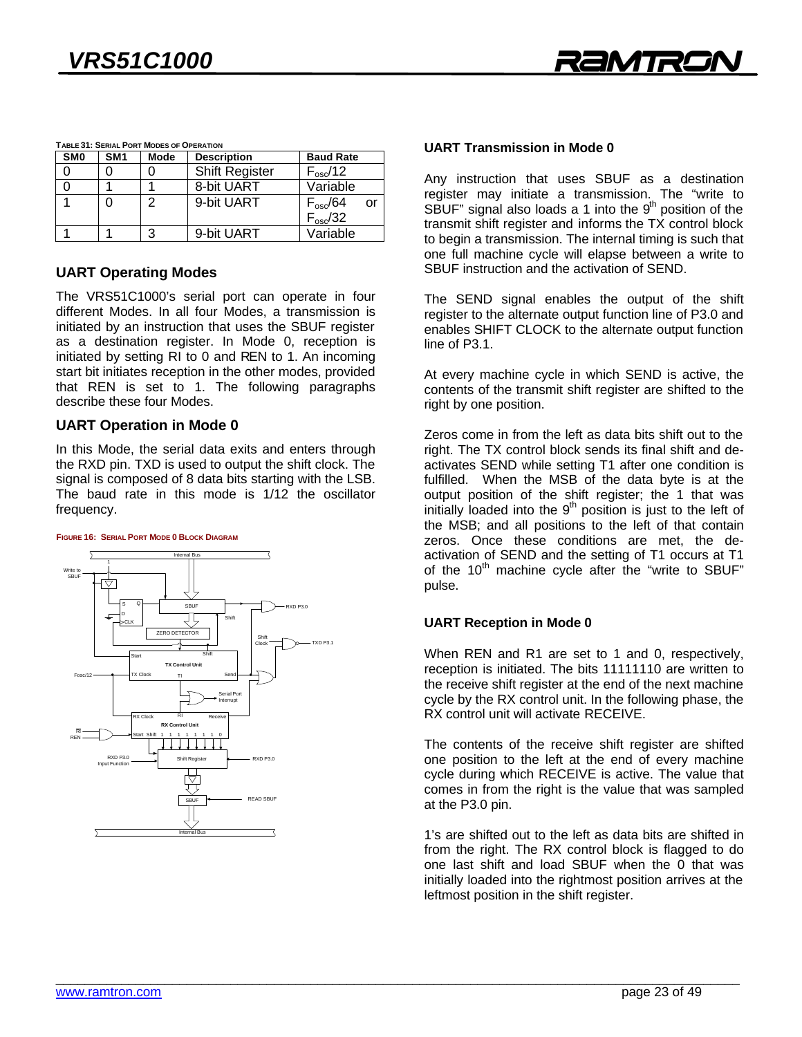

|                 | TABLE 31: SERIAL PORT MODES OF OPERATION |             |                                        |                         |  |  |  |  |  |  |
|-----------------|------------------------------------------|-------------|----------------------------------------|-------------------------|--|--|--|--|--|--|
| SM <sub>0</sub> | SM <sub>1</sub>                          | <b>Mode</b> | <b>Description</b><br><b>Baud Rate</b> |                         |  |  |  |  |  |  |
|                 |                                          |             | <b>Shift Register</b>                  | $F_{\rm osc}$ /12       |  |  |  |  |  |  |
|                 |                                          |             | 8-bit UART                             | Variable                |  |  |  |  |  |  |
|                 | 0                                        | 2           | 9-bit UART                             | $F_{\rm osc}$ /64<br>or |  |  |  |  |  |  |
|                 |                                          |             |                                        | $F_{\rm osc}/32$        |  |  |  |  |  |  |
|                 |                                          | 3           | 9-bit UART                             | Variable                |  |  |  |  |  |  |
|                 |                                          |             |                                        |                         |  |  |  |  |  |  |

**UART Operating Modes**<br>The VRS51C1000's serial port can operate in four different Modes. In all four Modes, a transmission is initiated by an instruction that uses the SBUF register as a destination register. In Mode 0, reception is initiated by setting RI to 0 and REN to 1. An incoming start bit initiates reception in the other modes, provided that REN is set to 1. The following paragraphs describe these four Modes. describe these four Modes.

**UART Operation in Mode 0**<br>In this Mode, the serial data exits and enters through the RXD pin. TXD is used to output the shift clock. The signal is composed of 8 data bits starting with the LSB. The baud rate in this mode is 1/12 the oscillator  $f$ requency frequency.

#### FIGURE 16: SERIAL PORT MODE O BLOCK DIAGRAM



#### **UART Transmission in Mode 0 UART Transmission in Mode 0**

Any instruction that uses SBUF as a destination<br>register may initiate a transmission. The "write to SBUF" signal also loads a 1 into the  $9<sup>th</sup>$  position of the transmit shift register and informs the TX control block to begin a transmission. The internal timing is such that one full machine cycle will elapse between a write to SBUF instruction and the activation of SEND. SBUF instruction and the activation of SEND.

The SEND signal enables the output of the shift register to the alternate output function line of P3.0 and enables SHIFT CLOCK to the alternate output function line of P3.1. line of P3.1.

At every machine cycle in which SEND is active, the contents of the transmit shift register are shifted to the right by one position  $\mathcal{G}$  by one position.

Zeros come in from the left as data bits shift out to the right. The TX control block sends its final shift and deactivates SEND while setting T1 after one condition is fulfilled. When the MSB of the data byte is at the output position of the shift register; the 1 that was initially loaded into the  $9<sup>th</sup>$  position is just to the left of initially loaded into the 9<sup>--</sup> position is just to the left of<br>the MSB: and all positions to the left of that contain zeros. Once these conditions are met, the deactivation of SEND and the setting of T1 occurs at T1 of the 10<sup>th</sup> machine cycle after the "write to SBUF" pulse pulse.

# **UART Reception in Mode 0**

When REN and R1 are set to 1 and 0, respectively, reception is initiated. The bits 11111110 are written to the receive shift register at the end of the next machine cycle by the RX control unit. In the following phase, the RX control unit will activate RECEIVE. RX control unit will activate RECEIVE.

The contents of the receive shift register are shifted one position to the left at the end of every machine cycle during which RECEIVE is active. The value that comes in from the right is the value that was sampled at the  $P3.0$  pin. at the P3.0 pin.

1's are shifted out to the left as data bits are shifted in from the right. The RX control block is flagged to do one last shift and load SBUF when the 0 that was initially loaded into the rightmost position arrives at the leftmost position in the shift register. leftmost position in the shift register.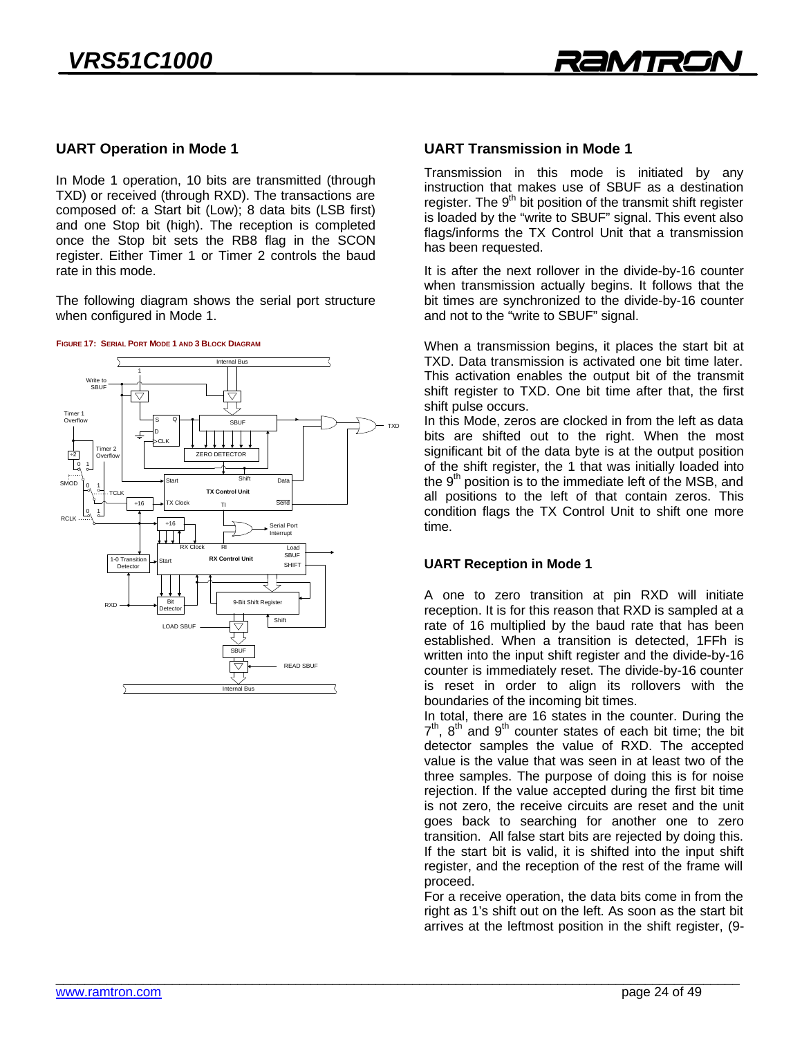

# **UART Operation in Mode 1**

In Mode 1 operation, 10 bits are transmitted (through TXD) or received (through RXD). The transactions are composed of: a Start bit (Low); 8 data bits (LSB first). and one Stop bit (high). The reception is completed once the Stop bit sets the RB8 flag in the SCON register. Either Timer 1 or Timer 2 controls the baud rate in this mode rate in this mode.

The following diagram shows the serial port structure when configured in Mode 1.



### **UART Transmission in Mode 1**

Transmission in this mode is initiated by any instruction that makes use of SBUF as a destination register. The  $9<sup>th</sup>$  bit position of the transmit shift register is loaded by the "write to SBUF" signal. This event also flags/informs the TX Control Unit that a transmission has been requested.

It is after the next rollover in the divide-by-16 counter when transmission actually begins. It follows that the bit times are synchronized to the divide-by-16 counter and not to the "write to SBUF" signal. and not to the "with the SBUF" signal.

When a transmission begins, it places the start bit at TXD. Data transmission is activated one bit time later. This activation enables the output bit of the transmit shift register to TXD. One bit time after that, the first shift pulse occurs.

In this Mode, zeros are clocked in from the left as data bits are shifted out to the right. When the most significant bit of the data byte is at the output position of the shift register, the 1 that was initially loaded into the  $9<sup>th</sup>$  position is to the immediate left of the MSB, and all positions to the left of that contain zeros. This condition flags the TX Control Unit to shift one more comment hags the TX Control Unit to shift one more<br>fime

# **UART Reception in Mode 1**

A one to zero transition at pin RXD will initiate reception. It is for this reason that RXD is sampled at a rate of 16 multiplied by the baud rate that has been established. When a transition is detected, 1FFh is written into the input shift register and the divide-by-16 counter is immediately reset. The divide-by-16 counter is reset in order to align its rollovers with the boundaries of the incoming bit times.

In total, there are 16 states in the counter. During the  $7<sup>th</sup>$ ,  $8<sup>th</sup>$  and  $9<sup>th</sup>$  counter states of each bit time; the bit 7", 8" and 9" counter states of each bit time; the bit<br>detector samples the value of RXD. The accepted value is the value that was seen in at least two of the three samples. The purpose of doing this is for noise rejection. If the value accepted during the first bit time is not zero, the receive circuits are reset and the unit goes back to searching for another one to zero transition. All false start bits are rejected by doing this. If the start bit is valid, it is shifted into the input shift register, and the reception of the rest of the frame will proceed.

For a receive operation, the data bits come in from the right as 1's shift out on the left. As soon as the start bit arrives at the leftmost position in the shift register, (9arrives at the leftmost position in the shift register, (9- $\sigma$ )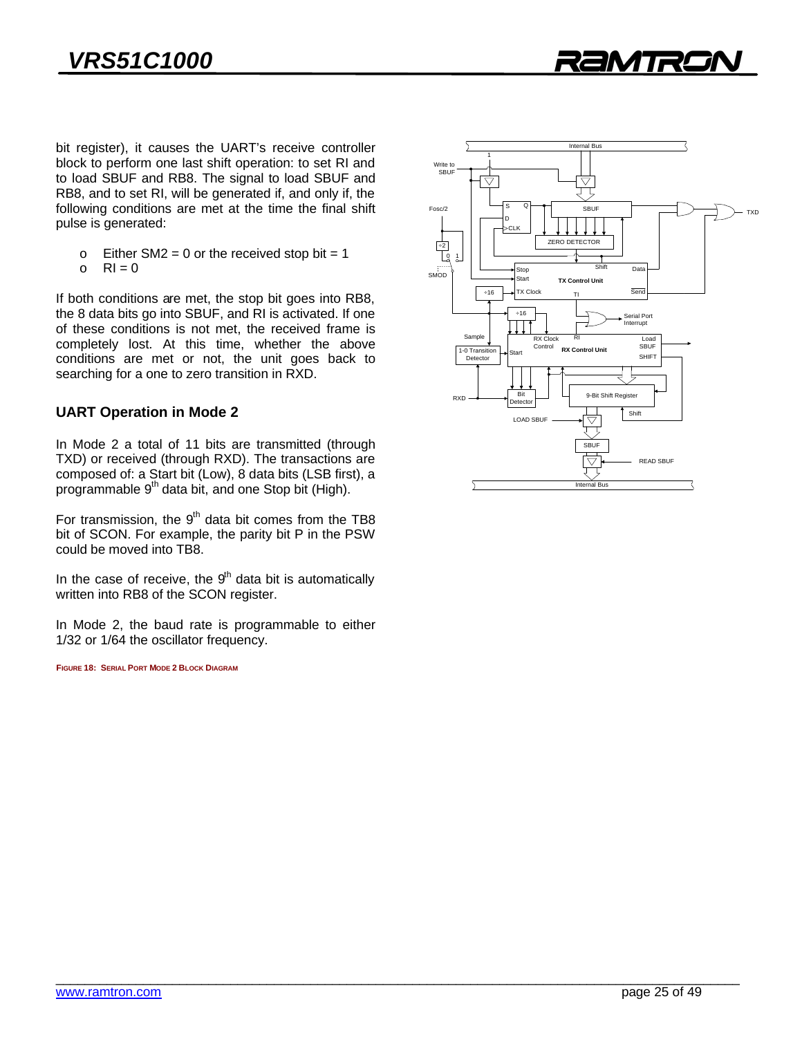

bit register), it causes the UART's receive controller block to perform one last shift operation: to set RI and to load SBUF and RB8. The signal to load SBUF and RB8, and to set RI, will be generated if, and only if, the following conditions are met at the time the final shift following conditions are met at the fine the final shift pulse is generated:

- $\circ$  Either SM2 = 0 or the received stop bit = 1<br> $\circ$  RI = 0
- o RI = 0

If both conditions are met, the stop bit goes into RB8, the 8 data bits go into SBUF, and RI is activated. If one of these conditions is not met, the received frame is completely lost. At this time, whether the above conditions are met or not, the unit goes back to searching for a one to zero transition in  $\overline{R}$ searching for a one to zero transition in RXD.

# **UART Operation in Mode 2**

In Mode 2 a total of 11 bits are transmitted (through TXD) or received (through RXD). The transactions are composed of: a Start bit (Low), 8 data bits (LSB first), a programmable 9<sup>th</sup> data bit, and one Stop bit (High).

For transmission, the 9 acta bit comes from the TB8<br>hit of SCON For example the parity hit P in the PSW could be moved into TB8. could be moved in the moved in

In the case of receive, the  $9<sup>th</sup>$  data bit is automatically written into RB8 of the SCON register. with the SCON register.

 $1/32$  or  $1/64$  the oscillator frequency  $1/32$  or  $1/64$  the oscillator frequency.

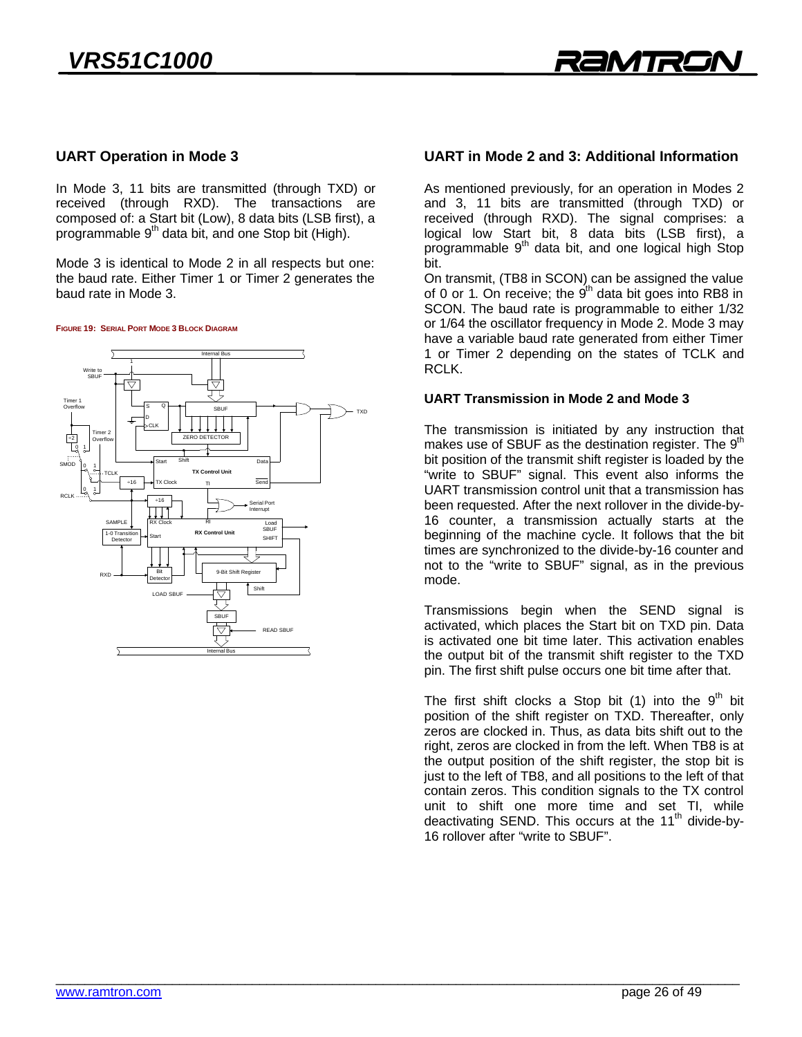# **UART Operation in Mode 3**

In Mode 3, 11 bits are transmitted (through TXD) or received (through RXD). The transactions are composed of: a Start bit (Low), 8 data bits (LSB first), a programmable 9<sup>th</sup> data bit, and one Stop bit (High).

Mode 3 is identical to Mode 2 in all respects but one:<br>the baud rate. Either Timer 1 or Timer 2 generates the baud rate in Mode 3. baud rate in Mode 3.

FIGURE 19: SERIAL PORT MODE 3 BLOCK DIAGRAM



### UART in Mode 2 and 3: Additional Information **UART in Mode 2 and 3: Additional Information**

As mentioned previously, for an operation in Modes 2<br>and 3, 11 bits are transmitted (through TXD) or received (through RXD). The signal comprises: a logical low Start bit, 8 data bits (LSB first), a programmable 9<sup>th</sup> data bit, and one logical high Stop<br>hit bit.

On transmit, (TB8 in SCON) can be assigned the value of 0 or 1. On receive; the  $9<sup>th</sup>$  data bit goes into RB8 in SCON. The baud rate is programmable to either 1/32 or 1/64 the oscillator frequency in Mode 2. Mode 3 may have a variable baud rate generated from either Timer 1 or Timer 2 depending on the states of TCLK and RCLK. RCLK.

#### **UART Transmission in Mode 2 and Mode 3 UART Transmission in Mode 2 and Mode 3**

The transmission is initiated by any instruction that makes use of SBUF as the destination register. The 9<sup>th</sup> bit position of the transmit shift register is loaded by the "write to SBUF" signal. This event also informs the UART transmission control unit that a transmission has been requested. After the next rollover in the divide-by-16 counter, a transmission actually starts at the beginning of the machine cycle. It follows that the bit times are synchronized to the divide-by-16 counter and not to the "write to SBUF" signal, as in the previous  $\mathsf{mode}$ 

Transmissions begin when the SEND signal is activated, which places the Start bit on TXD pin. Data is activated one bit time later. This activation enables the output bit of the transmit shift register to the TXD pin. The first shift pulse occurs one bit time after that. pin. The first shift pulse occurs one bit time after that.

The first shift clocks a Stop bit (1) into the 9 Dit<br>position of the shift register on TXD. Thereafter only zeros are clocked in. Thus, as data bits shift out to the right, zeros are clocked in from the left. When TB8 is at the output position of the shift register, the stop bit is just to the left of TB8, and all positions to the left of that contain zeros. This condition signals to the TX control  $\frac{1}{10}$  in  $\frac{1}{10}$  contained signals to the TV while deactivating SEND. This occurs at the 11<sup>th</sup> divide-by-<br>16 rollover after "write to SBUE" 16 rollover after "write to SBUF".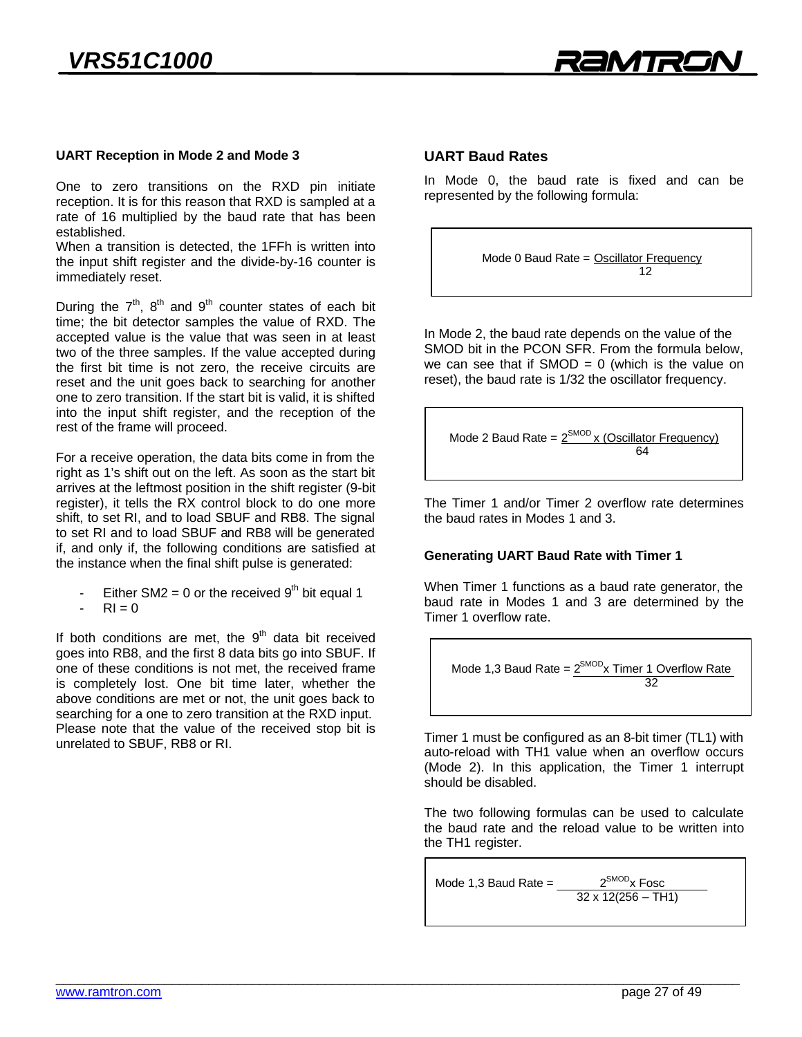

# **UART Reception in Mode 2 and Mode 3**

One to zero transitions on the RXD pin initiate reception. It is for this reason that RXD is sampled at a rate of 16 multiplied by the baud rate that has been established.

When a transition is detected, the 1FFh is written into the input shift register and the divide-by-16 counter is immediately reset. immediately reset.

During the *r*, 8 and 9 counter states of each bit<br>time: the hit detector samples the value of RXD. The During the  $7<sup>th</sup>$ ,  $8<sup>th</sup>$  and  $9<sup>th</sup>$  counter states of each bit accepted value is the value that was seen in at least two of the three samples. If the value accepted during the first bit time is not zero, the receive circuits are reset and the unit goes back to searching for another one to zero transition. If the start bit is valid, it is shifted into the input shift register, and the reception of the rest of the frame will proceed. rest of the frame will proceed.

For a receive operation, the data bits come in from the right as 1's shift out on the left. As soon as the start bit arrives at the leftmost position in the shift register (9-bit) register), it tells the RX control block to do one more shift, to set RI, and to load SBUF and RB8. The signal to set RI and to load SBUF and RB8 will be generated if, and only if, the following conditions are satisfied at the instance when the final shift pulse is generated:  $\frac{1}{2}$ 

Either SM2 = 0 or the received 9<sup>th</sup> bit equal 1<br>RI = 0

If both conditions are met, the 9 data bit received<br>goes into RB8 and the first 8 data bits go into SBUF If one of these conditions is not met, the received frame is completely lost. One bit time later, whether the above conditions are met or not, the unit goes back to searching for a one to zero transition at the RXD input. Please note that the value of the received stop bit is unrelated to SBUF, RB8 or RI. unrelated to SBUF, RB8 or RI.

### **UART Baud Rates**

In Mode 0, the baud rate is fixed and can be In the control of the band rate is fixed and can be represented by the following formula:

Mode 0 Baud Rate = Oscillator Frequency

In Mode 2, the baud rate depends on the value of the<br>SMOD bit in the PCON SFR. From the formula below. we can see that if SMOD =  $0$  (which is the value on reset), the baud rate is 1/32 the oscillator frequency. reset), the baud rate is 1/32 the oscillator frequency.

Mode 2 Baud Rate = 
$$
\frac{2^{SMOD} \times (Oscillator Frequency)}{64}
$$

The Timer 1 and/or Timer 2 overflow rate determines the baud rates in Modes 1 and 3. the baud rates in Modes 1 and 3.

### **Generating UART Baud Rate with Timer 1**

When Timer 1 functions as a baud rate generator, the baud rate in Modes 1 and 3 are determined by the Timer 1 overflow rate Timer 1 overflow rate.

Mode 1,3 Baud Rate = 
$$
\frac{2^{SMOD}x \text{ Timer 1 Overflow Rate}}{32}
$$

Timer 1 must be configured as an 8-bit timer (TL1) with (Mode 2). In this application, the Timer 1 interrupt should be disabled. should be disabled.

The two following formulas can be used to calculate the baud rate and the reload value to be written into the TH1 register. the T<sub>u</sub>

Mode 1,3 Baud Rate =  $\frac{2}{32 \times 12/256 - \text{TE}}$  $32 + 12(255 - 111)$ 

- RI = 0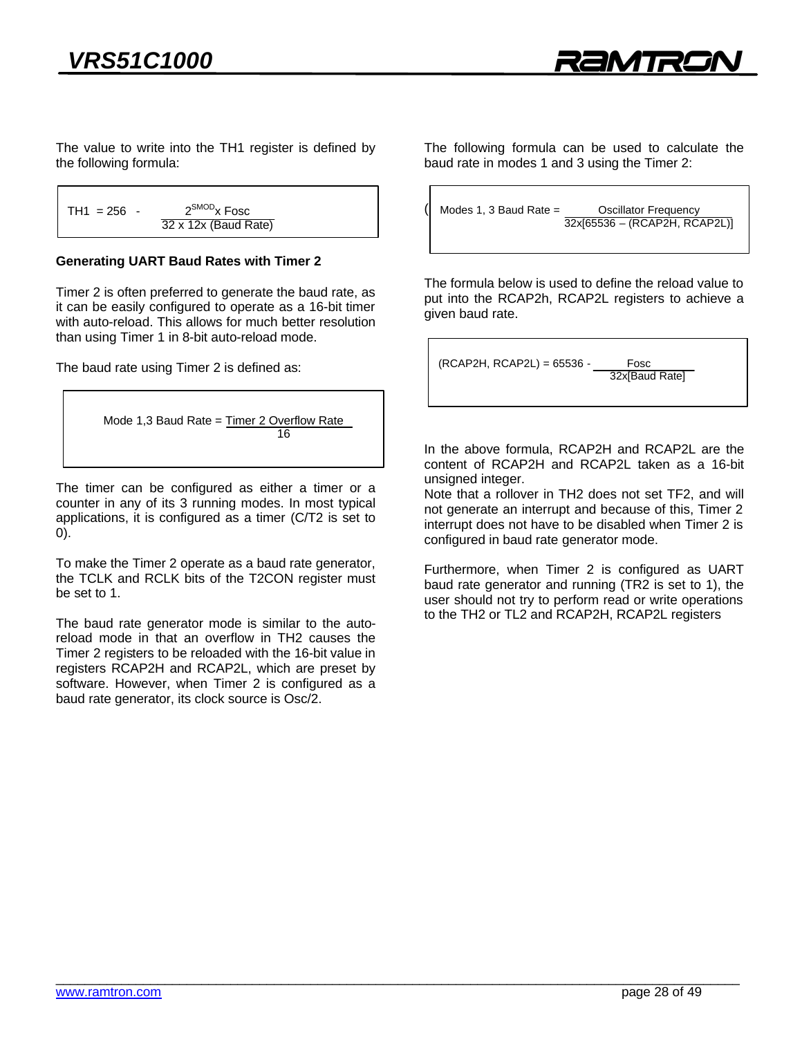$\frac{1}{2}$  the following formula: the following formula:

```
TH1 = 256 - \frac{2^{\text{SMOD}}x \text{ Fosc}}{32 \times 12x \text{ (Baud Rate)}}<u>32 x 12x (Baud Rate)</u>
```
# **Generating UART Baud Rates with Timer 2**

Timer 2 is often preferred to generate the baud rate, as it can be easily configured to operate as a 16-bit timer with auto-reload. This allows for much better resolution with auto-relead. This allows for much better resolution.<br>than using Timer 1 in 8-bit auto-reload mode  $\frac{1}{2}$ 

The baud rate using Timer 2 is defined as:

```
\frac{\text{max} \times \text{max} \times \text{max}}{16}16 March 2014, San Antonio and The Contract of the Contract of the Contract of the Contract of the Contract of
```
The timer can be configured as either a timer or a counter in any of its 3 running modes. In most typical applications, it is configured as a timer  $(C/T2)$  is set to applications, it is configured as a time  $\frac{1}{2}$  is set to the configured as  $\frac{1}{2}$ 0).

To make the Timer 2 operate as a baud rate generator, the TCLK and RCLK bits of the T2CON register must be set to 1. be set to 1.

The baud rate generator mode is similar to the auto-<br>reload mode in that an overflow in TH2 causes the Timer 2 registers to be reloaded with the 16-bit value in registers RCAP2H and RCAP2L, which are preset by software. However, when Timer 2 is configured as a baud rate generator, its clock source is Osc/2. baud rate generator, its clock source is obtained in  $\mathcal{L}$ .

 $\frac{1}{2}$  haud rate in modes 1 and 3 using the Timer 2. baud rate in modes 1 and 3 using the Timer 2:

```
\frac{32x}{65536} = (RCP2H) \cdot R32x
```
The formula below is used to define the reload value to put into the RCAP2h, RCAP2L registers to achieve a given baud rate.  $\mathcal{G}$  baud rate.

 $(RCAP2H, RCAP2L) = 65536 -$ Fosc 32x[Baud Rate]

In the above formula, RCAP2H and RCAP2L are the content of RCAP2H and RCAP2L taken as a 16-bit unsigned integer.

Note that a rollover in TH2 does not set TF2, and will not generate an interrupt and because of this, Timer 2 interrupt does not have to be disabled when Timer 2 is configured in baud rate generator mode. configured in baud rate generator mode.

Furthermore, when Timer 2 is configured as UART<br>baud rate generator and running (TR2 is set to 1), the user should not try to perform read or write operations to the TH2 or TL2 and RCAP2H, RCAP2L registers  $\frac{1}{2}$  or  $\frac{1}{2}$  and  $\frac{1}{2}$  and  $\frac{1}{2}$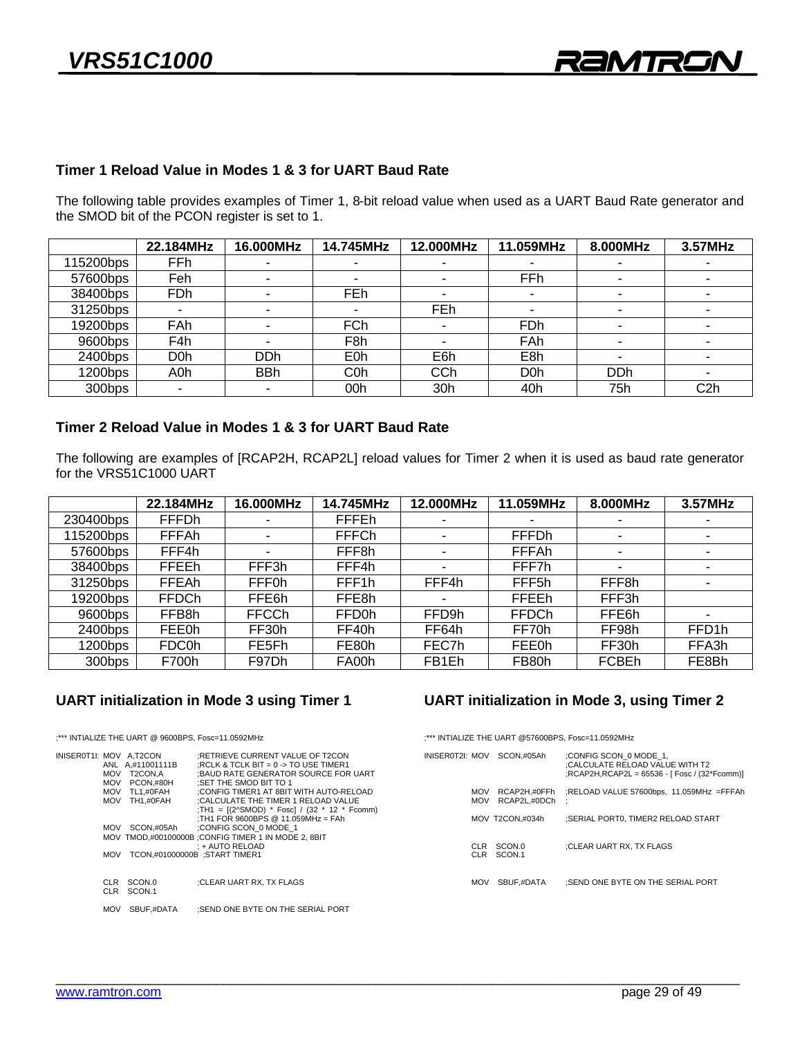### Timer 1 Reload Value in Modes 1 & 3 for UART Baud Rate **Timer 1 Reload Value in Modes 1 & 3 for UART Baud Rate**

 $T_{\rm th}$  following table provides examples of  $T_{\rm th}$  relative when used as a UART Baud Rate generator and  $T_{\rm th}$  $\frac{1}{\sqrt{2}}$ 

|            | 22.184MHz        | 16.000MHz        | 14.745MHz                | 12.000MHz  | 11.059MHz        | 8.000MHz                 | 3.57MHz          |
|------------|------------------|------------------|--------------------------|------------|------------------|--------------------------|------------------|
| 115200bps  | <b>FFh</b>       |                  | $\overline{\phantom{0}}$ |            |                  |                          |                  |
| 57600bps   | Feh              | -                | $\overline{\phantom{0}}$ |            | <b>FFh</b>       | ٠                        |                  |
| 38400bps   | FDh              |                  | FEh                      |            | ۰                | $\overline{\phantom{0}}$ |                  |
| 31250bps   |                  |                  | $\overline{\phantom{0}}$ | <b>FEh</b> | -                | $\overline{\phantom{0}}$ |                  |
| 19200bps   | FAh              |                  | <b>FCh</b>               |            | <b>FDh</b>       | $\overline{\phantom{0}}$ |                  |
| 9600bps    | F4h              |                  | F8h                      |            | FAh              | $\overline{\phantom{0}}$ |                  |
| $2400$ bps | D <sub>0</sub> h | D <sub>D</sub> h | E <sub>0</sub> h         | E6h        | E8h              | $\overline{\phantom{0}}$ |                  |
| $1200$ bps | A0h              | <b>BBh</b>       | C <sub>0</sub> h         | CCh        | D <sub>0</sub> h | <b>DDh</b>               |                  |
| 300bps     |                  | ۰                | 00h                      | 30h        | 40h              | 75h                      | C <sub>2</sub> h |
|            |                  |                  |                          |            |                  |                          |                  |

### Timer 2 Reload Value in Modes 1 & 3 for UART Baud Rate **Timer 2 Reload Value in Modes 1 & 3 for UART Baud Rate**

The following are examples of [RCAP2H, RCAP2L] reload values for Timer 2 when it is used as baud rate generator for the VRS51C1000 UART

|           | 22.184MHz    | 16.000MHz    | 14.745MHz         | 12.000MHz | 11.059MHz         | 8.000MHz                 | 3.57MHz            |
|-----------|--------------|--------------|-------------------|-----------|-------------------|--------------------------|--------------------|
| 230400bps | <b>FFFDh</b> |              | <b>FFFEh</b>      |           |                   | ۰                        |                    |
| 115200bps | <b>FFFAh</b> |              | <b>FFFCh</b>      |           | <b>FFFDh</b>      | $\overline{\phantom{0}}$ |                    |
| 57600bps  | FFF4h        | -            | FFF <sub>8h</sub> | ۰         | FFFAh             | $\overline{\phantom{0}}$ | ۰                  |
| 38400bps  | <b>FFEEh</b> | FFF3h        | FFF4h             |           | FFF7h             | ٠                        |                    |
| 31250bps  | FFEAh        | FFF0h        | FFF1h             | FFF4h     | FFF <sub>5h</sub> | FFF8h                    |                    |
| 19200bps  | <b>FFDCh</b> | FFE6h        | FFE8h             |           | <b>FFEEh</b>      | FFF3h                    |                    |
| 9600bps   | FFB8h        | <b>FFCCh</b> | <b>FFD0h</b>      | FFD9h     | <b>FFDCh</b>      | FFE6h                    |                    |
| 2400bps   | <b>FEE0h</b> | FF30h        | FF40h             | FF64h     | FF70h             | FF98h                    | FFD <sub>1</sub> h |
| 1200bps   | <b>FDC0h</b> | FE5Fh        | FE80h             | FEC7h     | FEE0h             | FF30h                    | FFA3h              |
| 300bps    | F700h        | F97Dh        | FA00h             | FB1Eh     | FB80h             | <b>FCBEh</b>             | FE8Bh              |
|           |              |              |                   |           |                   |                          |                    |

### **UART initialization in Mode 3 using Timer 1**

;\*\* Internationalize the UART @ 9600BPS, Fosca=11.0592MHz

| INISER0T1I: MOV A.T2CON | <b>MOV</b><br>MOV<br><b>MOV</b> | ANL A.#11001111B<br>T2CON.A<br>PCON.#80H<br>MOV TL1.#0FAH<br>TH1.#0FAH | :RETRIEVE CURRENT VALUE OF T2CON<br>:RCLK & TCLK BIT = $0 \rightarrow$ TO USE TIMER1<br>:BAUD RATE GENERATOR SOURCE FOR UART<br>:SET THE SMOD BIT TO 1<br>:CONFIG TIMER1 AT 8BIT WITH AUTO-RELOAD<br>:CALCULATE THE TIMER 1 RELOAD VALUE |
|-------------------------|---------------------------------|------------------------------------------------------------------------|------------------------------------------------------------------------------------------------------------------------------------------------------------------------------------------------------------------------------------------|
|                         |                                 |                                                                        | :TH1 = $[(2^s \text{SMOD})^* \text{Fosc}] / (32 * 12 * \text{Fcomm})$<br>:TH1 FOR 9600BPS @ 11.059MHz = FAh                                                                                                                              |
|                         | <b>MOV</b>                      | SCON.#05Ah                                                             | :CONFIG SCON 0 MODE 1                                                                                                                                                                                                                    |
|                         |                                 |                                                                        | MOV TMOD.#00100000B : CONFIG TIMER 1 IN MODE 2, 8BIT<br>: + AUTO RELOAD                                                                                                                                                                  |
|                         | <b>MOV</b>                      | TCON.#01000000B :START TIMER1                                          |                                                                                                                                                                                                                                          |
|                         |                                 |                                                                        |                                                                                                                                                                                                                                          |
|                         | <b>CLR</b><br>CLR.              | SCON.0<br>SCON.1                                                       | :CLEAR UART RX. TX FLAGS                                                                                                                                                                                                                 |
|                         | <b>MOV</b>                      | SRIJE #DATA                                                            | SEND ONE RYTE ON THE SERIAL PORT                                                                                                                                                                                                         |

MOV SBUF,#DATA ;SEND ONE BYTE ON THE SERIAL PORT

### **UART initialization in Mode 3, using Timer 2**

;\*\* Internationalize the UART @57600BPS, Fosca=11.0592MHz

|                          | INISER0T2I: MOV SCON.#05Ah   | :CONFIG SCON 0 MODE 1.<br>:CALCULATE RELOAD VALUE WITH T2<br>;RCAP2H,RCAP2L = 65536 - [ Fosc / (32*Fcomm)] |
|--------------------------|------------------------------|------------------------------------------------------------------------------------------------------------|
| <b>MOV</b><br><b>MOV</b> | RCAP2H.#0FFh<br>RCAP2L.#0DCh | :RELOAD VALUE 57600bps, 11.059MHz =FFFAh                                                                   |
|                          | MOV T2CON.#034h              | :SERIAL PORTO, TIMER2 RELOAD START                                                                         |
| CLR.<br><b>CLR</b>       | SCON.0<br>SCON.1             | :CLEAR UART RX. TX FLAGS                                                                                   |
| <b>MOV</b>               | SBUF.#DATA                   | :SEND ONE BYTE ON THE SERIAL PORT                                                                          |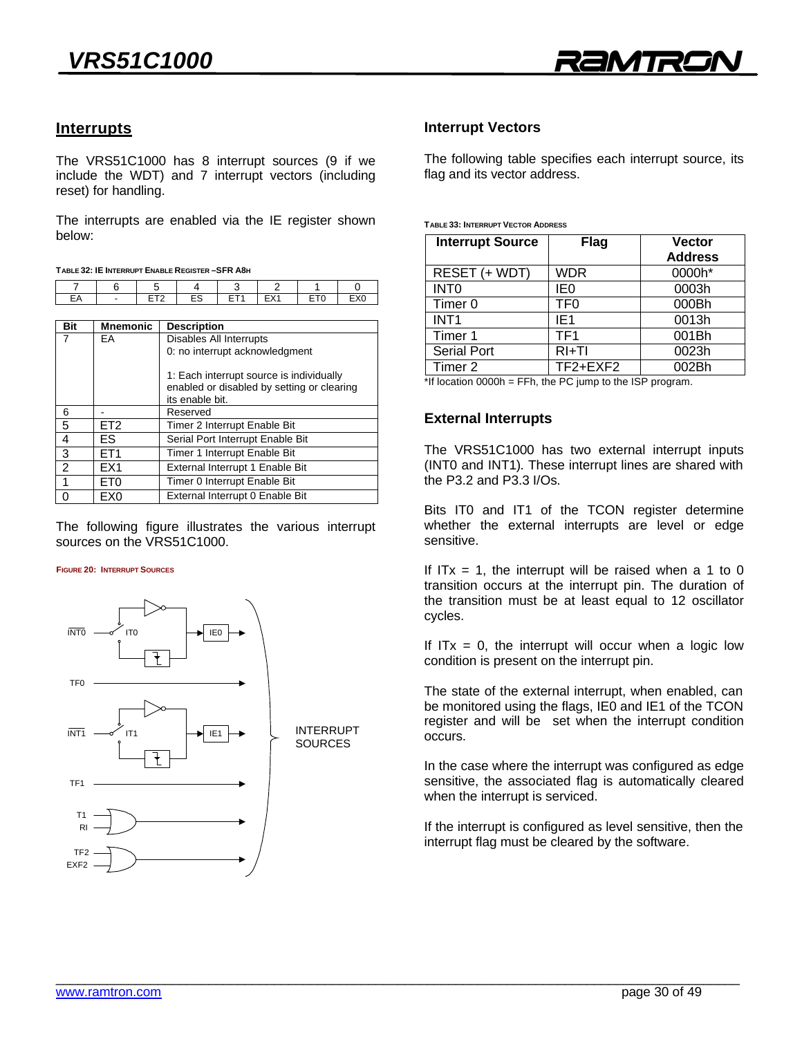

### **Interrupts**

The VRS51C1000 has 8 interrupt sources (9 if we include the WDT) and 7 interrupt vectors (including reset) for handling. reset) for handling.

The interrupts are enabled via the IE register shown

|            |         | . . |            |  |
|------------|---------|-----|------------|--|
|            |         |     |            |  |
| <b>-</b> ^ | $- - -$ | ro  | $-\cdot$ . |  |
|            |         |     |            |  |

| <b>Mnemonic</b> | <b>Description</b>                                                                                        |
|-----------------|-----------------------------------------------------------------------------------------------------------|
| EA              | Disables All Interrupts                                                                                   |
|                 | 0: no interrupt acknowledgment                                                                            |
|                 | 1: Each interrupt source is individually<br>enabled or disabled by setting or clearing<br>its enable bit. |
|                 | Reserved                                                                                                  |
| ET <sub>2</sub> | Timer 2 Interrupt Enable Bit                                                                              |
| FS.             | Serial Port Interrupt Enable Bit                                                                          |
| FT <sub>1</sub> | Timer 1 Interrupt Enable Bit                                                                              |
| EX <sub>1</sub> | External Interrupt 1 Enable Bit                                                                           |
| ET <sub>0</sub> | Timer 0 Interrupt Enable Bit                                                                              |
| EX <sub>0</sub> | External Interrupt 0 Enable Bit                                                                           |
|                 |                                                                                                           |

The following figure illustrates the various interrupt sources on the VRS51C1000. sources on the VRS51C1000.

#### **FIGURE 20: INTERRUPT SOURCES**



# **Interrupt Vectors**

 $\frac{1}{2}$  flag and its vector address  $\delta$  and its vector address.

#### **TABLE 33: INTERRUPT VECTOR ADDRESS**

| <b>Interrupt Source</b> | <b>Flag</b>     | <b>Vector</b><br><b>Address</b> |
|-------------------------|-----------------|---------------------------------|
| RESET (+ WDT)           | <b>WDR</b>      | 0000h*                          |
| <b>INTO</b>             | IE <sub>0</sub> | 0003h                           |
| Timer 0                 | TF <sub>0</sub> | 000Bh                           |
| INT <sub>1</sub>        | IE <sub>1</sub> | 0013h                           |
| Timer 1                 | TF <sub>1</sub> | 001Bh                           |
| Serial Port             | $RI+TI$         | 0023h                           |
| Timer 2                 | TF2+EXF2        | 002Bh                           |

 $\frac{1}{2}$  location 0000h = FFh. the PC jump to the ISP program. \*If location 0000h = FFh, the PC jump to the ISP program.

# **External Interrupts**

The VRS51C1000 has two external interrupt inputs (INT0 and INT1). These interrupt lines are shared with the P3.2 and P3.3  $I/Os$ . the P3.2 and P3.3 I/Os.

end it can be the TCON register determine<br>Whether the external interrunts are level or edge whether the external interrupts are level or edge<br>Sensitive sensitive.

If  $ITx = 1$ , the interrupt will be raised when a 1 to 0 transition occurs at the interrupt pin. The duration of the transition must be at least equal to 12 oscillator the transition must be at least equal to 12 oscillator cycles.

If  $ITx = 0$ , the interrupt will occur when a logic low condition is present on the interrupt pin. condition is present on the interrupt pin.

The state of the external interrupt, when enabled, can be monitored using the flags, IE0 and IE1 of the TCON register and will be set when the interrupt condition register and will be set when the interrupt condition occurs.

In the case where the interrupt was configured as edge sensitive, the associated flag is automatically cleared when the interrupt is serviced. when the interrupt is serviced.

If the interrupt is comignitie as level sensitive, then the<br>Interrupt flag must be cleared by the software interrupt flag must be cleared by the software.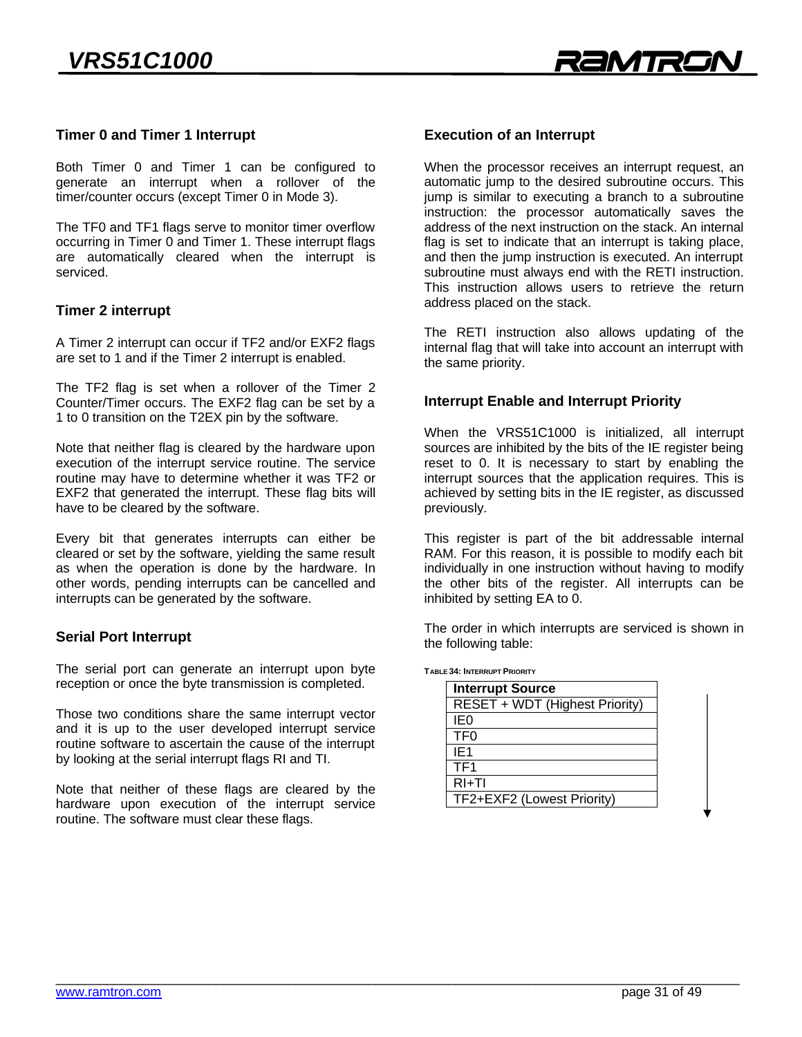

### **Timer 0 and Timer 1 Interrupt**

Both Timer 0 and Timer 1 can be configured to generate an interrupt when a rollover of the timer/counter occurs (except Timer 0 in Mode 3). timer/counter occurs (except Timer 0 in Mode 3).

The TF0 and TF1 flags serve to monitor timer overflow occurring in Timer 0 and Timer 1. These interrupt flags are automatically cleared when the interrupt is serviced.

# **Timer 2 interrupt**

A Timer 2 interrupt can occur if TF2 and/or EXF2 flags are set to 1 and if the Timer 2 interrupt is enabled. are set to 1 and if the Timer 2 interrupt is enabled.

The TF2 flag is set when a rollover of the Timer 2 Counter/Timer occurs. The EXF2 flag can be set by a 1 to 0 transition on the T2FX pin by the software  $1 - \frac{1}{2}$ 

Note that neither flag is cleared by the hardware upon execution of the interrupt service routine. The service routine may have to determine whether it was TF2 or EXF2 that generated the interrupt. These flag bits will have to be cleared by the software. have to be cleared by the software.

Every bit that generates interrupts can either be cleared or set by the software, yielding the same result as when the operation is done by the hardware. In other words, pending interrupts can be cancelled and  $\frac{1}{2}$  interrupts can be generated by the software  $\mathbf{r}$  intervals generated by the software.

# **Serial Port Interrupt**

The serial port can generate an interrupt upon ayer reception or once the byte transmission is completed.

Those two conditions share the same interrupt vector and it is up to the user developed interrupt service routine software to ascertain the cause of the interrupt by looking at the serial interrupt flags  $R$  and  $T$ by looking at the serial interrupt flags RI and TI.

Note that neither of these flags are cleared by the hardware upon execution of the interrupt service routine. The software must clear these flags. routine. The software must clear these flags.

### **Execution of an Interrupt**

When the processor receives an interrupt request, an automatic jump to the desired subroutine occurs. This jump is similar to executing a branch to a subroutine instruction: the processor automatically saves the address of the next instruction on the stack. An internal flag is set to indicate that an interrupt is taking place, and then the jump instruction is executed. An interrupt subroutine must always end with the RETI instruction. This instruction allows users to retrieve the return This instruction allows users to retrieve the return. address placed on the stack.

The RETI instruction also allows updating of the internal flag that will take into account an interrupt with the same priority. the same priority.

### **Interrupt Enable and Interrupt Priority**

When the VRS51C1000 is initialized, all interrupt sources are inhibited by the bits of the IE register being reset to 0. It is necessary to start by enabling the interrupt sources that the application requires. This is achieved by setting bits in the IE register, as discussed previously. previously.

This register is part of the bit addressable internal<br>RAM. For this reason, it is possible to modify each bit individually in one instruction without having to modify the other bits of the register. All interrupts can be inhibited by setting  $FA$  to  $0$  $\frac{1}{2}$ 

The order in which interrupts are serviced is shown in the following table: the following table:

**TABLE 34: INTERRUPT PRIORITY**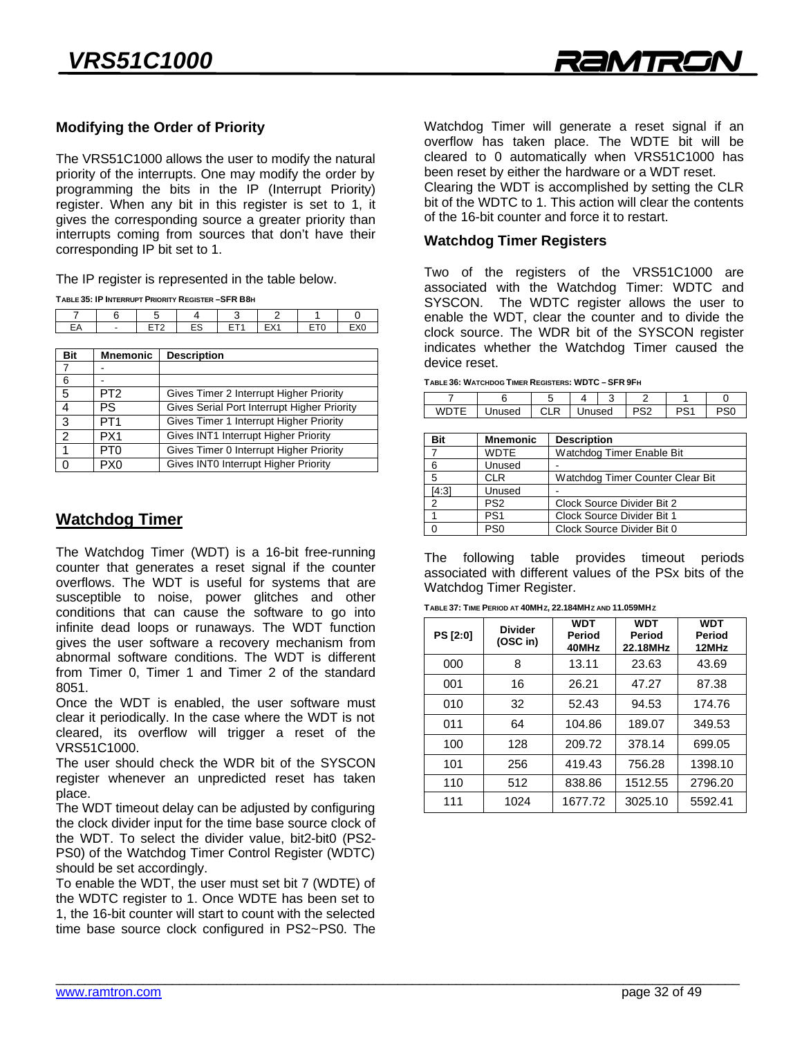# **Modifying the Order of Priority**

The VRS51C1000 allows the user to modify the natural priority of the interrupts. One may modify the order by programming the bits in the IP (Interrupt Priority) register. When any bit in this register is set to 1, it gives the corresponding source a greater priority than interrupts coming from sources that don't have their corresponding IP hit set to 1  $\mathcal{L}$  bit set to  $\mathcal{L}$ 

The IP register is represented in the table below.<br>TABLE 35: IP INTERRUPT PRIORITY REGISTER-SFR B8H

| $\overline{\phantom{a}}$ |  |   |   |  |
|--------------------------|--|---|---|--|
|                          |  | - | - |  |
|                          |  |   |   |  |

| <b>Bit</b>     | <b>Mnemonic</b> | <b>Description</b>                          |
|----------------|-----------------|---------------------------------------------|
| $\overline{7}$ |                 |                                             |
| 6              |                 |                                             |
| 5              | PT <sub>2</sub> | Gives Timer 2 Interrupt Higher Priority     |
| 4              | PS              | Gives Serial Port Interrupt Higher Priority |
| 3              | PT <sub>1</sub> | Gives Timer 1 Interrupt Higher Priority     |
| $\mathcal{P}$  | PX <sub>1</sub> | Gives INT1 Interrupt Higher Priority        |
| 1              | PT0             | Gives Timer 0 Interrupt Higher Priority     |
| $\Omega$       | PX <sub>0</sub> | Gives INT0 Interrupt Higher Priority        |
|                |                 |                                             |

# **Watchdog Timer**

The Watchdog Timer (WDT) is a 16-bit free-running counter that generates a reset signal if the counter overflows. The WDT is useful for systems that are susceptible to noise, power glitches and other conditions that can cause the software to go into infinite dead loops or runaways. The WDT function gives the user software a recovery mechanism from abnormal software conditions. The WDT is different from Timer 0. Timer 1 and Timer 2 of the standard  $\frac{6}{100}$ 

Once the WDT is enabled, the user software must clear it periodically. In the case where the WDT is not cleared, its overflow will trigger a reset of the VRS51C1000.

The user should check the WDR bit of the SYSCON The user shown answered the WDR bit of the SYSCON. register whenever an unpredicted reset taken an unpredicted reset has taken an unpredicted reset of  $\sim$ place.<br>The WDT timeout delay can be adiusted by configuring

the clock divider input for the time base source clock of the WDT. To select the divider value, bit2-bit0 (PS2-PS0) of the Watchdog Timer Control Register (WDTC) should be set accordingly.

To enable the WDT, the user must set bit 7 (WDTE) of the WDTC register to 1. Once WDTE has been set to 1, the 16-bit counter will start to count with the selected  $\frac{1}{2}$  time hase source clock configured in PS2~PS0. The time base source clock configured in PS2~PS0. The

Watchdog Timer will generate a reset signal if an cleared to 0 automatically when VRS51C1000 has been reset by either the hardware or a WDT reset.

Clearing the WDT is accomplished by setting the CLR bit of the WDTC to 1. This action will clear the contents of the 16-bit counter and force it to restart. of the 16-bit counter and force it to restart.

# **Watchdog Timer Registers**

Two of the registers of the VRS51C1000 are associated with the Watchdog Timer: WDTC and SYSCON. The WDTC register allows the user to enable the WDT, clear the counter and to divide the clock source. The WDR bit of the SYSCON register indicates whether the Watchdog Timer caused the device reset.

device reset. **TABLE 36: WATCHDOG TIMER REGISTERS: WDTC – SFR 9FH**

|  | -11 | used |  |  |  |
|--|-----|------|--|--|--|
|  |     |      |  |  |  |

| Bit   | <b>Mnemonic</b> | <b>Description</b>               |
|-------|-----------------|----------------------------------|
|       | <b>WDTE</b>     | Watchdog Timer Enable Bit        |
| 6     | Unused          |                                  |
| 5     | <b>CLR</b>      | Watchdog Timer Counter Clear Bit |
| [4:3] | Unused          |                                  |
|       | PS <sub>2</sub> | Clock Source Divider Bit 2       |
|       | PS <sub>1</sub> | Clock Source Divider Bit 1       |
|       | PS <sub>0</sub> | Clock Source Divider Bit 0       |
|       |                 |                                  |

The following table provides timeout periods<br>associated with different values of the PSx bits of the Watchdog Timer Register.

watchdog Timer Register.

| <b>PS [2:0]</b> | <b>Divider</b><br>(OSC in) | <b>WDT</b><br>Period<br>40MHz | <b>WDT</b><br>Period<br>22.18MHz | <b>WDT</b><br>Period<br>12MHz |
|-----------------|----------------------------|-------------------------------|----------------------------------|-------------------------------|
| 000             | 8                          | 13.11                         | 23.63                            | 43.69                         |
| 001             | 16                         | 26.21                         | 47.27                            | 87.38                         |
| 010             | 32                         | 52.43                         | 94.53                            | 174.76                        |
| 011             | 64                         | 104.86                        | 189.07                           | 349.53                        |
| 100             | 128                        | 209.72                        | 378.14                           | 699.05                        |
| 101             | 256                        | 419.43                        | 756.28                           | 1398.10                       |
| 110             | 512                        | 838.86                        | 1512.55                          | 2796.20                       |
| 111             | 1024                       | 1677.72                       | 3025.10                          | 5592.41                       |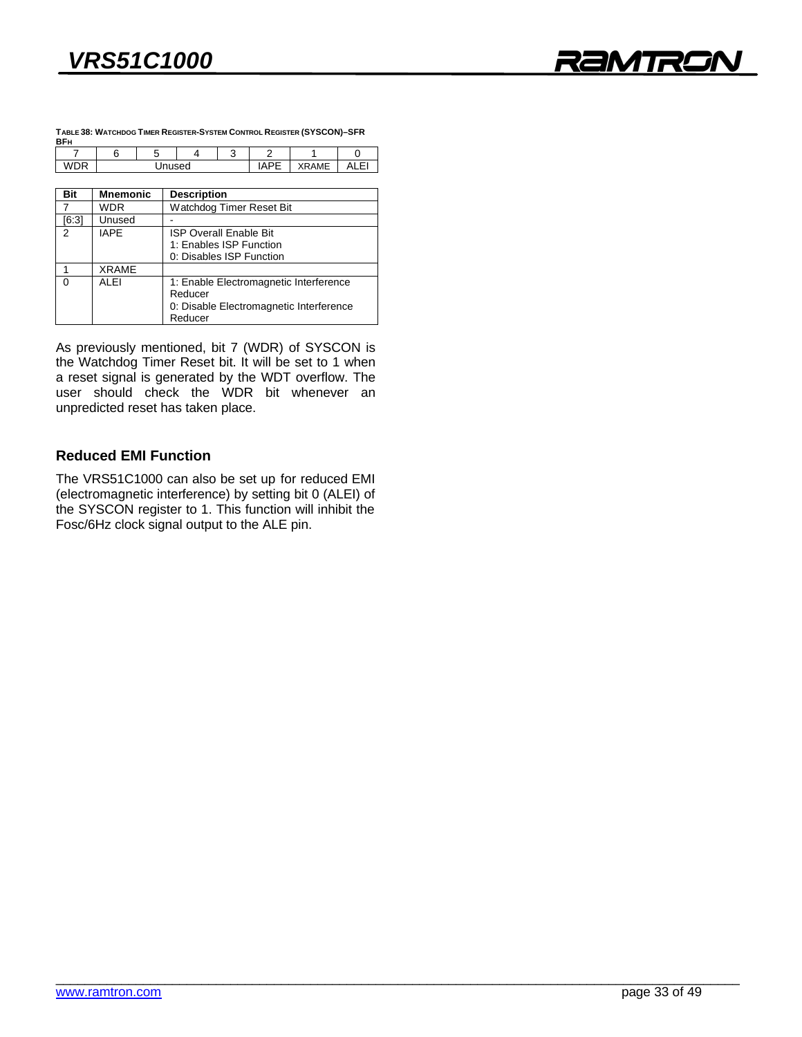

| TABLE 38: WATCHDOG TIMER REGISTER-SYSTEM CONTROL REGISTER (SYSCON)-SFR<br><b>BFH</b> |  |  |  |  |  |          |  |
|--------------------------------------------------------------------------------------|--|--|--|--|--|----------|--|
|                                                                                      |  |  |  |  |  |          |  |
|                                                                                      |  |  |  |  |  | 377.8847 |  |

| Bit      | <b>Mnemonic</b> | <b>Description</b>                                                                                      |  |  |
|----------|-----------------|---------------------------------------------------------------------------------------------------------|--|--|
|          | <b>WDR</b>      | Watchdog Timer Reset Bit                                                                                |  |  |
| [6:3]    | Unused          |                                                                                                         |  |  |
| 2        | <b>IAPF</b>     | <b>ISP Overall Enable Bit</b><br>1: Enables ISP Function<br>0: Disables ISP Function                    |  |  |
|          | <b>XRAME</b>    |                                                                                                         |  |  |
| $\Omega$ | ALEI            | 1: Enable Electromagnetic Interference<br>Reducer<br>0: Disable Electromagnetic Interference<br>Reducer |  |  |

As previously mentioned, bit 7 (WDR) of SYSCON is the Watchdog Timer Reset bit. It will be set to 1 when a reset signal is generated by the WDT overflow. The user should check the WDR bit whenever an user should check the WDR and bit whenever and unpredicted reset has taken place.

### **Reduced EMI Function**

The VRS51C1000 can also be set up for reduced EMI (electromagnetic interference) by setting bit 0 (ALEI) of the SYSCON register to 1. This function will inhibit the  $\frac{1}{2}$   $\frac{1}{2}$  register to  $\frac{1}{2}$  register the  $\frac{1}{2}$   $\frac{1}{2}$   $\frac{1}{2}$   $\frac{1}{2}$   $\frac{1}{2}$   $\frac{1}{2}$   $\frac{1}{2}$   $\frac{1}{2}$   $\frac{1}{2}$   $\frac{1}{2}$   $\frac{1}{2}$   $\frac{1}{2}$   $\frac{1}{2}$   $\frac{1}{2}$   $\frac{1}{2}$   $\frac{1}{2}$   $\frac{1}{$  $F_{\text{max}} = F_{\text{max}}$  signal output to the ALE pin.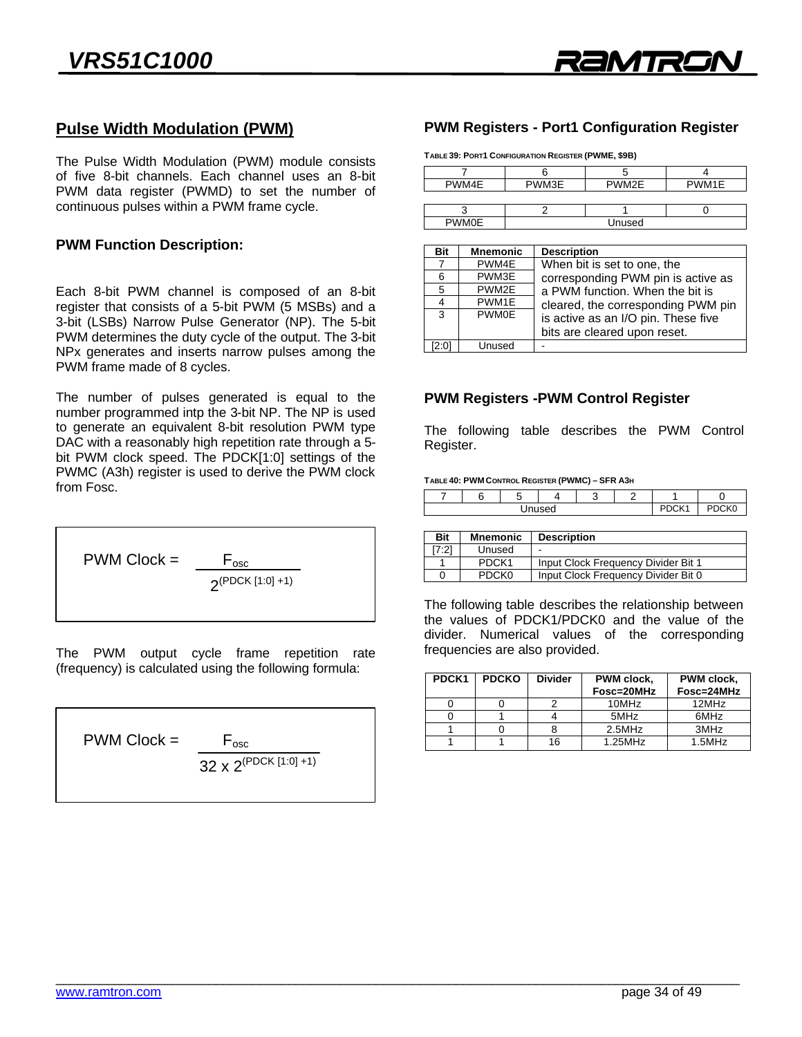## **Pulse Width Modulation (PWM)**

The Pulse Width Modulation (PWM) module consists PWM data register (PWMD) to set the number of continuous pulses within a PWM frame cycle. continuous pulses with a PWM frame cycle.

### **PWM Function Description:**

Each 8-bit PWM channel is composed of an 8-bit register that consists of a 5-bit PWM (5 MSBs) and a 3-bit (LSBs) Narrow Pulse Generator (NP). The 5-bit PWM determines the duty cycle of the output. The 3-bit NP<sub>x</sub> generates and inserts narrow pulses among the PWM frame made of 8 cycles PWM frame made of 8 cycles.

The number of pulses generated is equal to the number programmed intp the 3-bit NP. The NP is used to generate an equivalent 8-bit resolution PWM type DAC with a reasonably high repetition rate through a 5bit PWM clock speed. The PDCK[1:0] settings of the PWMC (A3h) register is used to derive the PWM clock from Fosc.

$$
PWM \text{Clock} = \frac{F_{\text{osc}}}{2^{(PDCK[1:0]+1)}}
$$

The Putton computer cycle in the Following formula:  $\frac{1}{2}$  is calculated using the following formula:



# **PWM Registers - Port1 Configuration Register**

PWM Construction and the construction of the construction of the construction of the construction of the construction of the construction of the construction of the construction of the construction of the construction of t

|              |         | $\cdots$ |       |  |
|--------------|---------|----------|-------|--|
|              |         |          |       |  |
| PWM4E        | PWM3E   | PWM2E    | PWM1E |  |
|              |         |          |       |  |
|              |         |          |       |  |
| <b>PWMOF</b> | hazımlı |          |       |  |

| <b>Bit</b> | <b>Mnemonic</b> | <b>Description</b>                                                  |
|------------|-----------------|---------------------------------------------------------------------|
|            | PWM4E           | When bit is set to one, the                                         |
| 6          | PWM3E           | corresponding PWM pin is active as                                  |
| 5          | PWM2E           | a PWM function. When the bit is                                     |
| 4          | PWM1E           | cleared, the corresponding PWM pin                                  |
| 3          | <b>PWM0E</b>    | is active as an I/O pin. These five<br>bits are cleared upon reset. |
| 2:01       | Unused          |                                                                     |

### **PWM Registers -PWM Control Register**

The following table describes the PWM Control<br>Register. Register.

#### **TABLE 40: PWM CONTROL REGISTER (PWMC) – SFR A3H**

|  | $\sim$ | <sup>∼</sup> К0 |  |  |
|--|--------|-----------------|--|--|
|  |        |                 |  |  |

| <b>Bit</b> | <b>Mnemonic</b>   | <b>Description</b>                  |
|------------|-------------------|-------------------------------------|
| [7:2]      | Unused            | -                                   |
|            | PDCK <sub>1</sub> | Input Clock Frequency Divider Bit 1 |
|            | <b>PDCKO</b>      | Input Clock Frequency Divider Bit 0 |
|            |                   |                                     |

The following table describes the relationship between<br>the values of PDCK1/PDCK0 and the value of the divider. Numerical values of the corresponding frequencies are also provided. frequencies are also provided.

| PDCK <sub>1</sub> | <b>PDCKO</b> | <b>Divider</b> | PWM clock,<br>Fosc=20MHz | PWM clock,<br>Fosc=24MHz |
|-------------------|--------------|----------------|--------------------------|--------------------------|
|                   |              |                | 10MHz                    | 12MHz                    |
|                   |              |                | 5MHz                     | 6MHz                     |
|                   |              |                | 2.5MHz                   | 3MHz                     |
|                   |              | 16             | $1.25$ MHz               | $1.5$ MHz                |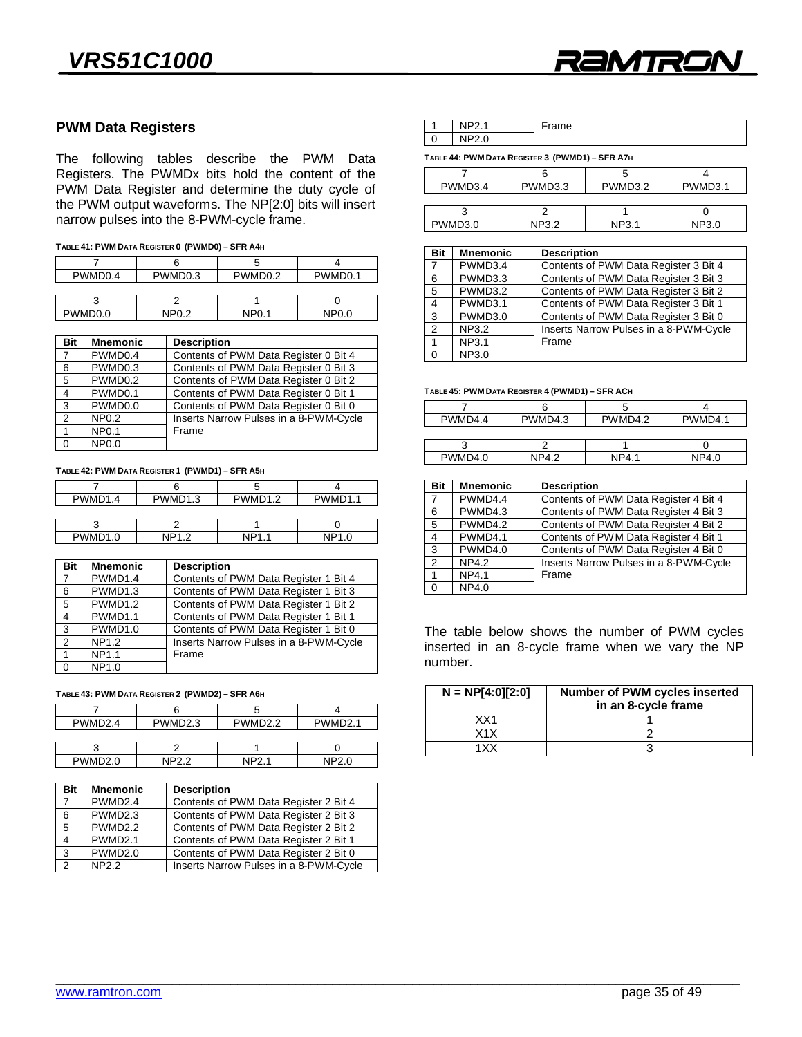

### **PWM Data Registers**

The following tables describe the PWM Data<br>Registers. The PWMDx bits hold the content of the PWM Data Register and determine the duty cycle of the PWM output waveforms. The NP[2:0] bits will insert  $t_{\rm max}$  with each material waveforms. The  $\frac{1}{2}$  and  $\frac{1}{2}$  and  $\frac{1}{2}$  inserts. narrow pulses into the 8-PWM-cycle frame.

|  | TABLE 41: PWM DATA REGISTER 0 (PWMD0) - SFR A4H |  |
|--|-------------------------------------------------|--|
|  |                                                 |  |

| PWMD0.4             | PWMD <sub>0.3</sub> | PWMD <sub>0.2</sub> | PWMD <sub>0.1</sub> |
|---------------------|---------------------|---------------------|---------------------|
|                     |                     |                     |                     |
|                     |                     |                     |                     |
| PWMD <sub>0.0</sub> | <b>NP0.2</b>        | <b>NP0.1</b>        | <b>NP0.0</b>        |
|                     |                     |                     |                     |

| Bit            | <b>Mnemonic</b> | <b>Description</b>                     |
|----------------|-----------------|----------------------------------------|
| $\overline{7}$ | PWMD0.4         | Contents of PWM Data Register 0 Bit 4  |
| 6              | PWMD0.3         | Contents of PWM Data Register 0 Bit 3  |
| 5              | PWMD0.2         | Contents of PWM Data Register 0 Bit 2  |
| $\overline{4}$ | PWMD0.1         | Contents of PWM Data Register 0 Bit 1  |
| $\mathbf{3}$   | PWMD0.0         | Contents of PWM Data Register 0 Bit 0  |
| $\overline{2}$ | <b>NP0.2</b>    | Inserts Narrow Pulses in a 8-PWM-Cycle |
|                | <b>NP0.1</b>    | Frame                                  |
| $\Omega$       | NP0.0           |                                        |
|                |                 |                                        |

**TABLE 42: PWM DATA REGISTER 1 (PWMD1) – SFR A5H**

| PWMD <sub>1.4</sub> | PWMD <sub>1.3</sub> | PWMD <sub>1.2</sub> | PWMD1.1         |
|---------------------|---------------------|---------------------|-----------------|
|                     |                     |                     |                 |
|                     |                     |                     |                 |
| <b>PWMD10</b>       | NP1 2               | NP1                 | NP <sub>1</sub> |

PWM 1.0 NP1.1 NP1.1 NP1.1 NP1.1 NP1.1 NP1.1 NP1.1 NP1.1 NP1.1 NP1.1 NP1.1 NP1.1 NP1.1 NP1.1 NP1.1 NP1.1 NP1.1 N<br>PM 1.0 NP1.1 NP1.1 NP1.1 NP1.1 NP1.1 NP1.1 NP1.1 NP1.1 NP1.1 NP1.1 NP1.1 NP1.1 NP1.1 NP1.1 NP1.1 NP1.1 NP1.1 N

| Bit            | <b>Mnemonic</b> | <b>Description</b>                     |
|----------------|-----------------|----------------------------------------|
| 7              | PWMD1.4         | Contents of PWM Data Register 1 Bit 4  |
| 6              | PWMD1.3         | Contents of PWM Data Register 1 Bit 3  |
| 5              | PWMD1.2         | Contents of PWM Data Register 1 Bit 2  |
| $\overline{4}$ | PWMD1.1         | Contents of PWM Data Register 1 Bit 1  |
| $\mathbf{3}$   | PWMD1.0         | Contents of PWM Data Register 1 Bit 0  |
| $\overline{2}$ | NP1.2           | Inserts Narrow Pulses in a 8-PWM-Cycle |
| $\overline{1}$ | NP1.1           | Frame                                  |
| $\cap$         | <b>NP10</b>     |                                        |

#### **TABLE 43: PWM DATA REGISTER 2 (PWMD2) – SFR A6H**

0 NP1.0 NP1.0 NP1.0 NP1.0 NP1.0 NP1.0 NP1.0 NP1.0 NP1.0 NP1.0 NP1.0 NP1.0 NP1.0 NP1.0 NP1.0 NP1.0 NP1.0 NP1.0 <br>- NP1.0 NP1.0 NP1.0 NP1.0 NP1.0 NP1.0 NP1.0 NP1.0 NP1.0 NP1.0 NP1.0 NP1.0 NP1.0 NP1.0 NP1.0 NP1.0 NP1.0 NP1.0 <br>

| PWMD2.3 | <b>PIMMD2</b><br>$\overline{A}$ |
|---------|---------------------------------|
|         |                                 |
|         | י פֿרחו∧ו∧ים                    |

| Bit            | <b>Mnemonic</b> | <b>Description</b>                     |
|----------------|-----------------|----------------------------------------|
| $\overline{7}$ | PWMD2.4         | Contents of PWM Data Register 2 Bit 4  |
| 6              | PWMD2.3         | Contents of PWM Data Register 2 Bit 3  |
| 5              | PWMD2.2         | Contents of PWM Data Register 2 Bit 2  |
| 4              | PWMD2.1         | Contents of PWM Data Register 2 Bit 1  |
| 3              | PWMD2.0         | Contents of PWM Data Register 2 Bit 0  |
| $\overline{2}$ | <b>NP2.2</b>    | Inserts Narrow Pulses in a 8-PWM-Cycle |
|                |                 |                                        |

|   | . . | -<br>me |
|---|-----|---------|
| u | . . |         |
|   |     |         |

|         | _______ | . .     |         |
|---------|---------|---------|---------|
|         |         |         |         |
| PWMD3.4 | PWMD3.3 | PWMD3.2 | PWMD3.1 |
|         |         |         |         |
|         |         |         |         |

PWMD3.0 NP3.2 NP3.1 NP3.0

| Bit            | <b>Mnemonic</b> | <b>Description</b>                     |
|----------------|-----------------|----------------------------------------|
| $\overline{7}$ | PWMD3.4         | Contents of PWM Data Register 3 Bit 4  |
| 6              | PWMD3.3         | Contents of PWM Data Register 3 Bit 3  |
| 5              | PWMD3.2         | Contents of PWM Data Register 3 Bit 2  |
| 4              | PWMD3.1         | Contents of PWM Data Register 3 Bit 1  |
| 3              | PWMD3.0         | Contents of PWM Data Register 3 Bit 0  |
| $\mathfrak{p}$ | <b>NP3.2</b>    | Inserts Narrow Pulses in a 8-PWM-Cycle |
| 1              | NP3.1           | Frame                                  |

#### **TABLE 45: PWM DATA REGISTER 4 (PWMD1) – SFR ACH**

 $0$  NP3.0 <u>0 NP3.00</u>

0 NP4.0 NP4.0 NP4.0 NP4.0 NP4.0 NP4.0 NP4.0 NP4.0 NP4.0 NP4.0 NP4.0 NP4.0 NP4.0 NP4.0 NP4.0 NP4.0 NP4.0 NP4.0 <br>- NP4.0 NP4.0 NP4.0 NP4.0 NP4.0 NP4.0 NP4.0 NP4.0 NP4.0 NP4.0 NP4.0 NP4.0 NP4.0 NP4.0 NP4.0 NP4.0 NP4.0 NP4.0

| PWMD4.4 | PWMD4.3 | PWMD4.2 | PWMD4.1 |
|---------|---------|---------|---------|
|         |         |         |         |
|         |         |         |         |

PWMD4.0 NP4.2 NP4.1 NP4.0 PWM 4.2 NP4.2 NP4.2 NP4.2 NP4.2 NP4.2 NP4.2 NP4.2 NP4.2 NP4.2 NP4.2 NP4.2 NP4.2 NP4.2 NP4.2 NP4.2 NP4.2 NP4.2 NP4.

| Bit            | <b>Mnemonic</b>  | <b>Description</b>                     |
|----------------|------------------|----------------------------------------|
|                |                  |                                        |
| 7              | PWMD4.4          | Contents of PWM Data Register 4 Bit 4  |
| 6              | PWMD4.3          | Contents of PWM Data Register 4 Bit 3  |
| 5              | PWMD4.2          | Contents of PWM Data Register 4 Bit 2  |
| $\overline{4}$ | PWMD4.1          | Contents of PWM Data Register 4 Bit 1  |
| 3              | PWMD4.0          | Contents of PWM Data Register 4 Bit 0  |
| 2              | NP4.2            | Inserts Narrow Pulses in a 8-PWM-Cycle |
| 1              | <b>NP4.1</b>     | Frame                                  |
| $\Omega$       | NPA <sub>0</sub> |                                        |

The table below shows the number of PMM cycles<br>inserted in an 8-cycle frame when we vary the NP  $\sum_{i=1}^{\infty}$ 

| $N = NP[4:0][2:0]$ | <b>Number of PWM cycles inserted</b><br>in an 8-cycle frame |
|--------------------|-------------------------------------------------------------|
| XX1                |                                                             |
| X <sub>1</sub> X   |                                                             |
| 1 X X              |                                                             |
|                    |                                                             |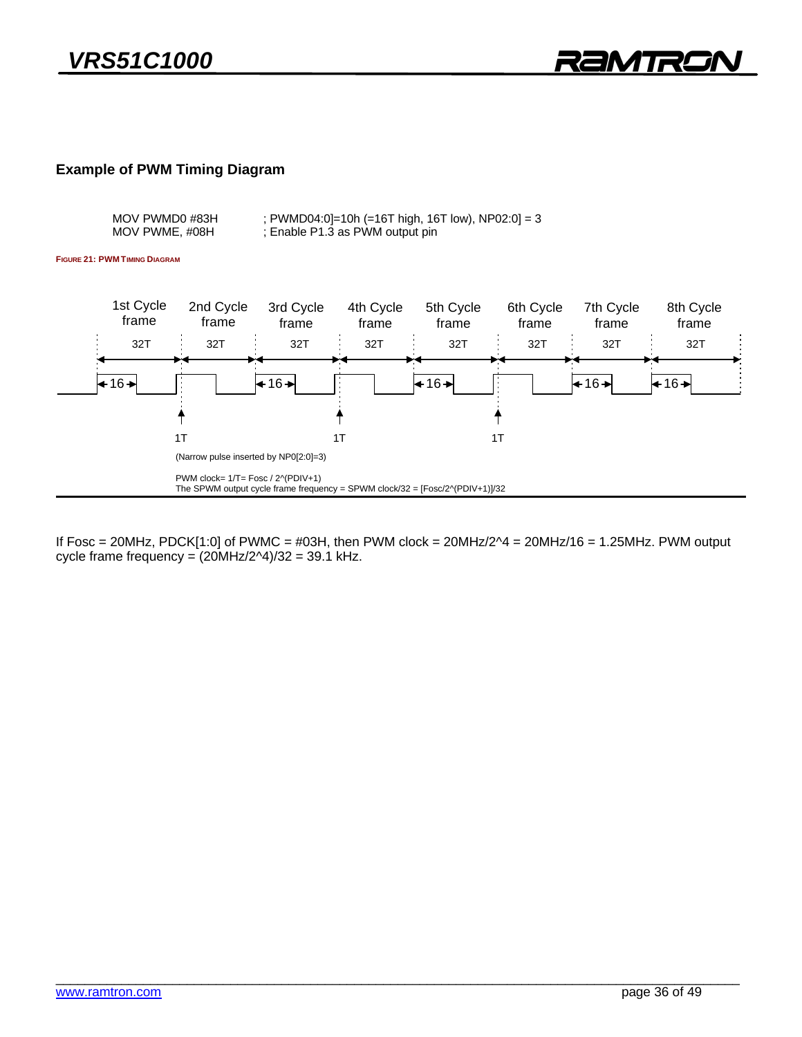### **Example of PWM Timing Diagram**

**FIGURE 21: PWM TIMING DIAGRAM**



 $\text{cycle frame frequency} = (20\text{MHz}/2\text{MHz})$ <br> $\text{angle frame} = (20\text{MHz}/2\text{MHz})$ cycle frame frequency  $\sqrt{2}$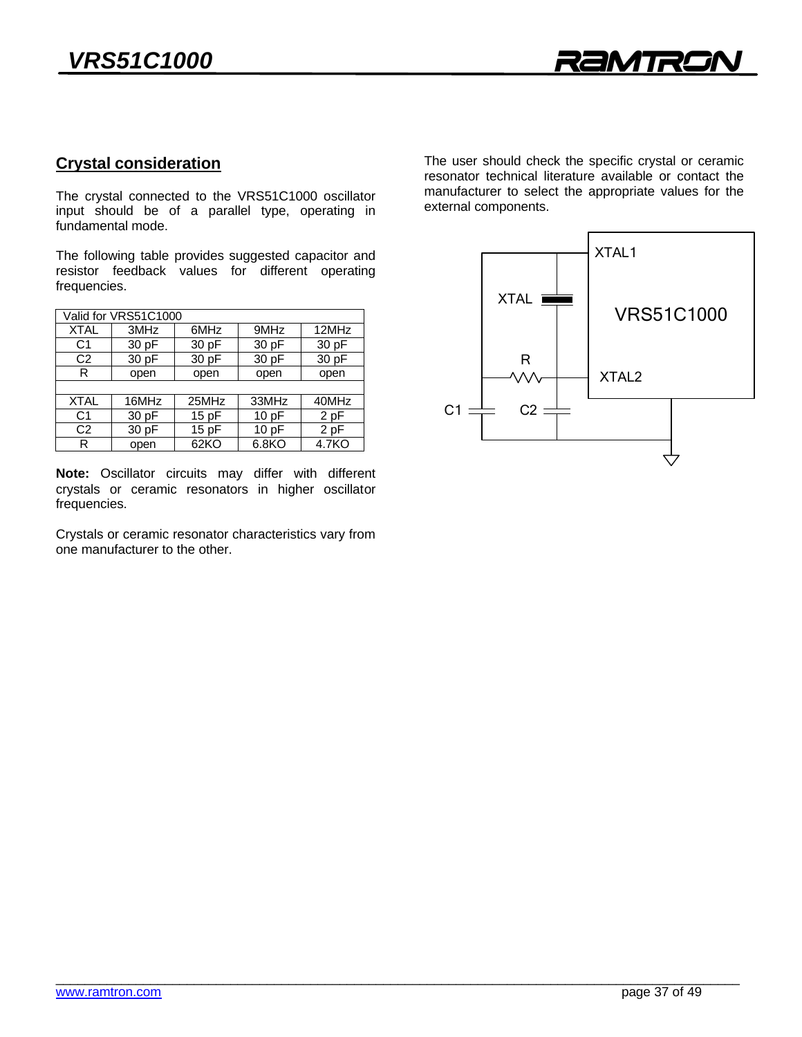## **Crystal consideration**

The crystal connected to the VRS51C1000 oscillator<br>input should be of a parallel type, operating in fundamental mode.

The following table provides suggested capacitor and resistor feedback values for different operating frequencies frequencies.

| Valid for VRS51C1000 |       |         |       |       |  |  |  |  |
|----------------------|-------|---------|-------|-------|--|--|--|--|
| <b>XTAL</b>          | 3MHz  | 6MHz    | 9MHz  | 12MHz |  |  |  |  |
| C <sub>1</sub>       | 30 pF | 30 pF   | 30 pF | 30 pF |  |  |  |  |
| C <sub>2</sub>       | 30 pF | 30 pF   | 30 pF | 30 pF |  |  |  |  |
| R                    | open  | open    | open  | open  |  |  |  |  |
|                      |       |         |       |       |  |  |  |  |
| <b>XTAL</b>          | 16MHz | 25MHz   | 33MHz | 40MHz |  |  |  |  |
| C <sub>1</sub>       | 30pF  | 15pF    | 10pF  | 2 pF  |  |  |  |  |
| C <sub>2</sub>       | 30 pF | 15 $pF$ | 10 pF | 2 pF  |  |  |  |  |
| R                    | open  | 62KO    | 6.8KO | 4.7KO |  |  |  |  |
|                      |       |         |       |       |  |  |  |  |

Note: Oscillator circuits may differ with different crystals or ceramic resonators in higher oscillator crystals or ceramic resonators in higher or ceramic resonators in higher or ceramic resonators in higher or control or control or control or control or control or control or control or control or control or control or cont frequencies.

Crystals or ceramic resonator characteristics vary from<br>one manufacturer to the other. one manufacturer to the other.

The user should check the specific crystal or ceramic resonator technical literature available or contact the manufacturer to select the appropriate values for the external components

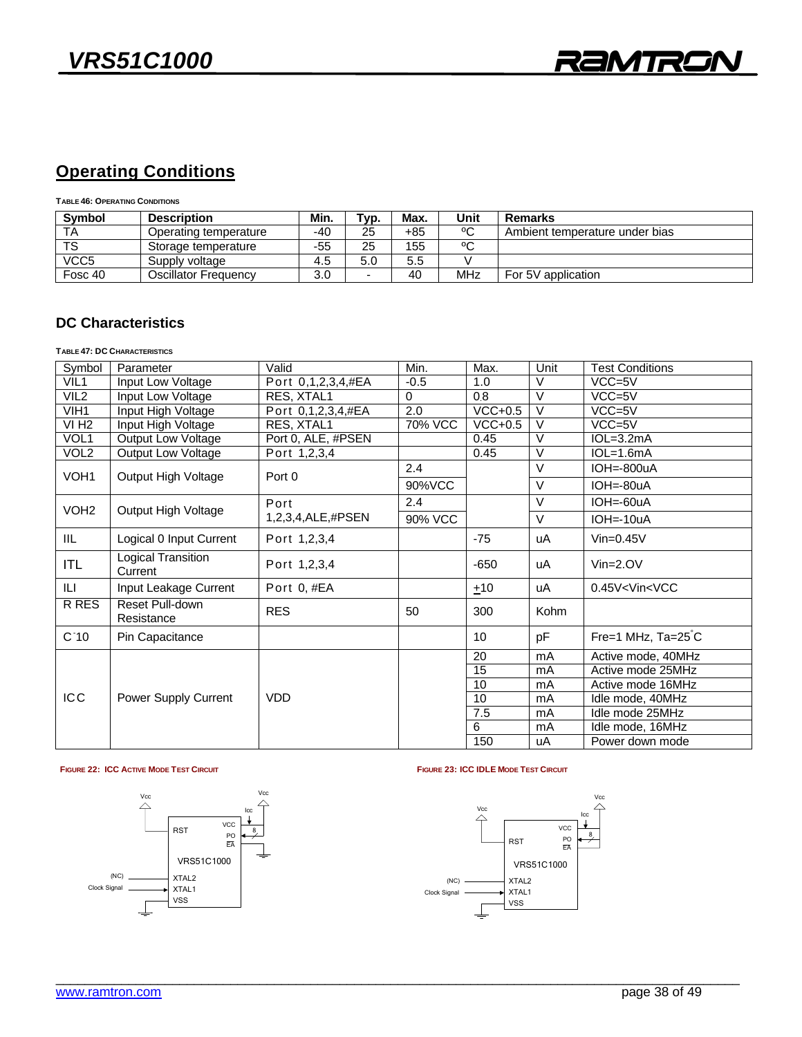## **Operating Conditions**

**TABLE 46: OPERATING CONDITIONS**

| <b>Symbol</b>          | <b>Description</b>    | Min. | т <sub>ур.</sub> | Max. | Unit | <b>Remarks</b>                 |
|------------------------|-----------------------|------|------------------|------|------|--------------------------------|
| TA                     | Operating temperature | -40  | 25               | +85  | ٥C   | Ambient temperature under bias |
| $\overline{\text{TS}}$ | Storage temperature   | -55  | 25               | 155  | °C   |                                |
| VCC <sub>5</sub>       | Supply voltage        | 4.5  | 5.0              | 5.5  |      |                                |
| Fosc 40                | Oscillator Frequencv  | 3.0  | ÷                | 40   | MHz  | For 5V application             |
|                        |                       |      |                  |      |      |                                |

## **DC Characteristics**

### **TABLE 47: DC CHARACTERISTICS**

| V<br>VIL <sub>1</sub><br>Port 0,1,2,3,4,#EA<br>$-0.5$<br>VCC=5V<br>Input Low Voltage<br>1.0<br>$\vee$<br>VIL <sub>2</sub><br>Input Low Voltage<br>RES, XTAL1<br>$\Omega$<br>0.8<br>VCC=5V<br>$\vee$<br>VIH1<br>Input High Voltage<br>2.0<br>$VCC+0.5$<br>Port 0,1,2,3,4,#EA<br>$VCC=5V$<br>$\vee$<br>VI <sub>H2</sub><br>70% VCC<br>$VCC+0.5$<br>RES. XTAL1<br>$VCC=5V$<br>Input High Voltage<br>VOL1<br>Port 0, ALE, #PSEN<br>$\vee$<br>$IOL=3.2mA$<br>Output Low Voltage<br>0.45<br>VOL2<br>$\vee$<br>0.45<br>Output Low Voltage<br>Port 1,2,3,4<br>$IOL=1.6mA$<br>$\vee$<br>2.4<br>$IOH = -800uA$<br>VOH <sub>1</sub><br>Output High Voltage<br>Port 0<br>V<br>90%VCC<br>IOH=-80uA<br>$\vee$<br>2.4<br>$IOH = 60uA$<br>Port<br>VOH <sub>2</sub><br>Output High Voltage<br>1,2,3,4,ALE,#PSEN<br>V<br>90% VCC<br>IOH=-10uA<br>IIL.<br>Logical 0 Input Current<br>Port 1,2,3,4<br>$-75$<br>$V$ in=0.45 $V$<br>uA<br>Logical Transition<br><b>ITL</b><br>Port 1,2,3,4<br>$-650$<br>$Vin=2.0V$<br>uA<br>Current<br>IЦ<br>Input Leakage Current<br>Port 0, #EA<br>0.45V <vin<vcc<br>±10<br/>uA</vin<vcc<br> |  |
|----------------------------------------------------------------------------------------------------------------------------------------------------------------------------------------------------------------------------------------------------------------------------------------------------------------------------------------------------------------------------------------------------------------------------------------------------------------------------------------------------------------------------------------------------------------------------------------------------------------------------------------------------------------------------------------------------------------------------------------------------------------------------------------------------------------------------------------------------------------------------------------------------------------------------------------------------------------------------------------------------------------------------------------------------------------------------------------------------------|--|
|                                                                                                                                                                                                                                                                                                                                                                                                                                                                                                                                                                                                                                                                                                                                                                                                                                                                                                                                                                                                                                                                                                          |  |
|                                                                                                                                                                                                                                                                                                                                                                                                                                                                                                                                                                                                                                                                                                                                                                                                                                                                                                                                                                                                                                                                                                          |  |
|                                                                                                                                                                                                                                                                                                                                                                                                                                                                                                                                                                                                                                                                                                                                                                                                                                                                                                                                                                                                                                                                                                          |  |
|                                                                                                                                                                                                                                                                                                                                                                                                                                                                                                                                                                                                                                                                                                                                                                                                                                                                                                                                                                                                                                                                                                          |  |
|                                                                                                                                                                                                                                                                                                                                                                                                                                                                                                                                                                                                                                                                                                                                                                                                                                                                                                                                                                                                                                                                                                          |  |
|                                                                                                                                                                                                                                                                                                                                                                                                                                                                                                                                                                                                                                                                                                                                                                                                                                                                                                                                                                                                                                                                                                          |  |
|                                                                                                                                                                                                                                                                                                                                                                                                                                                                                                                                                                                                                                                                                                                                                                                                                                                                                                                                                                                                                                                                                                          |  |
|                                                                                                                                                                                                                                                                                                                                                                                                                                                                                                                                                                                                                                                                                                                                                                                                                                                                                                                                                                                                                                                                                                          |  |
|                                                                                                                                                                                                                                                                                                                                                                                                                                                                                                                                                                                                                                                                                                                                                                                                                                                                                                                                                                                                                                                                                                          |  |
|                                                                                                                                                                                                                                                                                                                                                                                                                                                                                                                                                                                                                                                                                                                                                                                                                                                                                                                                                                                                                                                                                                          |  |
|                                                                                                                                                                                                                                                                                                                                                                                                                                                                                                                                                                                                                                                                                                                                                                                                                                                                                                                                                                                                                                                                                                          |  |
|                                                                                                                                                                                                                                                                                                                                                                                                                                                                                                                                                                                                                                                                                                                                                                                                                                                                                                                                                                                                                                                                                                          |  |
|                                                                                                                                                                                                                                                                                                                                                                                                                                                                                                                                                                                                                                                                                                                                                                                                                                                                                                                                                                                                                                                                                                          |  |
| <b>R RES</b><br>Reset Pull-down<br><b>RES</b><br>300<br>Kohm<br>50<br>Resistance                                                                                                                                                                                                                                                                                                                                                                                                                                                                                                                                                                                                                                                                                                                                                                                                                                                                                                                                                                                                                         |  |
| C <sub>10</sub><br>Fre=1 MHz, Ta=25°C<br>10<br>pF<br>Pin Capacitance                                                                                                                                                                                                                                                                                                                                                                                                                                                                                                                                                                                                                                                                                                                                                                                                                                                                                                                                                                                                                                     |  |
| 20<br>Active mode, 40MHz<br>mA                                                                                                                                                                                                                                                                                                                                                                                                                                                                                                                                                                                                                                                                                                                                                                                                                                                                                                                                                                                                                                                                           |  |
| 15<br>Active mode 25MHz<br>mA                                                                                                                                                                                                                                                                                                                                                                                                                                                                                                                                                                                                                                                                                                                                                                                                                                                                                                                                                                                                                                                                            |  |
| 10<br>Active mode 16MHz<br>mA                                                                                                                                                                                                                                                                                                                                                                                                                                                                                                                                                                                                                                                                                                                                                                                                                                                                                                                                                                                                                                                                            |  |
| <b>ICC</b><br>Power Supply Current<br>VDD<br>10<br>Idle mode, 40MHz<br>mA                                                                                                                                                                                                                                                                                                                                                                                                                                                                                                                                                                                                                                                                                                                                                                                                                                                                                                                                                                                                                                |  |
| 7.5<br>Idle mode 25MHz<br>mA                                                                                                                                                                                                                                                                                                                                                                                                                                                                                                                                                                                                                                                                                                                                                                                                                                                                                                                                                                                                                                                                             |  |
| 6<br>Idle mode, 16MHz<br>mA                                                                                                                                                                                                                                                                                                                                                                                                                                                                                                                                                                                                                                                                                                                                                                                                                                                                                                                                                                                                                                                                              |  |
| 150<br>Power down mode<br>uA                                                                                                                                                                                                                                                                                                                                                                                                                                                                                                                                                                                                                                                                                                                                                                                                                                                                                                                                                                                                                                                                             |  |



### FIGURE 22: ICC ACTIVE MODE TEST CIRCUIT **AND RESISTENT SERVICE AT A SERVICE OF STATE OF A SERVICE A** SERVICE OF STATE STATE OF STATE OF STATE OF STATE OF STATE OF STATE OF STATE OF STATE OF STATE OF STATE OF STATE OF STATE

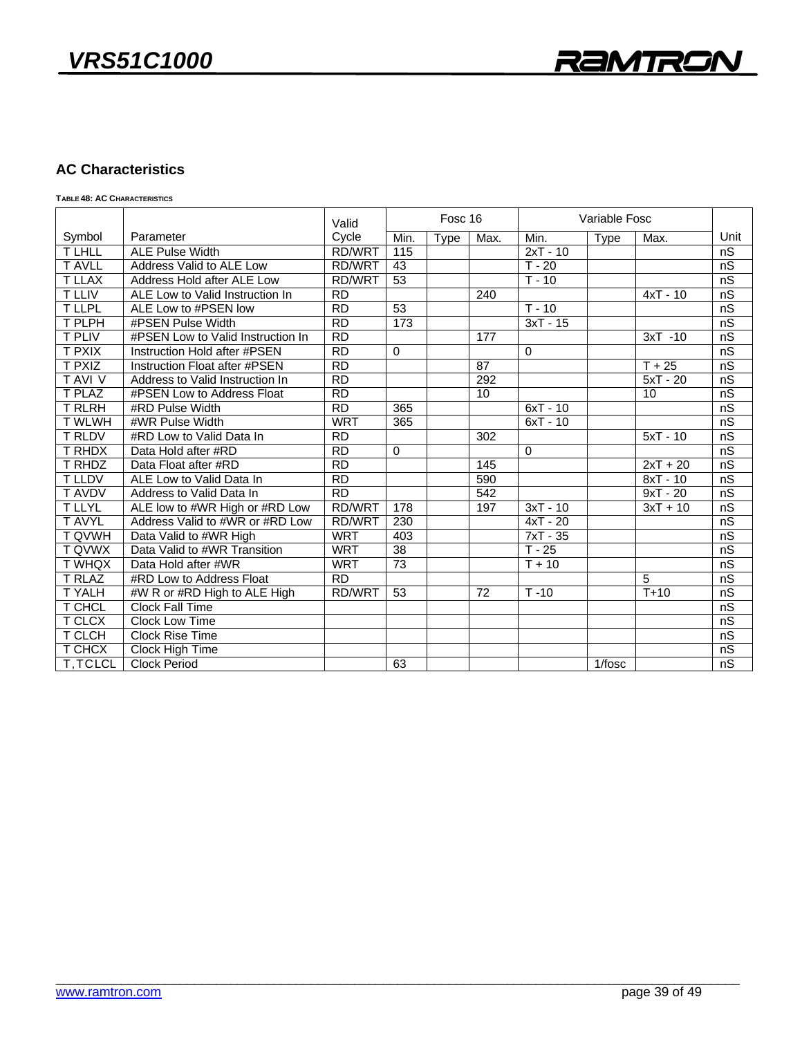### **AC Characteristics**

**TABLE 48: AC CHARACTERISTICS**

|                |                                   | Valid           | Fosc 16     |      | Variable Fosc    |            |             |            |      |
|----------------|-----------------------------------|-----------------|-------------|------|------------------|------------|-------------|------------|------|
| Symbol         | Parameter                         | Cycle           | Min.        | Type | Max.             | Min.       | <b>Type</b> | Max.       | Unit |
| <b>TLHLL</b>   | <b>ALE Pulse Width</b>            | RD/WRT          | 115         |      |                  | $2xT - 10$ |             |            | nS   |
| <b>T AVLL</b>  | Address Valid to ALE Low          | RD/WRT          | 43          |      |                  | $T - 20$   |             |            | nS   |
| <b>T LLAX</b>  | Address Hold after ALE Low        | <b>RD/WRT</b>   | 53          |      |                  | $T - 10$   |             |            | nS   |
| <b>T LLIV</b>  | ALE Low to Valid Instruction In   | <b>RD</b>       |             |      | 240              |            |             | $4xT - 10$ | nS   |
| <b>TLLPL</b>   | ALE Low to #PSEN low              | RD              | 53          |      |                  | $T - 10$   |             |            | nS   |
| T PLPH         | #PSEN Pulse Width                 | RD              | 173         |      |                  | $3xT - 15$ |             |            | nS   |
| <b>T PLIV</b>  | #PSEN Low to Valid Instruction In | <b>RD</b>       |             |      | 177              |            |             | $3xT - 10$ | nS   |
| <b>T PXIX</b>  | Instruction Hold after #PSEN      | $\overline{RD}$ | $\mathbf 0$ |      |                  | $\Omega$   |             |            | nS   |
| <b>T PXIZ</b>  | Instruction Float after #PSEN     | RD              |             |      | 87               |            |             | $T + 25$   | nS   |
| <b>TAVI V</b>  | Address to Valid Instruction In   | RD              |             |      | 292              |            |             | $5xT - 20$ | nS   |
| T PLAZ         | #PSEN Low to Address Float        | <b>RD</b>       |             |      | 10               |            |             | 10         | nS   |
| <b>T RLRH</b>  | #RD Pulse Width                   | $\overline{RD}$ | 365         |      |                  | $6xT - 10$ |             |            | nS   |
| <b>TWLWH</b>   | #WR Pulse Width                   | <b>WRT</b>      | 365         |      |                  | $6xT - 10$ |             |            | nS   |
| <b>T RLDV</b>  | #RD Low to Valid Data In          | RD              |             |      | $\overline{302}$ |            |             | $5xT - 10$ | nS   |
| T RHDX         | Data Hold after #RD               | <b>RD</b>       | $\mathbf 0$ |      |                  | $\Omega$   |             |            | nS   |
| T RHDZ         | Data Float after #RD              | $\overline{RD}$ |             |      | 145              |            |             | $2xT + 20$ | nS   |
| <b>T LLDV</b>  | ALE Low to Valid Data In          | RD              |             |      | 590              |            |             | $8xT - 10$ | nS   |
| <b>TAVDV</b>   | Address to Valid Data In          | RD              |             |      | 542              |            |             | $9xT - 20$ | nS   |
| <b>TLLYL</b>   | ALE low to #WR High or #RD Low    | RD/WRT          | 178         |      | 197              | $3xT - 10$ |             | $3xT + 10$ | nS   |
| <b>T AVYL</b>  | Address Valid to #WR or #RD Low   | <b>RD/WRT</b>   | 230         |      |                  | $4xT - 20$ |             |            | nS   |
| <b>T QVWH</b>  | Data Valid to #WR High            | <b>WRT</b>      | 403         |      |                  | $7xT - 35$ |             |            | nS   |
| <b>T QVWX</b>  | Data Valid to #WR Transition      | <b>WRT</b>      | 38          |      |                  | $T - 25$   |             |            | nS   |
| <b>TWHQX</b>   | Data Hold after #WR               | <b>WRT</b>      | 73          |      |                  | $T + 10$   |             |            | nS   |
| <b>T RLAZ</b>  | #RD Low to Address Float          | RD              |             |      |                  |            |             | 5          | nS   |
| <b>TYALH</b>   | #W R or #RD High to ALE High      | <b>RD/WRT</b>   | 53          |      | $\overline{72}$  | $T - 10$   |             | $T+10$     | nS   |
| <b>T CHCL</b>  | <b>Clock Fall Time</b>            |                 |             |      |                  |            |             |            | nS   |
| T CLCX         | <b>Clock Low Time</b>             |                 |             |      |                  |            |             |            | nS   |
| T CLCH         | <b>Clock Rise Time</b>            |                 |             |      |                  |            |             |            | nS   |
| T CHCX         | Clock High Time                   |                 |             |      |                  |            |             |            | nS   |
| <b>T.TCLCL</b> | <b>Clock Period</b>               |                 | 63          |      |                  |            | $1/f$ osc   |            | nS   |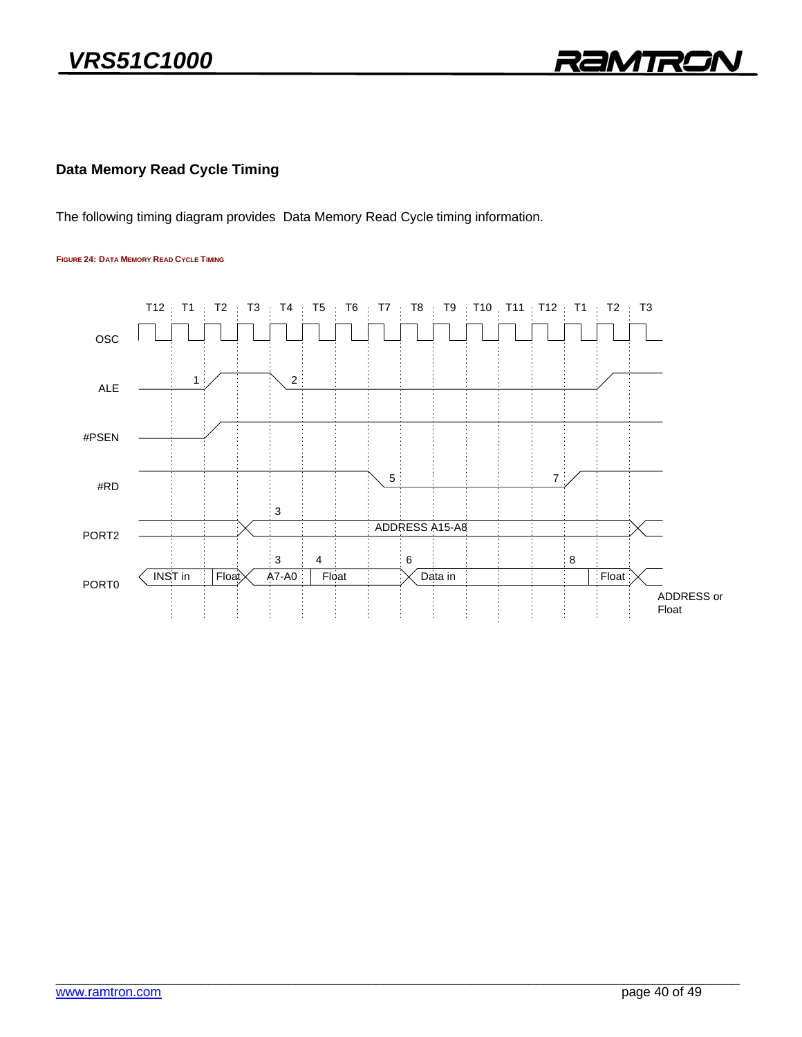

### **Data Memory Read Cycle Timing**

The following timing diagram provides Data Memory Read Cycle timing information.

#### **FIGURE 24: DATA MEMORY READ CYCLE TIMING**

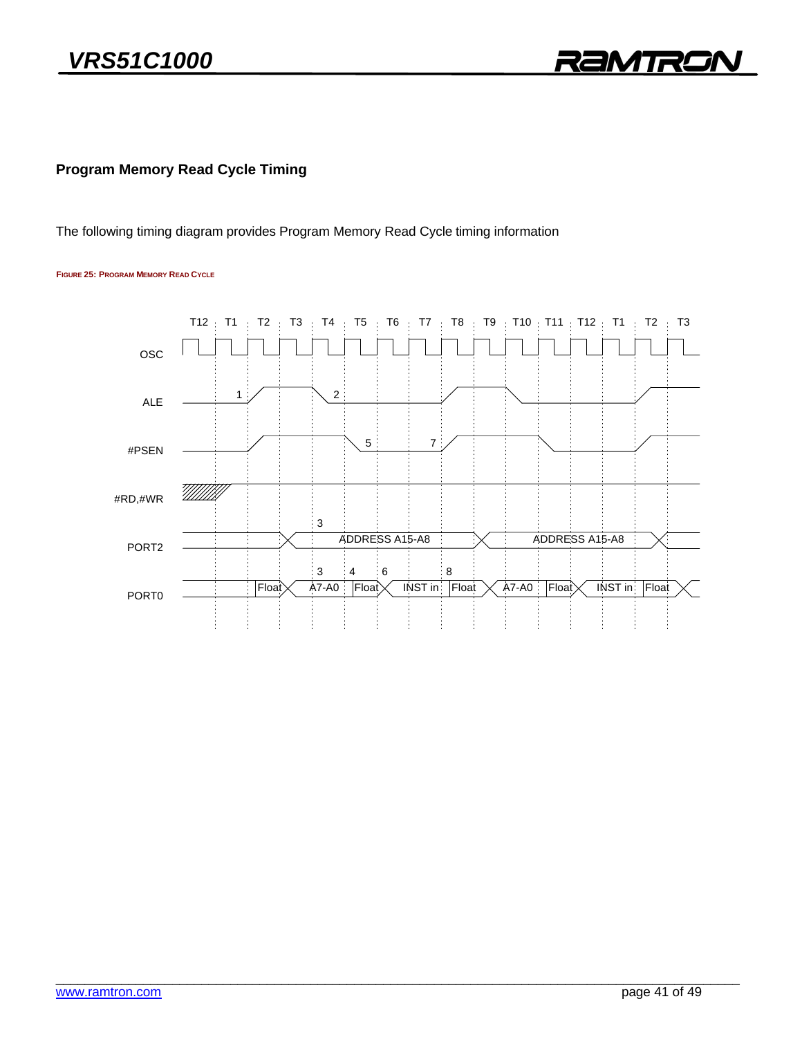

### **Program Memory Read Cycle Timing**

The following timing diagram provides Program Memory Read Cycle timing information

#### **FIGURE 25: PROGRAM MEMORY READ CYCLE**

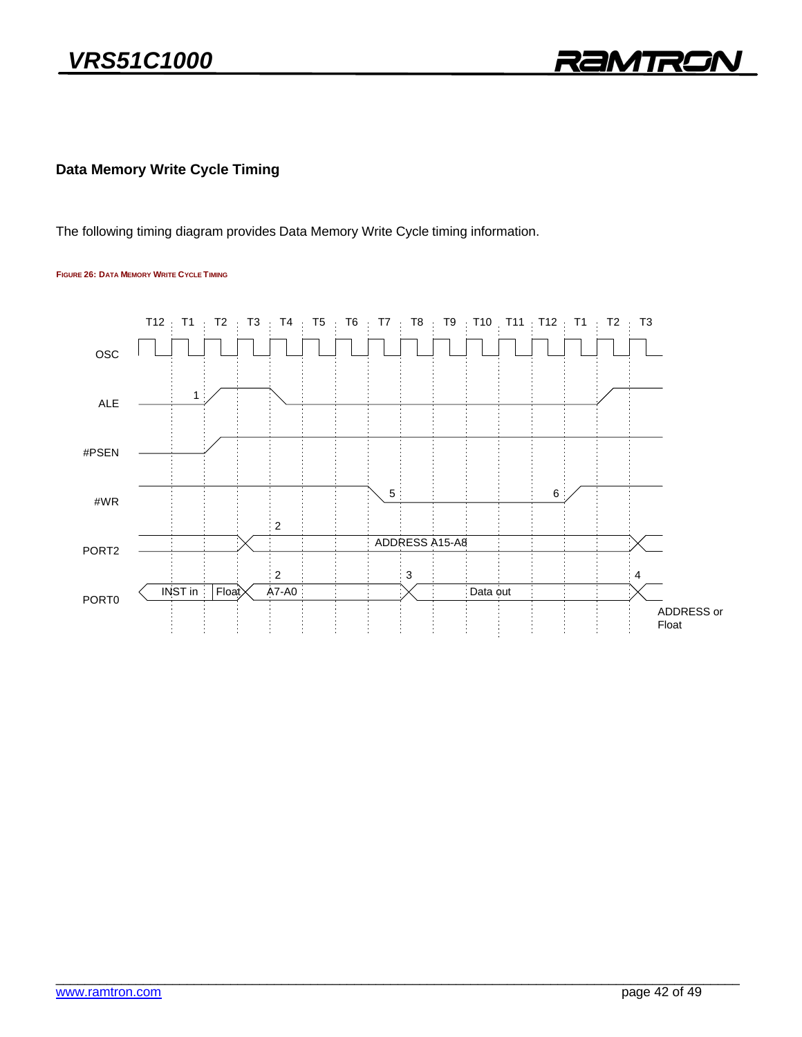

### **Data Memory Write Cycle Timing**

The following timing diagram provides Data Memory Write Cycle timing information.

#### **FIGURE 26: DATA MEMORY WRITE CYCLE TIMING**

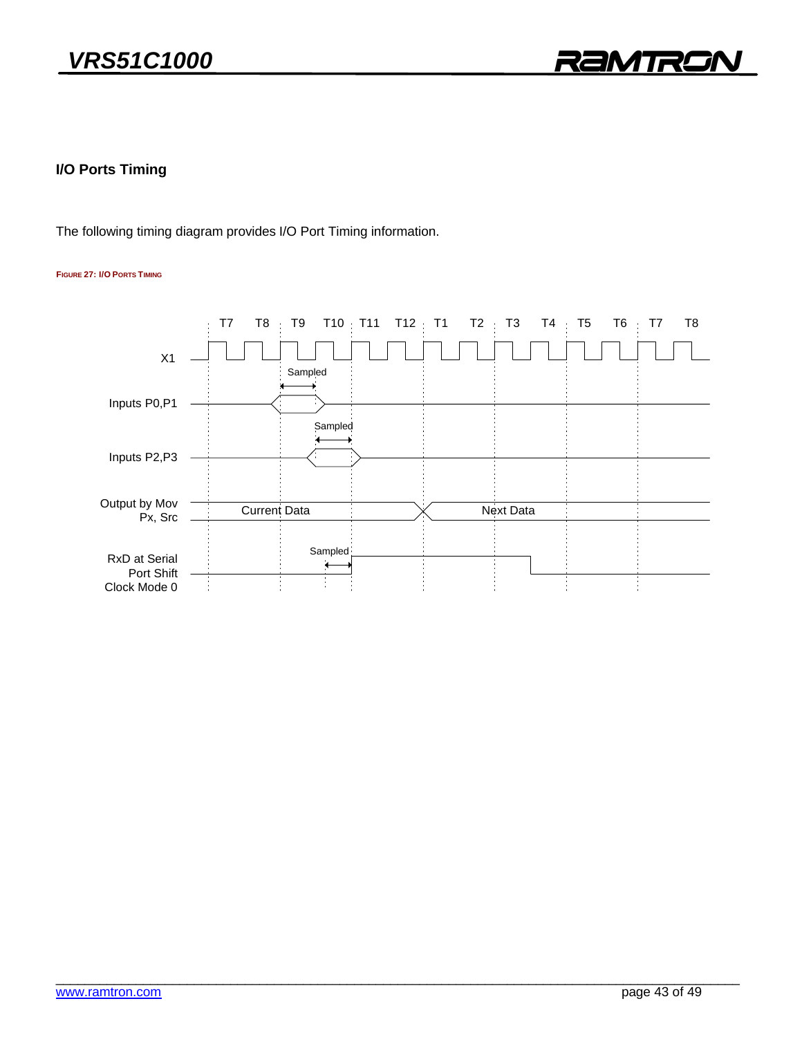

## **I/O Ports Timing**

The following timing diagram provides I/O Port Timing information.

#### **FIGURE 27: I/O PORTS TIMING**

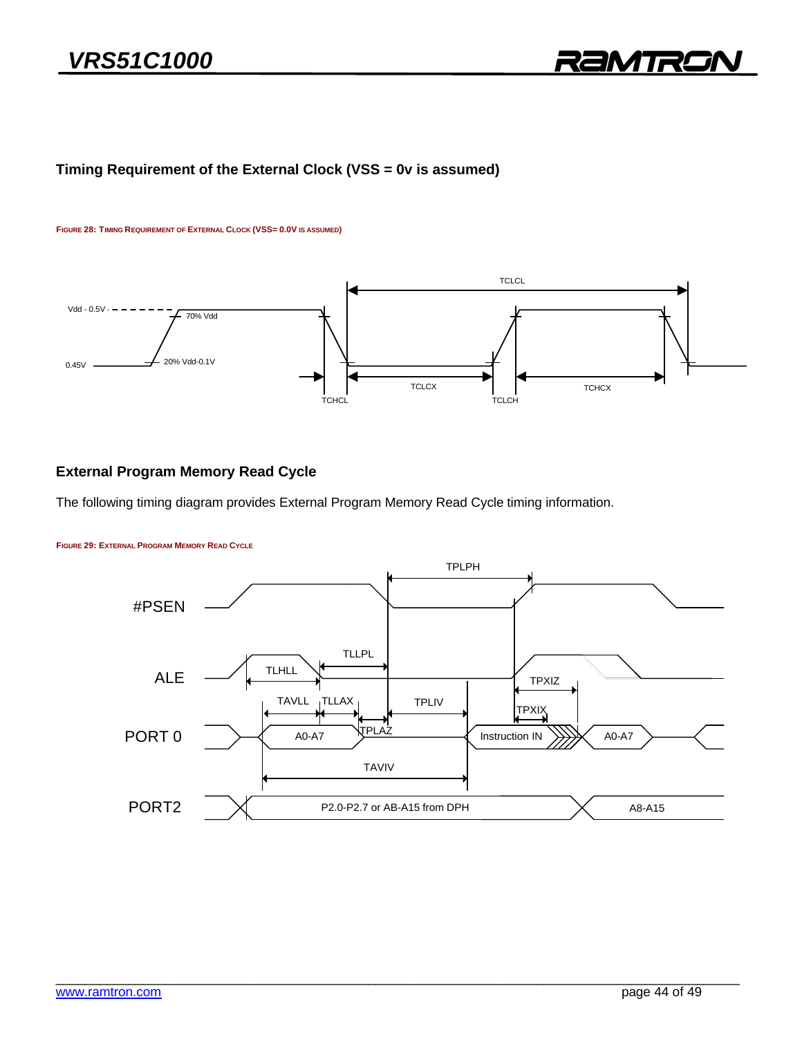### **Timing Requirement of the External Clock (VSS = 0v is assumed)**

#### **FIGURE 28: TIMING REQUIREMENT OF EXTERNAL CLOCK (VSS= 0.0V IS ASSUMED)**



### **External Program Memory Read Cycle**

The following timing diagram provides External Program Memory Read Cycle timing information.



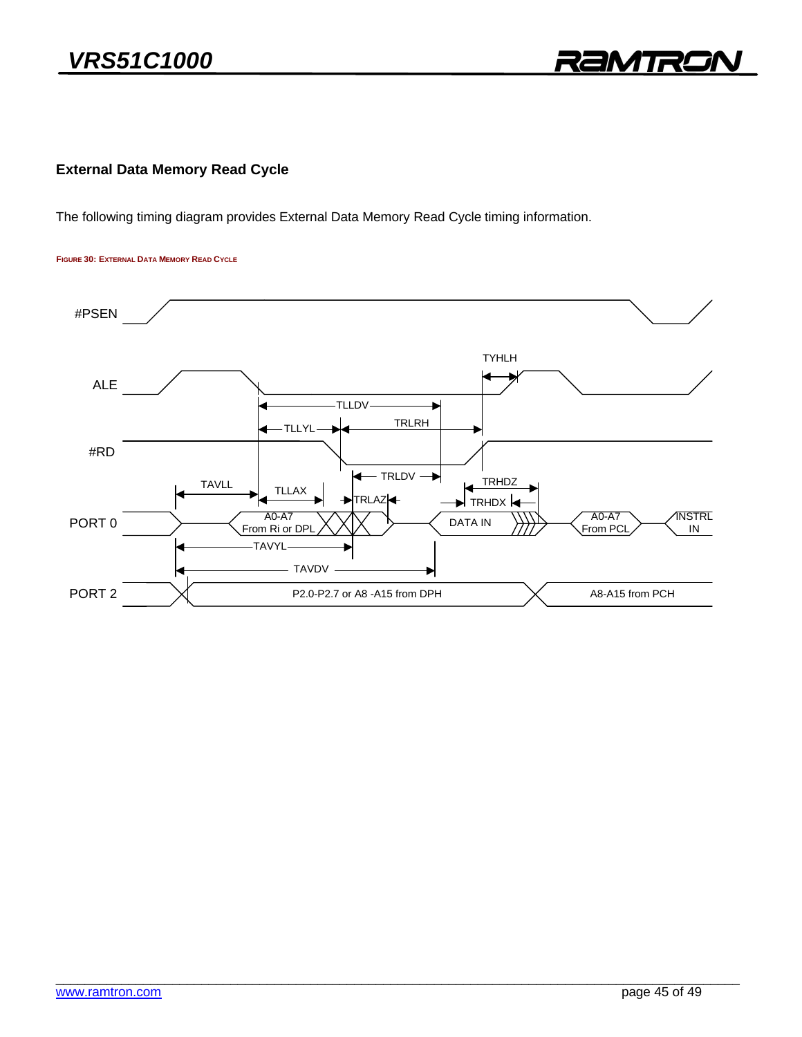

### **External Data Memory Read Cycle**

The following timing diagram provides External Data Memory Read Cycle timing information.

**FIGURE 30: EXTERNAL DATA MEMORY READ CYCLE**

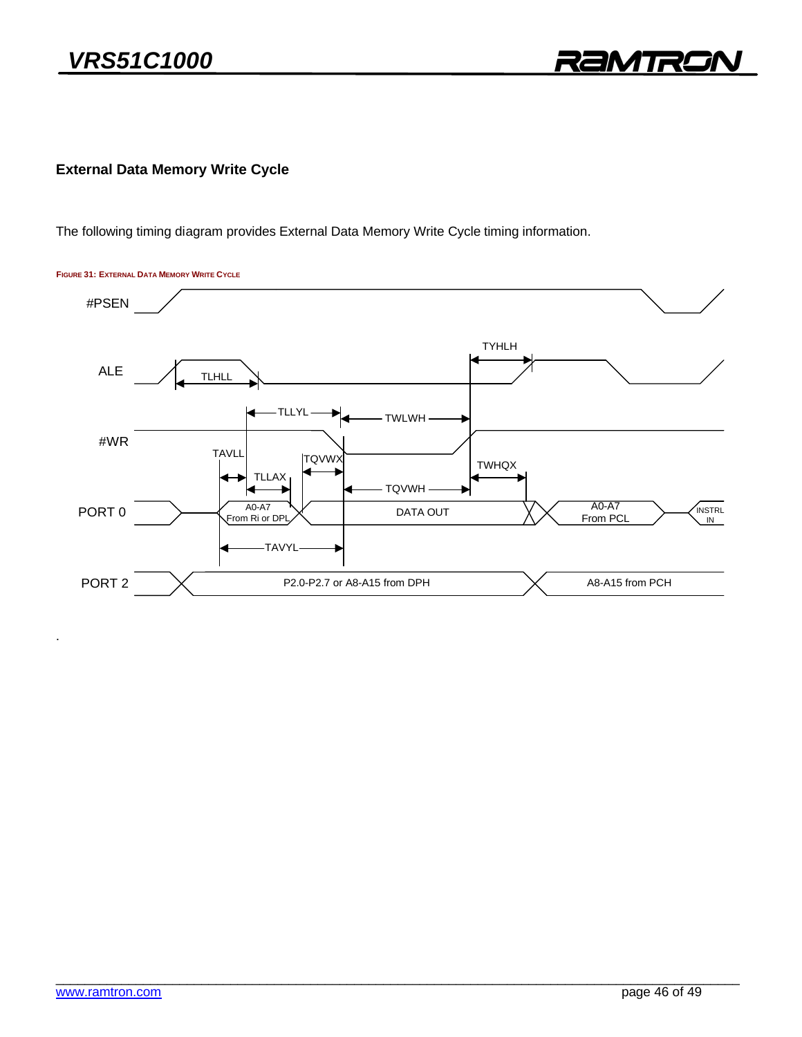**External Data Memory Write Cycle**

The following timing diagram provides External Data Memory Write Cycle timing information.

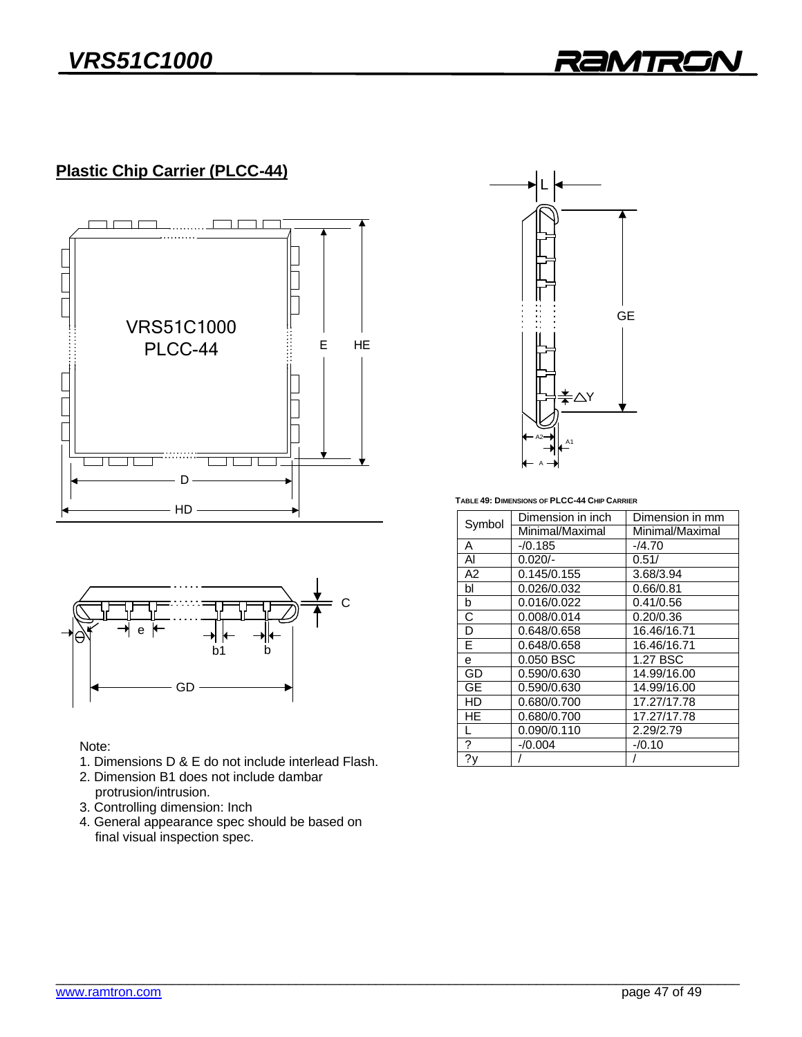RAMTRO

## **Plastic Chip Carrier (PLCC-44)**





Note:

- 1. Dimensions D & E do not include interlead Flash.
- 2. Dimension B1 does not include dambar protrusion/intrusion.
- 3. Controlling dimension: Inch
- 4. General appearance spec should be based on  $f$  final visual inspection spec final visual inspection spec.



 **TABLE 49: DIMENSIONS OF PLCC-44 CHIP CARRIER**

| Symbol | Dimension in inch | Dimension in mm |  |  |
|--------|-------------------|-----------------|--|--|
|        | Minimal/Maximal   | Minimal/Maximal |  |  |
| А      | $-70.185$         | $-4.70$         |  |  |
| AI     | $0.020/-$         | 0.51/           |  |  |
| A2     | 0.145/0.155       | 3.68/3.94       |  |  |
| bl     | 0.026/0.032       | 0.66/0.81       |  |  |
| b      | 0.016/0.022       | 0.41/0.56       |  |  |
| C      | 0.008/0.014       | 0.20/0.36       |  |  |
| D      | 0.648/0.658       | 16.46/16.71     |  |  |
| E      | 0.648/0.658       | 16.46/16.71     |  |  |
| e      | 0.050 BSC         | 1.27 BSC        |  |  |
| GD     | 0.590/0.630       | 14.99/16.00     |  |  |
| GE     | 0.590/0.630       | 14.99/16.00     |  |  |
| HD     | 0.680/0.700       | 17.27/17.78     |  |  |
| HE     | 0.680/0.700       | 17.27/17.78     |  |  |
|        | 0.090/0.110       | 2.29/2.79       |  |  |
| ?      | $-0.004$          | $-70.10$        |  |  |
| ?y     |                   |                 |  |  |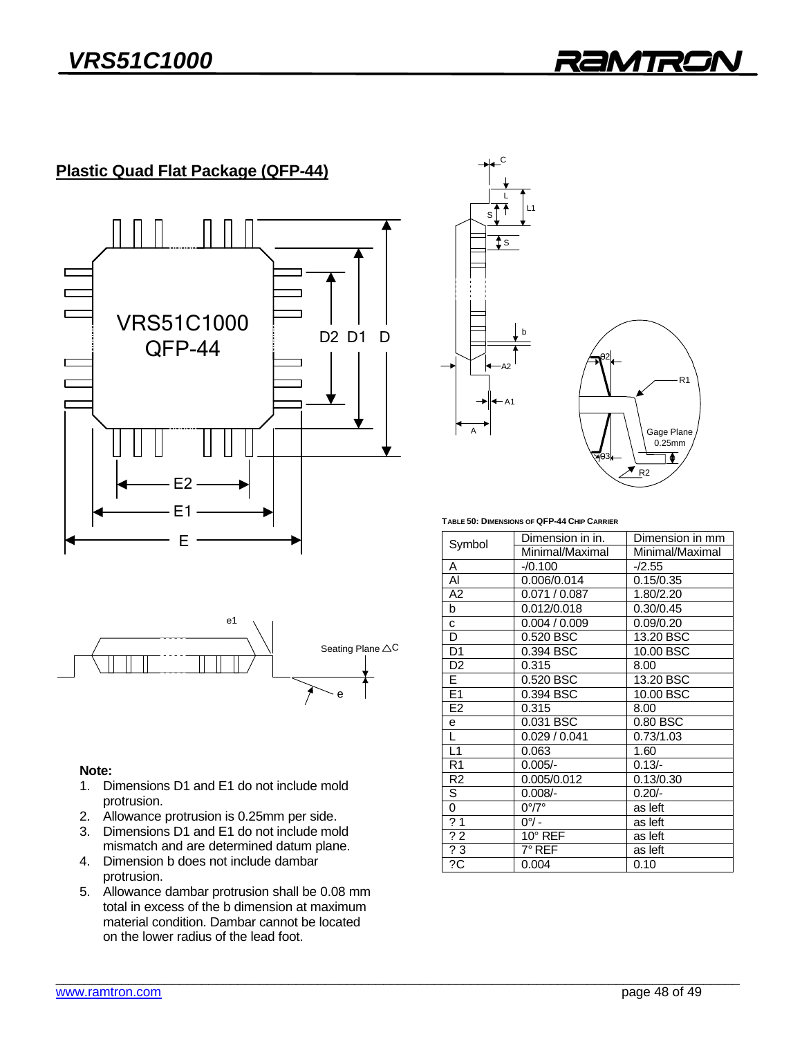## **Plastic Quad Flat Package (QFP-44)**





### Note:

- 1. Dimensions D1 and E1 do not include mold protrusion.
- 2. Allowance protrusion is 0.25mm per side.
- 3. Dimensions D1 and E1 do not include mold mismatch and are determined datum plane.
- 4. Dimension b does not include dambar protrusion.
- 5. Allowance dambar protrusion shall be 0.08 mm total in excess of the b dimension at maximum material condition. Dambar cannot be located on the lower radius of the lead foot. on the lower radius of the lead foot.





**TABLE 50: DIMENSIONS OF QFP-44 CHIP CARRIER**

| Symbol                  | Dimension in in.      | Dimension in mm |  |  |
|-------------------------|-----------------------|-----------------|--|--|
|                         | Minimal/Maximal       | Minimal/Maximal |  |  |
| A                       | $-70.100$             | $-/2.55$        |  |  |
| Al                      | 0.006/0.014           | 0.15/0.35       |  |  |
| A2                      | 0.071/0.087           | 1.80/2.20       |  |  |
| b                       | 0.012/0.018           | 0.30/0.45       |  |  |
| c                       | 0.004 / 0.009         | 0.09/0.20       |  |  |
| D                       | 0.520 BSC             | 13.20 BSC       |  |  |
| D <sub>1</sub>          | 0.394 BSC             | 10.00 BSC       |  |  |
| D <sub>2</sub>          | 0.315                 | 8.00            |  |  |
| $\overline{\mathsf{E}}$ | 0.520 BSC             | 13.20 BSC       |  |  |
| E1                      | 0.394 BSC             | 10.00 BSC       |  |  |
| E <sub>2</sub>          | 0.315                 | 8.00            |  |  |
| e                       | 0.031 BSC             | 0.80 BSC        |  |  |
| L                       | 0.029 / 0.041         | 0.73/1.03       |  |  |
| L1                      | 0.063                 | 1.60            |  |  |
| R <sub>1</sub>          | $0.005/-$             | $0.13/-$        |  |  |
| R <sub>2</sub>          | 0.005/0.012           | 0.13/0.30       |  |  |
| S                       | $0.008/-$             | $0.20/-$        |  |  |
| 0                       | $0^{\circ}/7^{\circ}$ | as left         |  |  |
| $\overline{?1}$         | $0^{\circ}/-$         | as left         |  |  |
| $\overline{2}$          | $10^\circ$ REF        | as left         |  |  |
| $\overline{3}$          | $7^\circ$ REF         | as left         |  |  |
| $\overline{2}C$         | 0.004                 | 0.10            |  |  |